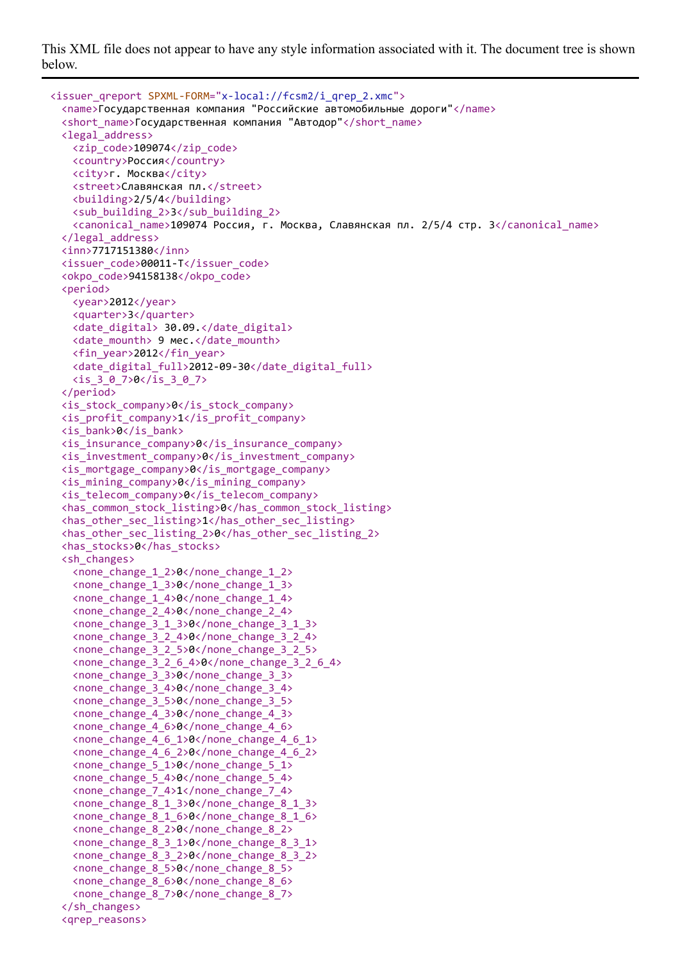This XML file does not appear to have any style information associated with it. The document tree is shown below.

```
<issuer_qreport SPXML-FORM="x-local://fcsm2/i_qrep_2.xmc">
  <name>Государственная компания "Российские автомобильные дороги"</name>
 <short_name>Государственная компания "Автодор"</short_name>
 <legal_address>
   <zip_code>109074</zip_code>
   <country>Россия</country>
   <city>г. Москва</city>
   <street>Славянская пл.</street>
   <building>2/5/4</building>
   <sub_building_2>3</sub_building_2>
   <canonical_name>109074 Россия, г. Москва, Славянская пл. 2/5/4 стр. 3</canonical_name>
 </legal_address>
 <inn>7717151380</inn>
 <issuer_code>00011-T</issuer_code>
 <okpo_code>94158138</okpo_code>
 <period>
   <year>2012</year>
   <quarter>3</quarter>
   <date_digital> 30.09.</date_digital>
   <date_mounth> 9 мес.</date_mounth>
   <fin_year>2012</fin_year>
   <date_digital_full>2012-09-30</date_digital_full>
   <is_3_0_7>0</is_3_0_7>
 </period>
 <is_stock_company>0</is_stock_company>
 <is_profit_company>1</is_profit_company>
 <is_bank>0</is_bank>
 <is_insurance_company>0</is_insurance_company>
 <is_investment_company>0</is_investment_company>
 <is_mortgage_company>0</is_mortgage_company>
 <is_mining_company>0</is_mining_company>
 <is_telecom_company>0</is_telecom_company>
 <has_common_stock_listing>0</has_common_stock_listing>
 <has_other_sec_listing>1</has_other_sec_listing>
 <has_other_sec_listing_2>0</has_other_sec_listing_2>
 <has_stocks>0</has_stocks>
 <sh_changes>
   <none_change_1_2>0</none_change_1_2>
   <none_change_1_3>0</none_change_1_3>
   <none_change_1_4>0</none_change_1_4>
   <none_change_2_4>0</none_change_2_4>
   <none_change_3_1_3>0</none_change_3_1_3>
   <none_change_3_2_4>0</none_change_3_2_4>
   <none_change_3_2_5>0</none_change_3_2_5>
   <none_change_3_2_6_4>0</none_change_3_2_6_4>
   <none_change_3_3>0</none_change_3_3>
   <none_change_3_4>0</none_change_3_4>
   <none_change_3_5>0</none_change_3_5>
   <none_change_4_3>0</none_change_4_3>
   <none_change_4_6>0</none_change_4_6>
   <none_change_4_6_1>0</none_change_4_6_1>
   <none_change_4_6_2>0</none_change_4_6_2>
   <none_change_5_1>0</none_change_5_1>
   <none_change_5_4>0</none_change_5_4>
   <none_change_7_4>1</none_change_7_4>
   <none_change_8_1_3>0</none_change_8_1_3>
   <none_change_8_1_6>0</none_change_8_1_6>
   <none_change_8_2>0</none_change_8_2>
   <none_change_8_3_1>0</none_change_8_3_1>
   <none_change_8_3_2>0</none_change_8_3_2>
   <none_change_8_5>0</none_change_8_5>
   <none_change_8_6>0</none_change_8_6>
   <none_change_8_7>0</none_change_8_7>
  </sh_changes>
  <qrep_reasons>
```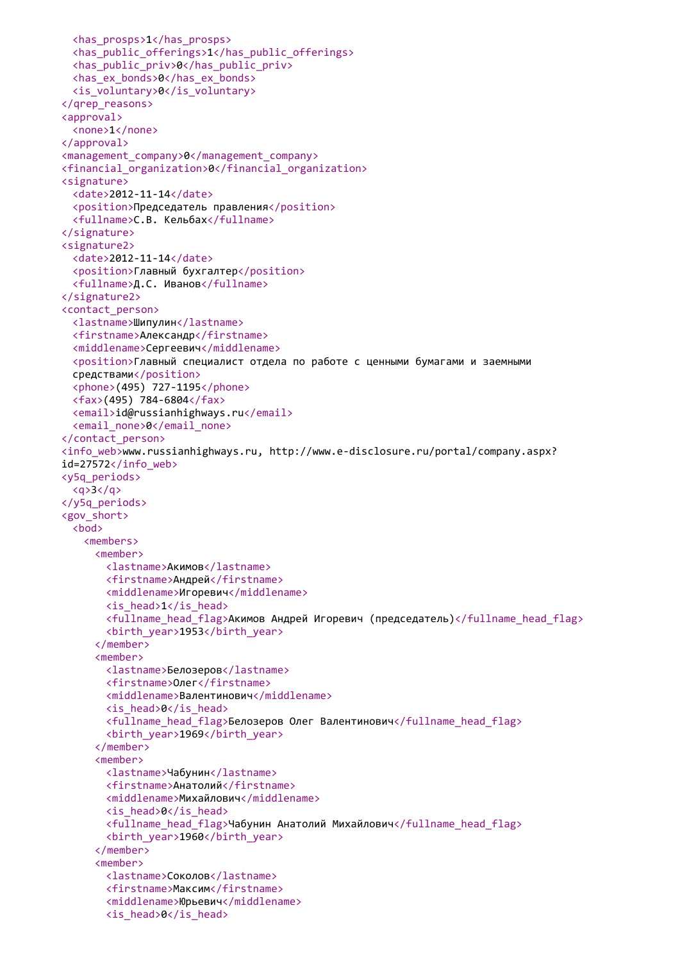```
<has_prosps>1</has_prosps>
  <has_public_offerings>1</has_public_offerings>
  <has_public_priv>0</has_public_priv>
  <has_ex_bonds>0</has_ex_bonds>
  <is_voluntary>0</is_voluntary>
</qrep_reasons>
<approval>
  <none>1</none>
</approval>
<management_company>0</management_company>
<financial_organization>0</financial_organization>
<signature>
  <date>2012-11-14</date>
  <position>Председатель правления</position>
  <fullname>С.В. Кельбах</fullname>
</signature>
<signature2>
  <date>2012-11-14</date>
  <position>Главный бухгалтер</position>
  <fullname>Д.С. Иванов</fullname>
</signature2>
<contact_person>
  <lastname>Шипулин</lastname>
  <firstname>Александр</firstname>
  <middlename>Сергеевич</middlename>
  <position>Главный специалист отдела по работе с ценными бумагами и заемными
  средствами</position>
  <phone>(495) 727-1195</phone>
  <fax>(495) 784-6804</fax>
  <email>id@russianhighways.ru</email>
  <email_none>0</email_none>
</contact_person>
<info_web>www.russianhighways.ru, http://www.e-disclosure.ru/portal/company.aspx?
id = 27572 \times / \text{info} web>
<y5q_periods>
  \langle q \rangle3\langle q \rangle</y5q_periods>
<gov_short>
  <bod>
   <members>
     <member>
       <lastname>Акимов</lastname>
       <firstname>Андрей</firstname>
       <middlename>Игоревич</middlename>
       <is_head>1</is_head>
       <fullname_head_flag>Акимов Андрей Игоревич (председатель)</fullname_head_flag>
       <birth_year>1953</birth_year>
     </member>
     <member>
       <lastname>Белозеров</lastname>
       <firstname>Олег</firstname>
       <middlename>Валентинович</middlename>
       <is_head>0</is_head>
       <fullname_head_flag>Белозеров Олег Валентинович</fullname_head_flag>
       <birth_year>1969</birth_year>
     </member>
     <member>
       <lastname>Чабунин</lastname>
       <firstname>Анатолий</firstname>
       <middlename>Михайлович</middlename>
       <is_head>0</is_head>
       <fullname_head_flag>Чабунин Анатолий Михайлович</fullname_head_flag>
       <birth_year>1960</birth_year>
     </member>
     <member>
       <lastname>Соколов</lastname>
       <firstname>Максим</firstname>
       <middlename>Юрьевич</middlename>
       <is_head>0</is_head>
```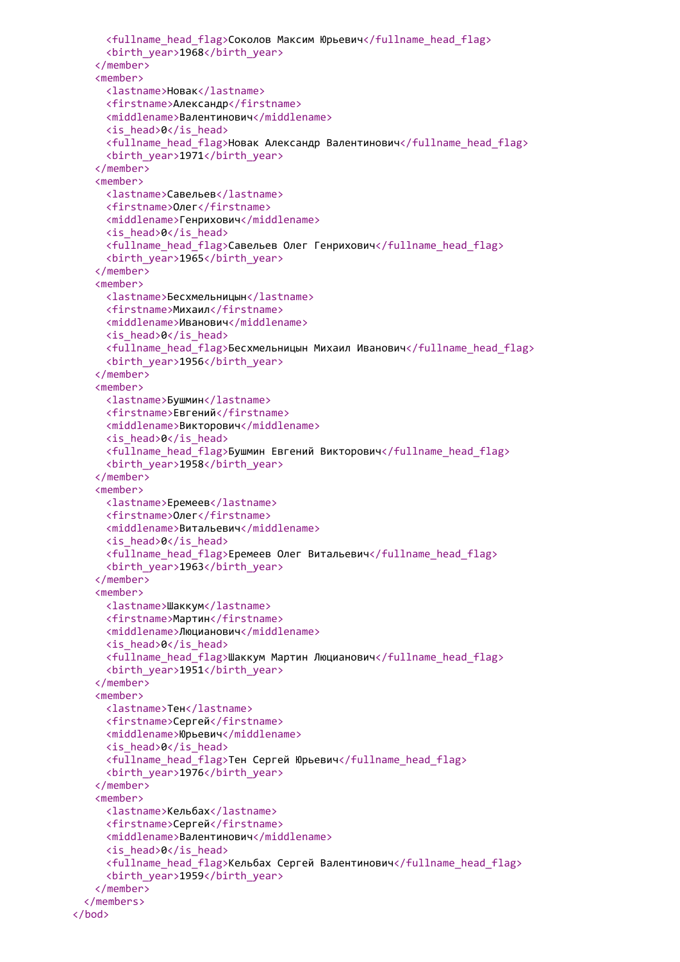```
<fullname_head_flag>Соколов Максим Юрьевич</fullname_head_flag>
     <birth_year>1968</birth_year>
   </member>
   <member>
     <lastname>Новак</lastname>
     <firstname>Александр</firstname>
     <middlename>Валентинович</middlename>
     <is_head>0</is_head>
     <fullname_head_flag>Новак Александр Валентинович</fullname_head_flag>
     <birth_year>1971</birth_year>
   </member>
   <member>
     <lastname>Савельев</lastname>
     <firstname>Олег</firstname>
     <middlename>Генрихович</middlename>
     <is_head>0</is_head>
     <fullname_head_flag>Савельев Олег Генрихович</fullname_head_flag>
     <birth_year>1965</birth_year>
   </member>
   <member>
     <lastname>Бесхмельницын</lastname>
     <firstname>Михаил</firstname>
     <middlename>Иванович</middlename>
     <is_head>0</is_head>
     <fullname_head_flag>Бесхмельницын Михаил Иванович</fullname_head_flag>
     <birth_year>1956</birth_year>
   </member>
   <member>
     <lastname>Бушмин</lastname>
     <firstname>Евгений</firstname>
     <middlename>Викторович</middlename>
     <is_head>0</is_head>
     <fullname_head_flag>Бушмин Евгений Викторович</fullname_head_flag>
     <birth_year>1958</birth_year>
   </member>
   <member>
     <lastname>Еремеев</lastname>
     <firstname>Олег</firstname>
     <middlename>Витальевич</middlename>
     <is_head>0</is_head>
     <fullname head flag>Еремеев Олег Витальевич</fullname head flag>
     <birth_year>1963</birth_year>
   </member>
   <member>
     <lastname>Шаккум</lastname>
     <firstname>Мартин</firstname>
     <middlename>Люцианович</middlename>
     <is_head>0</is_head>
     <fullname_head_flag>Шаккум Мартин Люцианович</fullname_head_flag>
     <birth_year>1951</birth_year>
   </member>
   <member>
     <lastname>Тен</lastname>
     <firstname>Сергей</firstname>
     <middlename>Юрьевич</middlename>
     <is_head>0</is_head>
     <fullname_head_flag>Тен Сергей Юрьевич</fullname_head_flag>
     <birth_year>1976</birth_year>
   </member>
   <member>
     <lastname>Кельбах</lastname>
     <firstname>Сергей</firstname>
     <middlename>Валентинович</middlename>
     <is_head>0</is_head>
     <fullname_head_flag>Кельбах Сергей Валентинович</fullname_head_flag>
     <birth_year>1959</birth_year>
   </member>
 </members>
</bod>
```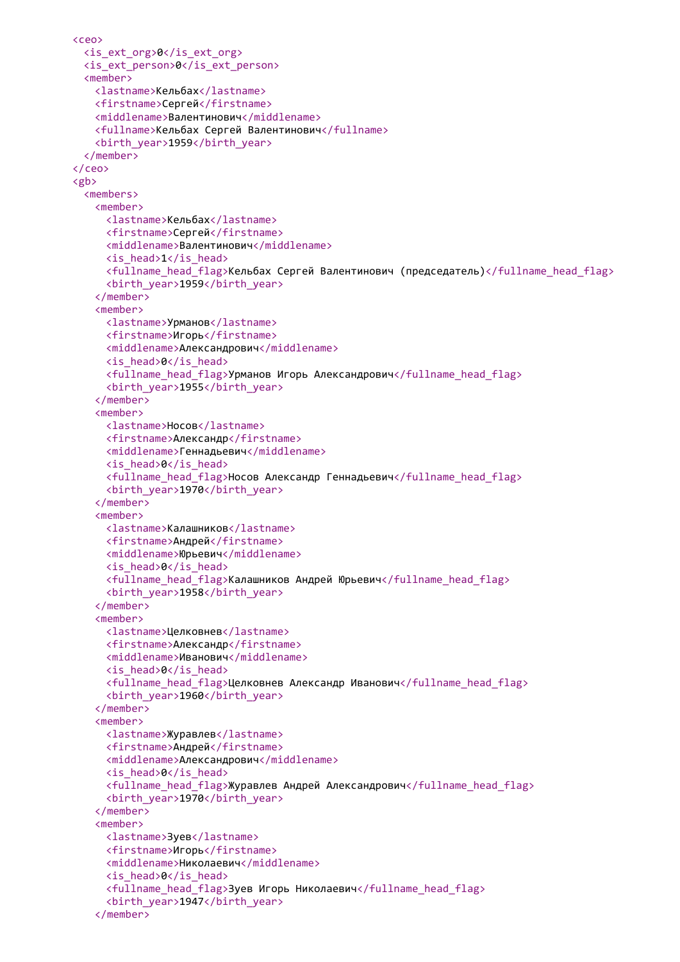```
<ceo>
 <is_ext_org>0</is_ext_org>
 <is_ext_person>0</is_ext_person>
 <member>
   <lastname>Кельбах</lastname>
   <firstname>Сергей</firstname>
   <middlename>Валентинович</middlename>
   <fullname>Кельбах Сергей Валентинович</fullname>
   <birth_year>1959</birth_year>
 </member>
</ceo>
<gb>
 <members>
   <member>
     <lastname>Кельбах</lastname>
     <firstname>Сергей</firstname>
     <middlename>Валентинович</middlename>
     <is_head>1</is_head>
     <fullname_head_flag>Кельбах Сергей Валентинович (председатель)</fullname_head_flag>
     <birth_year>1959</birth_year>
   </member>
   <member>
     <lastname>Урманов</lastname>
     <firstname>Игорь</firstname>
     <middlename>Александрович</middlename>
     <is_head>0</is_head>
     <fullname_head_flag>Урманов Игорь Александрович</fullname_head_flag>
     <birth_year>1955</birth_year>
   </member>
   <member>
     <lastname>Носов</lastname>
     <firstname>Александр</firstname>
     <middlename>Геннадьевич</middlename>
     <is_head>0</is_head>
     <fullname_head_flag>Носов Александр Геннадьевич</fullname_head_flag>
     <birth_year>1970</birth_year>
   </member>
   <member>
     <lastname>Калашников</lastname>
     <firstname>Андрей</firstname>
     <middlename>Юрьевич</middlename>
     <is_head>0</is_head>
     <fullname_head_flag>Калашников Андрей Юрьевич</fullname_head_flag>
     <birth_year>1958</birth_year>
   </member>
   <member>
     <lastname>Целковнев</lastname>
     <firstname>Александр</firstname>
     <middlename>Иванович</middlename>
     <is_head>0</is_head>
     <fullname_head_flag>Целковнев Александр Иванович</fullname_head_flag>
     <birth_year>1960</birth_year>
   </member>
   <member>
     <lastname>Журавлев</lastname>
     <firstname>Андрей</firstname>
     <middlename>Александрович</middlename>
     <is_head>0</is_head>
     <fullname_head_flag>Журавлев Андрей Александрович</fullname_head_flag>
     <birth_year>1970</birth_year>
   </member>
   <member>
     <lastname>Зуев</lastname>
     <firstname>Игорь</firstname>
     <middlename>Николаевич</middlename>
     <is_head>0</is_head>
     <fullname_head_flag>Зуев Игорь Николаевич</fullname_head_flag>
     <birth_year>1947</birth_year>
   </member>
```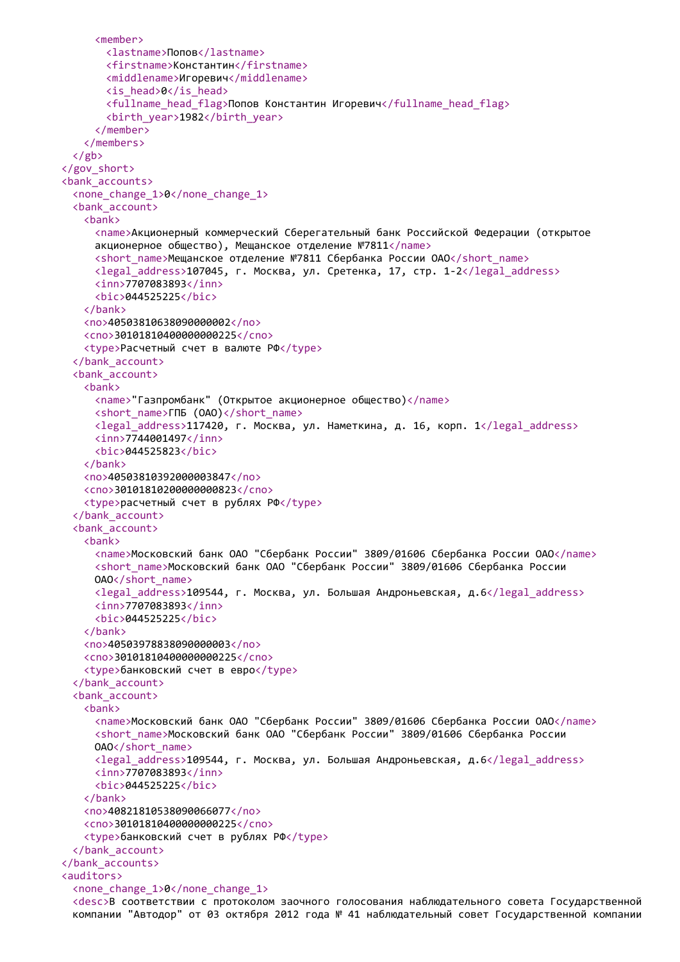```
<member>
       <lastname>Попов</lastname>
       <firstname>Константин</firstname>
       <middlename>Игоревич</middlename>
       <is_head>0</is_head>
       <fullname_head_flag>Попов Константин Игоревич</fullname_head_flag>
       <birth_year>1982</birth_year>
     </member>
   </members>
  </gb>
</gov_short>
<bank_accounts>
 <none_change_1>0</none_change_1>
  <bank_account>
   <bank>
     <name>Акционерный коммерческий Сберегательный банк Российской Федерации (открытое
     акционерное общество), Мещанское отделение №7811</name>
     <short_name>Мещанское отделение №7811 Сбербанка России ОАО</short_name>
     <legal_address>107045, г. Москва, ул. Сретенка, 17, стр. 1-2</legal_address>
     <inn>7707083893</inn>
     <bic>044525225</bic>
   </bank>
   <no>40503810638090000002</no>
   <cno>30101810400000000225</cno>
   <type>Расчетный счет в валюте РФ</type>
  </bank_account>
  <bank_account>
   <bank>
     <name>"Газпромбанк" (Открытое акционерное общество)</name>
     <short_name>ГПБ (ОАО)</short_name>
     <legal_address>117420, г. Москва, ул. Наметкина, д. 16, корп. 1</legal_address>
     <inn>7744001497</inn>
     <bic>044525823</bic>
   </bank>
   <no>40503810392000003847</no>
   <cno>30101810200000000823</cno>
   <type>расчетный счет в рублях РФ</type>
  </bank_account>
  <bank_account>
   <bank>
     <name>Московский банк ОАО "Сбербанк России" 3809/01606 Сбербанка России ОАО</name>
     <short_name>Московский банк ОАО "Сбербанк России" 3809/01606 Сбербанка России
     OAO</short_name>
     <legal_address>109544, г. Москва, ул. Большая Андроньевская, д.6</legal_address>
     <inn>7707083893</inn>
     <bic>044525225</bic>
   </bank>
   <no>40503978838090000003</no>
   <cno>30101810400000000225</cno>
   <type>банковский счет в евро</type>
  </bank_account>
  <bank_account>
   <bank>
     <name>Московский банк ОАО "Сбербанк России" 3809/01606 Сбербанка России ОАО</name>
     <short_name>Московский банк ОАО "Сбербанк России" 3809/01606 Сбербанка России
     OAO</short_name>
     <legal_address>109544, г. Москва, ул. Большая Андроньевская, д.6</legal_address>
     <inn>7707083893</inn>
     <bic>044525225</bic>
   </bank>
   <no>40821810538090066077</no>
   <cno>30101810400000000225</cno>
   <type>банковский счет в рублях РФ</type>
  </bank_account>
</bank_accounts>
<auditors>
  <none_change_1>0</none_change_1>
  <desc>В соответствии с протоколом заочного голосования наблюдательного совета Государственной
  компании "Автодор" от 03 октября 2012 года № 41 наблюдательный совет Государственной компании
```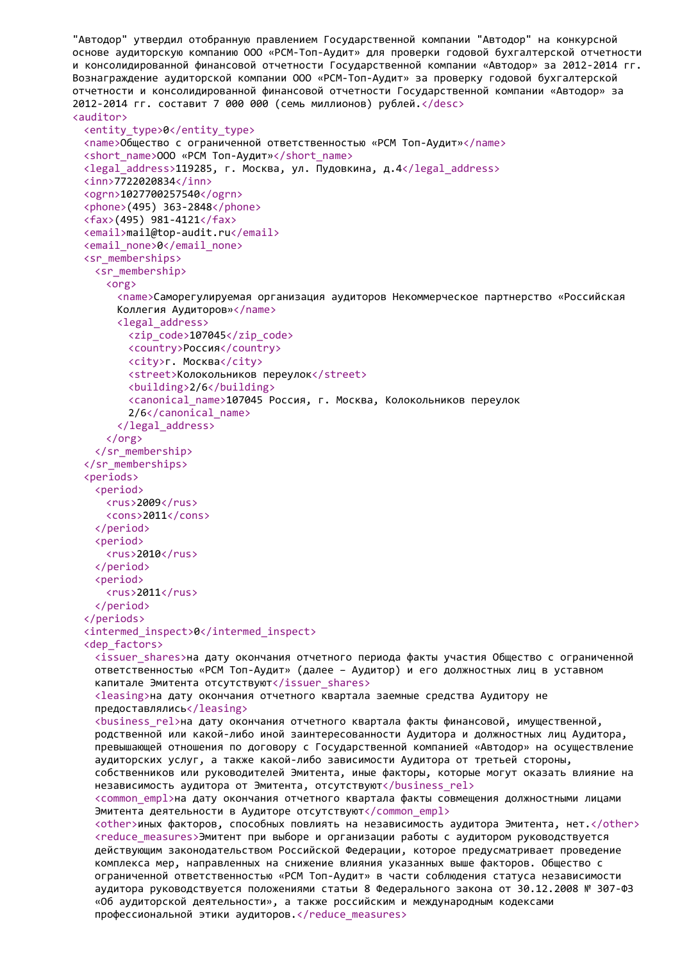```
"Автодор" утвердил отобранную правлением Государственной компании "Автодор" на конкурсной
основе аудиторскую компанию ООО «РСМ-Топ-Аудит» для проверки годовой бухгалтерской отчетности
и консолидированной финансовой отчетности Государственной компании «Автодор» за 2012-2014 гг.
Вознаграждение аудиторской компании ООО «РСМ-Топ-Аудит» за проверку годовой бухгалтерской
отчетности и консолидированной финансовой отчетности Государственной компании «Автодор» за
2012-2014 гг. составит 7 000 000 (семь миллионов) рублей.</desc>
<auditor>
 <entity_type>0</entity_type>
 <name>Общество с ограниченной ответственностью «РСМ Топ-Аудит»</name>
 <short name>ООО «РСМ Топ-Аудит»</short name>
 <legal_address>119285, г. Москва, ул. Пудовкина, д.4</legal_address>
 <inn>7722020834</inn>
 <ogrn>1027700257540</ogrn>
 <phone>(495) 363-2848</phone>
 <fax>(495) 981-4121</fax>
 <email>mail@top-audit.ru</email>
 <email_none>0</email_none>
 <sr_memberships>
   <sr_membership>
     <org>
       <name>Саморегулируемая организация аудиторов Некоммерческое партнерство «Российская
       Коллегия Аудиторов»</name>
       <legal_address>
         <zip_code>107045</zip_code>
         <country>Россия</country>
         <city>г. Москва</city>
         <street>Колокольников переулок</street>
         <building>2/6</building>
         <canonical_name>107045 Россия, г. Москва, Колокольников переулок
         2/6</canonical_name>
       </legal_address>
     </org>
   </sr_membership>
 </sr_memberships>
 <periods>
   <period>
     <rus>2009</rus>
     <cons>2011</cons>
   </period>
   <period>
     <rus>2010</rus>
   </period>
   <period>
     <rus>2011</rus>
   </period>
 </periods>
 <intermed_inspect>0</intermed_inspect>
 <dep_factors>
   <issuer shares>на дату окончания отчетного периода факты участия Общество с ограниченной
   ответственностью «РСМ Топ-Аудит» (далее – Аудитор) и его должностных лиц в уставном
   капитале Эмитента отсутствуют</issuer_shares>
   <leasing>на дату окончания отчетного квартала заемные средства Аудитору не
   предоставлялись</leasing>
   <business rel>на дату окончания отчетного квартала факты финансовой, имущественной,
   родственной или какой-либо иной заинтересованности Аудитора и должностных лиц Аудитора,
   превышающей отношения по договору с Государственной компанией «Автодор» на осуществление
   аудиторских услуг, а также какой-либо зависимости Аудитора от третьей стороны,
   собственников или руководителей Эмитента, иные факторы, которые могут оказать влияние на
   независимость аудитора от Эмитента, отсутствуют</business rel>
   <common empl>на дату окончания отчетного квартала факты совмещения должностными лицами
   Эмитента деятельности в Аудиторе отсутствуют</common_empl>
   <other>иных факторов, способных повлиять на независимость аудитора Эмитента, нет.</other>
   <reduce measures>Эмитент при выборе и организации работы с аудитором руководствуется
   действующим законодательством Российской Федерации, которое предусматривает проведение
   комплекса мер, направленных на снижение влияния указанных выше факторов. Общество с
   ограниченной ответственностью «РСМ Топ-Аудит» в части соблюдения статуса независимости
   аудитора руководствуется положениями статьи 8 Федерального закона от 30.12.2008 № 307-ФЗ
   «Об аудиторской деятельности», а также российским и международным кодексами
   профессиональной этики аудиторов.</reduce_measures>
```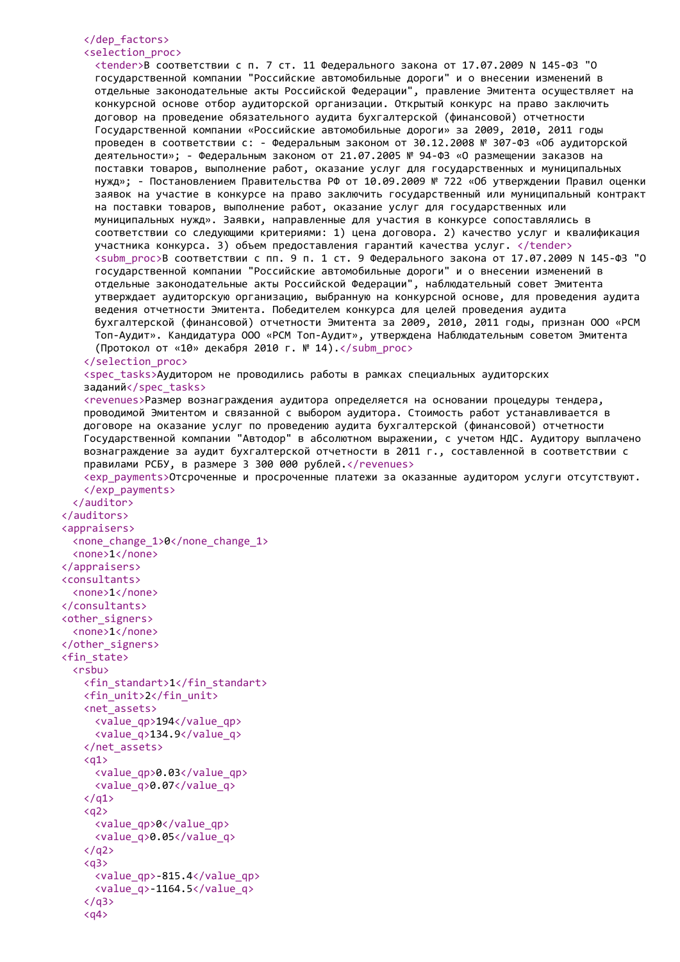## </dep\_factors>

#### <selection\_proc>

<tender>В соответствии с п. 7 ст. 11 Федерального закона от 17.07.2009 N 145-ФЗ "О государственной компании "Российские автомобильные дороги" и о внесении изменений в отдельные законодательные акты Российской Федерации", правление Эмитента осуществляет на конкурсной основе отбор аудиторской организации. Открытый конкурс на право заключить договор на проведение обязательного аудита бухгалтерской (финансовой) отчетности Государственной компании «Российские автомобильные дороги» за 2009, 2010, 2011 годы проведен в соответствии с: - Федеральным законом от 30.12.2008 № 307-ФЗ «Об аудиторской деятельности»; - Федеральным законом от 21.07.2005 № 94-ФЗ «О размещении заказов на поставки товаров, выполнение работ, оказание услуг для государственных и муниципальных нужд»; - Постановлением Правительства РФ от 10.09.2009 № 722 «Об утверждении Правил оценки заявок на участие в конкурсе на право заключить государственный или муниципальный контракт на поставки товаров, выполнение работ, оказание услуг для государственных или муниципальных нужд». Заявки, направленные для участия в конкурсе сопоставлялись в соответствии со следующими критериями: 1) цена договора. 2) качество услуг и квалификация участника конкурса. 3) объем предоставления гарантий качества услуг. </tender> <subm proc>В соответствии с пп. 9 п. 1 ст. 9 Федерального закона от 17.07.2009 N 145-ФЗ "О государственной компании "Российские автомобильные дороги" и о внесении изменений в отдельные законодательные акты Российской Федерации", наблюдательный совет Эмитента утверждает аудиторскую организацию, выбранную на конкурсной основе, для проведения аудита ведения отчетности Эмитента. Победителем конкурса для целей проведения аудита бухгалтерской (финансовой) отчетности Эмитента за 2009, 2010, 2011 годы, признан ООО «РСМ Топ-Аудит». Кандидатура ООО «РСМ Топ-Аудит», утверждена Наблюдательным советом Эмитента (Протокол от «10» декабря 2010 г. № 14).</subm\_proc> </selection\_proc> <spec\_tasks>Аудитором не проводились работы в рамках специальных аудиторских заданий</spec\_tasks> <revenues>Размер вознаграждения аудитора определяется на основании процедуры тендера, проводимой Эмитентом и связанной с выбором аудитора. Стоимость работ устанавливается в договоре на оказание услуг по проведению аудита бухгалтерской (финансовой) отчетности Государственной компании "Автодор" в абсолютном выражении, с учетом НДС. Аудитору выплачено вознаграждение за аудит бухгалтерской отчетности в 2011 г., составленной в соответствии с правилами РСБУ, в размере 3 300 000 рублей.</revenues> <exp\_payments>Отсроченные и просроченные платежи за оказанные аудитором услуги отсутствуют. </exp\_payments> </auditor> </auditors> <appraisers> <none\_change\_1>0</none\_change\_1> <none>1</none> </appraisers> <consultants> <none>1</none> </consultants>

<other\_signers> <none>1</none> </other\_signers> <fin\_state> <rsbu> <fin\_standart>1</fin\_standart> <fin\_unit>2</fin\_unit> <net\_assets> <value\_qp>194</value\_qp> <value\_q>134.9</value\_q> </net\_assets>  $\langle$ a1> <value\_qp>0.03</value\_qp>

```
<value_q>0.07</value_q>
\langle/a1>
<a<sub>2</sub><value_qp>0</value_qp>
  <value_q>0.05</value_q>
\langle/q2>
<sub>q3</sub></sub>
  <value_qp>-815.4</value_qp>
```
<value\_q>-1164.5</value\_q>

 $\langle$ /q3>  $<sub>q4</sub>$ </sub>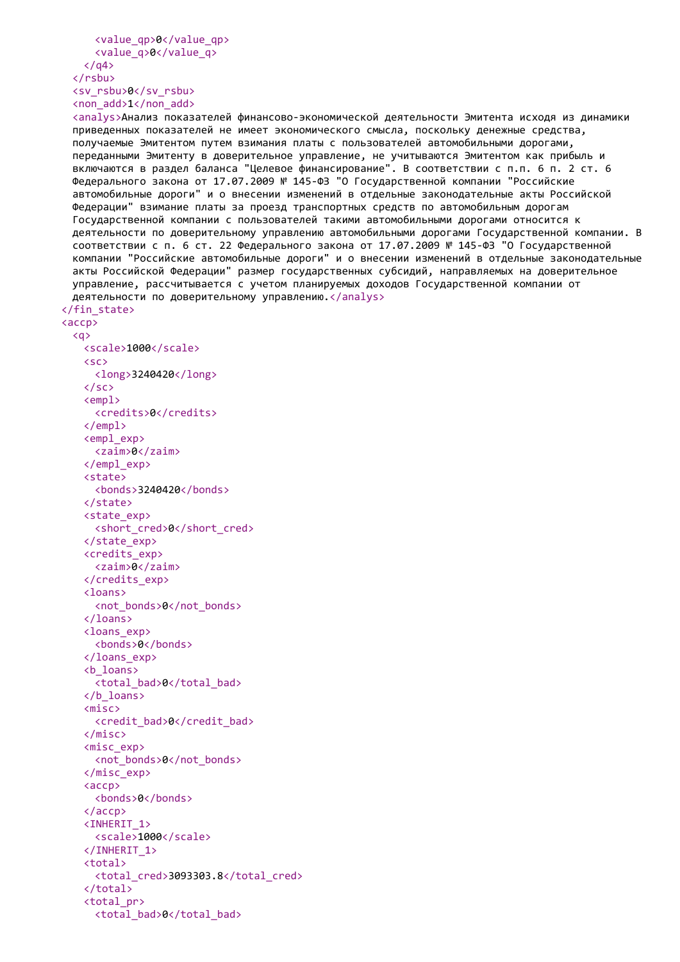```
<value_qp>0</value_qp>
    <value_q>0</value_q>
  \langle/q4>
</rsbu>
<sv_rsbu>0</sv_rsbu>
<non_add>1</non_add>
```
<total\_bad>0</total\_bad>

```
<analys>Анализ показателей финансово-экономической деятельности Эмитента исходя из динамики
  приведенных показателей не имеет экономического смысла, поскольку денежные средства,
  получаемые Эмитентом путем взимания платы с пользователей автомобильными дорогами,
  переданными Эмитенту в доверительное управление, не учитываются Эмитентом как прибыль и
  включаются в раздел баланса "Целевое финансирование". В соответствии с п.п. 6 п. 2 ст. 6
 Федерального закона от 17.07.2009 № 145-ФЗ "О Государственной компании "Российские
  автомобильные дороги" и о внесении изменений в отдельные законодательные акты Российской
 Федерации" взимание платы за проезд транспортных средств по автомобильным дорогам
  Государственной компании с пользователей такими автомобильными дорогами относится к
 деятельности по доверительному управлению автомобильными дорогами Государственной компании. В
  соответствии с п. 6 ст. 22 Федерального закона от 17.07.2009 № 145-ФЗ "О Государственной
  компании "Российские автомобильные дороги" и о внесении изменений в отдельные законодательные
  акты Российской Федерации" размер государственных субсидий, направляемых на доверительное
 управление, рассчитывается с учетом планируемых доходов Государственной компании от
 деятельности по доверительному управлению. </analys>
</fin_state>
<accp>
  <q>
   <scale>1000</scale>
   <sc>
     <long>3240420</long>
   \langle/sc\rangle<empl>
     <credits>0</credits>
   </empl>
   <empl_exp>
     <zaim>0</zaim>
   </empl_exp>
   <state>
     <bonds>3240420</bonds>
   </state>
   <state_exp>
     <short cred>0</short cred>
   </state_exp>
   <credits_exp>
     <zaim>0</zaim>
   </credits_exp>
   <loans>
     <not_bonds>0</not_bonds>
   </loans>
   <loans_exp>
     <bonds>0</bonds>
   </loans_exp>
   <b_loans>
     <total_bad>0</total_bad>
   </b_loans>
   <misc>
     <credit_bad>0</credit_bad>
   </misc>
   <misc_exp>
     <not_bonds>0</not_bonds>
   </misc_exp>
   <accp>
     <bonds>0</bonds>
   </accp>
   <INHERIT_1>
     <scale>1000</scale>
   </INHERIT_1>
   <total>
     <total_cred>3093303.8</total_cred>
   </total>
   <total_pr>
```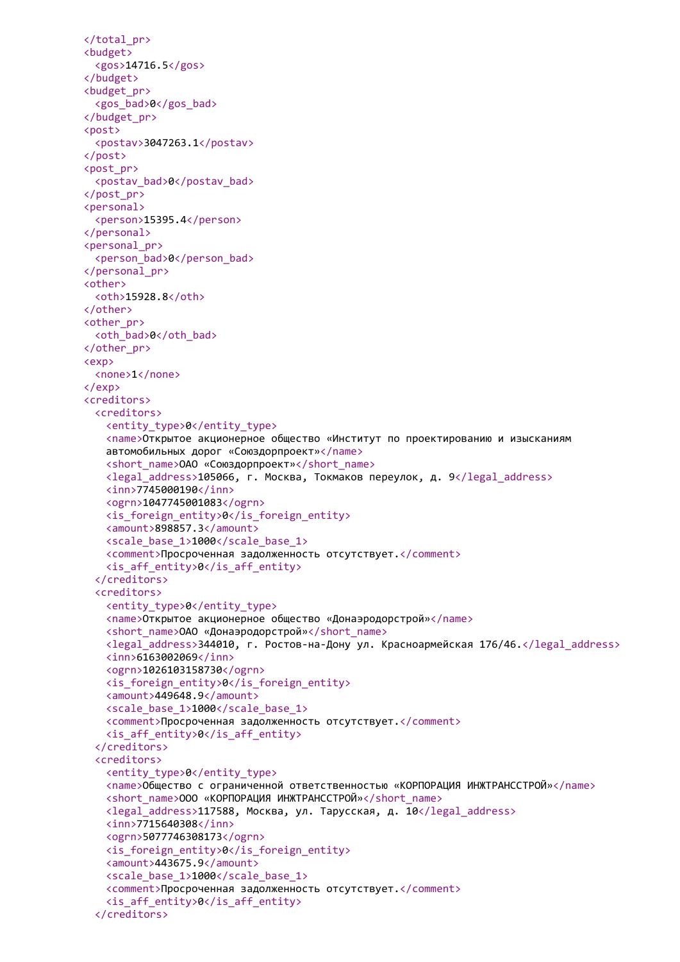```
</total_pr>
<budget>
  <gos>14716.5</gos>
</budget>
<budget_pr>
 <gos_bad>0</gos_bad>
</budget_pr>
<post>
 <postav>3047263.1</postav>
</post>
<post_pr>
 <postav_bad>0</postav_bad>
</post_pr>
<personal>
 <person>15395.4</person>
</personal>
<personal_pr>
 <person_bad>0</person_bad>
</personal_pr>
<other>
 <oth>15928.8</oth>
</other>
<other_pr>
 <oth_bad>0</oth_bad>
</other_pr>
<exp>
 <none>1</none>
</exp>
<creditors>
 <creditors>
   <entity_type>0</entity_type>
   <name>Открытое акционерное общество «Институт по проектированию и изысканиям
   автомобильных дорог «Союздорпроект»</name>
   <short_name>ОАО «Союздорпроект»</short_name>
   <legal_address>105066, г. Москва, Токмаков переулок, д. 9</legal_address>
   <inn>7745000190</inn>
   <ogrn>1047745001083</ogrn>
   <is_foreign_entity>0</is_foreign_entity>
   <amount>898857.3</amount>
   <scale_base_1>1000</scale_base_1>
   <comment>Просроченная задолженность отсутствует.</comment>
   <is_aff_entity>0</is_aff_entity>
  </creditors>
  <creditors>
   <entity_type>0</entity_type>
   <name>Открытое акционерное общество «Донаэродорстрой»</name>
   <short_name>ОАО «Донаэродорстрой»</short_name>
   <legal_address>344010, г. Ростов-на-Дону ул. Красноармейская 176/46.</legal_address>
   <inn>6163002069</inn>
   <ogrn>1026103158730</ogrn>
   <is_foreign_entity>0</is_foreign_entity>
   <amount>449648.9</amount>
   <scale_base_1>1000</scale_base_1>
   <comment>Просроченная задолженность отсутствует.</comment>
   <is_aff_entity>0</is_aff_entity>
  </creditors>
  <creditors>
   <entity_type>0</entity_type>
   <name>Общество с ограниченной ответственностью «КОРПОРАЦИЯ ИНЖТРАНССТРОЙ»</name>
   <short_name>ООО «КОРПОРАЦИЯ ИНЖТРАНССТРОЙ»</short_name>
   <legal_address>117588, Москва, ул. Тарусская, д. 10</legal_address>
   <inn>7715640308</inn>
   <ogrn>5077746308173</ogrn>
   <is_foreign_entity>0</is_foreign_entity>
   <amount>443675.9</amount>
   <scale_base_1>1000</scale_base_1>
   <comment>Просроченная задолженность отсутствует.</comment>
   <is_aff_entity>0</is_aff_entity>
  </creditors>
```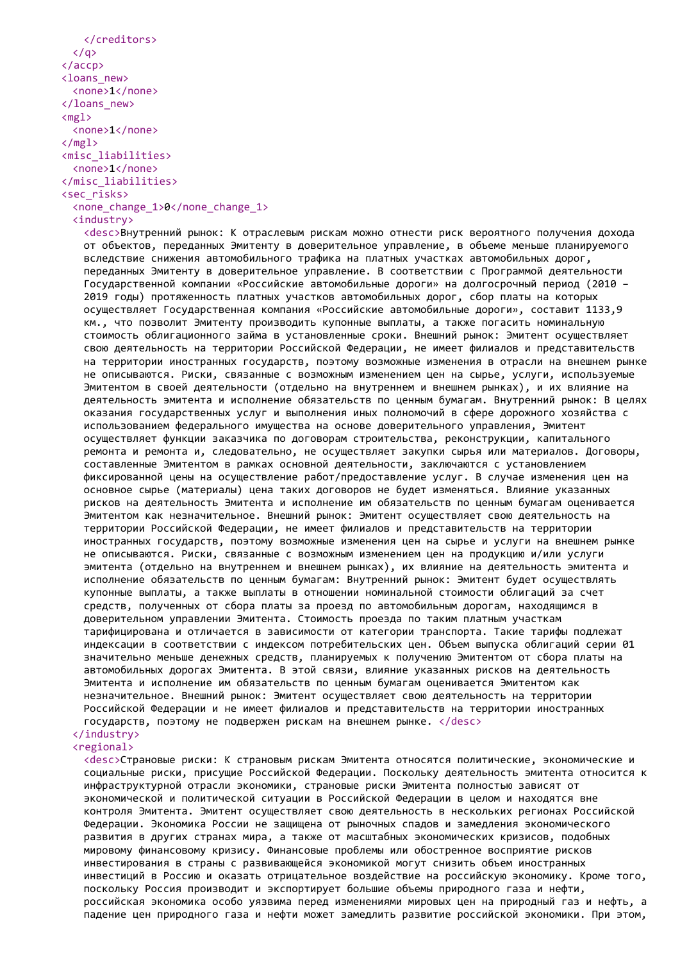```
</creditors>
  \langle/q>
</accp>
<loans_new>
  <none>1</none>
</loans_new>
<mgl<none>1</none>
\langle /mg1 \rangle<misc_liabilities>
  <none>1</none>
</misc_liabilities>
<sec_risks>
  <none_change_1>0</none_change_1>
```
#### <industry>

<desc>Внутренний рынок: К отраслевым рискам можно отнести риск вероятного получения дохода от объектов, переданных Эмитенту в доверительное управление, в объеме меньше планируемого вследствие снижения автомобильного трафика на платных участках автомобильных дорог, переданных Эмитенту в доверительное управление. В соответствии с Программой деятельности Государственной компании «Российские автомобильные дороги» на долгосрочный период (2010 – 2019 годы) протяженность платных участков автомобильных дорог, сбор платы на которых осуществляет Государственная компания «Российские автомобильные дороги», составит 1133,9 км., что позволит Эмитенту производить купонные выплаты, а также погасить номинальную стоимость облигационного займа в установленные сроки. Внешний рынок: Эмитент осуществляет свою деятельность на территории Российской Федерации, не имеет филиалов и представительств на территории иностранных государств, поэтому возможные изменения в отрасли на внешнем рынке не описываются. Риски, связанные с возможным изменением цен на сырье, услуги, используемые Эмитентом в своей деятельности (отдельно на внутреннем и внешнем рынках), и их влияние на деятельность эмитента и исполнение обязательств по ценным бумагам. Внутренний рынок: В целях оказания государственных услуг и выполнения иных полномочий в сфере дорожного хозяйства с использованием федерального имущества на основе доверительного управления, Эмитент осуществляет функции заказчика по договорам строительства, реконструкции, капитального ремонта и ремонта и, следовательно, не осуществляет закупки сырья или материалов. Договоры, составленные Эмитентом в рамках основной деятельности, заключаются с установлением фиксированной цены на осуществление работ/предоставление услуг. В случае изменения цен на основное сырье (материалы) цена таких договоров не будет изменяться. Влияние указанных рисков на деятельность Эмитента и исполнение им обязательств по ценным бумагам оценивается Эмитентом как незначительное. Внешний рынок: Эмитент осуществляет свою деятельность на территории Российской Федерации, не имеет филиалов и представительств на территории иностранных государств, поэтому возможные изменения цен на сырье и услуги на внешнем рынке не описываются. Риски, связанные с возможным изменением цен на продукцию и/или услуги эмитента (отдельно на внутреннем и внешнем рынках), их влияние на деятельность эмитента и исполнение обязательств по ценным бумагам: Внутренний рынок: Эмитент будет осуществлять купонные выплаты, а также выплаты в отношении номинальной стоимости облигаций за счет средств, полученных от сбора платы за проезд по автомобильным дорогам, находящимся в доверительном управлении Эмитента. Стоимость проезда по таким платным участкам тарифицирована и отличается в зависимости от категории транспорта. Такие тарифы подлежат индексации в соответствии с индексом потребительских цен. Объем выпуска облигаций серии 01 значительно меньше денежных средств, планируемых к получению Эмитентом от сбора платы на автомобильных дорогах Эмитента. В этой связи, влияние указанных рисков на деятельность Эмитента и исполнение им обязательств по ценным бумагам оценивается Эмитентом как незначительное. Внешний рынок: Эмитент осуществляет свою деятельность на территории Российской Федерации и не имеет филиалов и представительств на территории иностранных государств, поэтому не подвержен рискам на внешнем рынке. </desc> </industry>

# <regional>

<desc>Страновые риски: К страновым рискам Эмитента относятся политические, экономические и социальные риски, присущие Российской Федерации. Поскольку деятельность эмитента относится к инфраструктурной отрасли экономики, страновые риски Эмитента полностью зависят от экономической и политической ситуации в Российской Федерации в целом и находятся вне контроля Эмитента. Эмитент осуществляет свою деятельность в нескольких регионах Российской Федерации. Экономика России не защищена от рыночных спадов и замедления экономического развития в других странах мира, а также от масштабных экономических кризисов, подобных мировому финансовому кризису. Финансовые проблемы или обостренное восприятие рисков инвестирования в страны с развивающейся экономикой могут снизить объем иностранных инвестиций в Россию и оказать отрицательное воздействие на российскую экономику. Кроме того, поскольку Россия производит и экспортирует большие объемы природного газа и нефти, российская экономика особо уязвима перед изменениями мировых цен на природный газ и нефть, а падение цен природного газа и нефти может замедлить развитие российской экономики. При этом,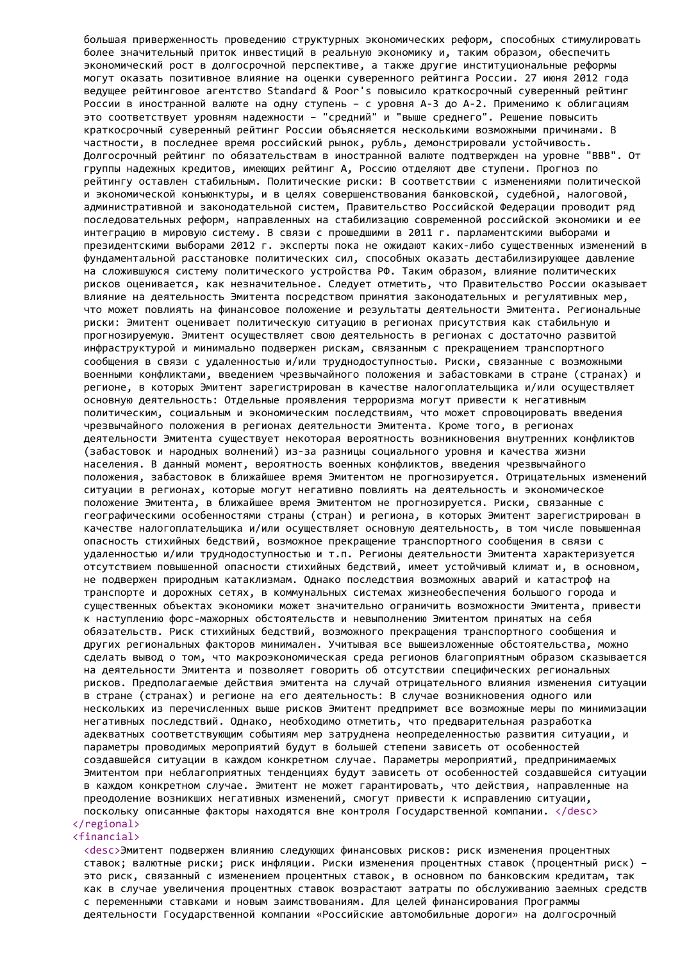большая приверженность проведению структурных экономических реформ, способных стимулировать более значительный приток инвестиций в реальную экономику и, таким образом, обеспечить экономический рост в долгосрочной перспективе, а также другие институциональные реформы могут оказать позитивное влияние на оценки суверенного рейтинга России. 27 июня 2012 года ведущее рейтинговое агентство Standard & Poor's повысило краткосрочный суверенный рейтинг России в иностранной валюте на одну ступень – с уровня А-3 до А-2. Применимо к облигациям это соответствует уровням надежности – "средний" и "выше среднего". Решение повысить краткосрочный суверенный рейтинг России объясняется несколькими возможными причинами. В частности, в последнее время российский рынок, рубль, демонстрировали устойчивость. Долгосрочный рейтинг по обязательствам в иностранной валюте подтвержден на уровне "BBB". От группы надежных кредитов, имеющих рейтинг А, Россию отделяют две ступени. Прогноз по рейтингу оставлен стабильным. Политические риски: В соответствии с изменениями политической и экономической конъюнктуры, и в целях совершенствования банковской, судебной, налоговой, административной и законодательной систем, Правительство Российской Федерации проводит ряд последовательных реформ, направленных на стабилизацию современной российской экономики и ее интеграцию в мировую систему. В связи с прошедшими в 2011 г. парламентскими выборами и президентскими выборами 2012 г. эксперты пока не ожидают каких-либо существенных изменений в фундаментальной расстановке политических сил, способных оказать дестабилизирующее давление на сложившуюся систему политического устройства РФ. Таким образом, влияние политических рисков оценивается, как незначительное. Следует отметить, что Правительство России оказывает влияние на деятельность Эмитента посредством принятия законодательных и регулятивных мер, что может повлиять на финансовое положение и результаты деятельности Эмитента. Региональные риски: Эмитент оценивает политическую ситуацию в регионах присутствия как стабильную и прогнозируемую. Эмитент осуществляет свою деятельность в регионах с достаточно развитой инфраструктурой и минимально подвержен рискам, связанным с прекращением транспортного сообщения в связи с удаленностью и/или труднодоступностью. Риски, связанные с возможными военными конфликтами, введением чрезвычайного положения и забастовками в стране (странах) и регионе, в которых Эмитент зарегистрирован в качестве налогоплательщика и/или осуществляет основную деятельность: Отдельные проявления терроризма могут привести к негативным политическим, социальным и экономическим последствиям, что может спровоцировать введения чрезвычайного положения в регионах деятельности Эмитента. Кроме того, в регионах деятельности Эмитента существует некоторая вероятность возникновения внутренних конфликтов (забастовок и народных волнений) из-за разницы социального уровня и качества жизни населения. В данный момент, вероятность военных конфликтов, введения чрезвычайного положения, забастовок в ближайшее время Эмитентом не прогнозируется. Отрицательных изменений ситуации в регионах, которые могут негативно повлиять на деятельность и экономическое положение Эмитента, в ближайшее время Эмитентом не прогнозируется. Риски, связанные с географическими особенностями страны (стран) и региона, в которых Эмитент зарегистрирован в качестве налогоплательщика и/или осуществляет основную деятельность, в том числе повышенная опасность стихийных бедствий, возможное прекращение транспортного сообщения в связи с удаленностью и/или труднодоступностью и т.п. Регионы деятельности Эмитента характеризуется отсутствием повышенной опасности стихийных бедствий, имеет устойчивый климат и, в основном, не подвержен природным катаклизмам. Однако последствия возможных аварий и катастроф на транспорте и дорожных сетях, в коммунальных системах жизнеобеспечения большого города и существенных объектах экономики может значительно ограничить возможности Эмитента, привести к наступлению форс-мажорных обстоятельств и невыполнению Эмитентом принятых на себя обязательств. Риск стихийных бедствий, возможного прекращения транспортного сообщения и других региональных факторов минимален. Учитывая все вышеизложенные обстоятельства, можно сделать вывод о том, что макроэкономическая среда регионов благоприятным образом сказывается на деятельности Эмитента и позволяет говорить об отсутствии специфических региональных рисков. Предполагаемые действия эмитента на случай отрицательного влияния изменения ситуации в стране (странах) и регионе на его деятельность: В случае возникновения одного или нескольких из перечисленных выше рисков Эмитент предпримет все возможные меры по минимизации негативных последствий. Однако, необходимо отметить, что предварительная разработка адекватных соответствующим событиям мер затруднена неопределенностью развития ситуации, и параметры проводимых мероприятий будут в большей степени зависеть от особенностей создавшейся ситуации в каждом конкретном случае. Параметры мероприятий, предпринимаемых Эмитентом при неблагоприятных тенденциях будут зависеть от особенностей создавшейся ситуации в каждом конкретном случае. Эмитент не может гарантировать, что действия, направленные на преодоление возникших негативных изменений, смогут привести к исправлению ситуации, поскольку описанные факторы находятся вне контроля Государственной компании. </desc> </regional>

## <financial>

<desc>Эмитент подвержен влиянию следующих финансовых рисков: риск изменения процентных ставок; валютные риски; риск инфляции. Риски изменения процентных ставок (процентный риск) – это риск, связанный с изменением процентных ставок, в основном по банковским кредитам, так как в случае увеличения процентных ставок возрастают затраты по обслуживанию заемных средств с переменными ставками и новым заимствованиям. Для целей финансирования Программы деятельности Государственной компании «Российские автомобильные дороги» на долгосрочный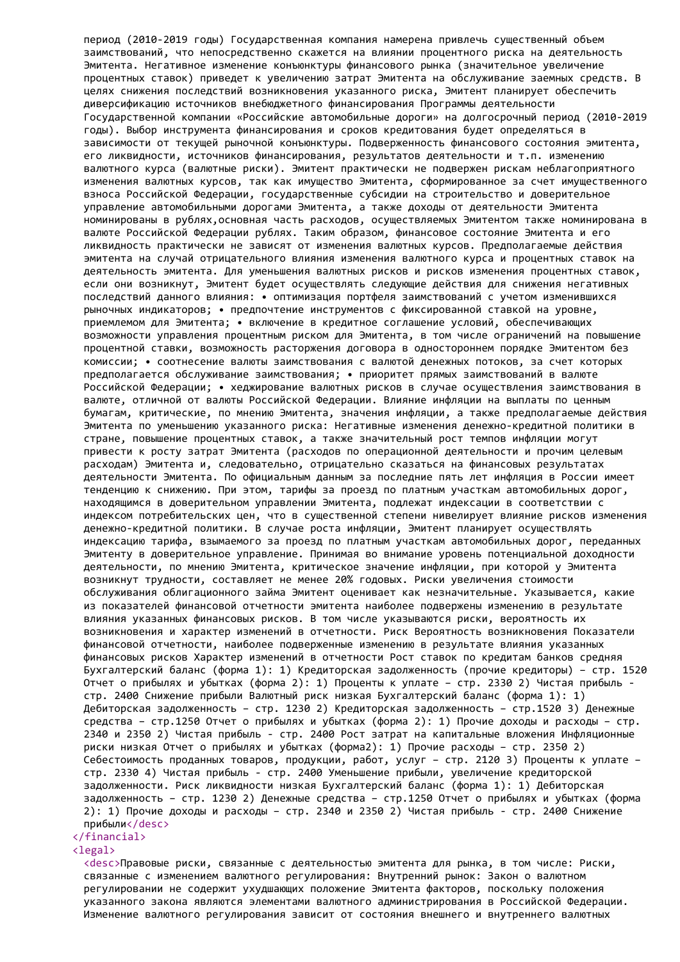период (2010-2019 годы) Государственная компания намерена привлечь существенный объем заимствований, что непосредственно скажется на влиянии процентного риска на деятельность Эмитента. Негативное изменение конъюнктуры финансового рынка (значительное увеличение процентных ставок) приведет к увеличению затрат Эмитента на обслуживание заемных средств. В целях снижения последствий возникновения указанного риска, Эмитент планирует обеспечить диверсификацию источников внебюджетного финансирования Программы деятельности Государственной компании «Российские автомобильные дороги» на долгосрочный период (2010-2019 годы). Выбор инструмента финансирования и сроков кредитования будет определяться в зависимости от текущей рыночной конъюнктуры. Подверженность финансового состояния эмитента, его ликвидности, источников финансирования, результатов деятельности и т.п. изменению валютного курса (валютные риски). Эмитент практически не подвержен рискам неблагоприятного изменения валютных курсов, так как имущество Эмитента, сформированное за счет имущественного взноса Российской Федерации, государственные субсидии на строительство и доверительное управление автомобильными дорогами Эмитента, а также доходы от деятельности Эмитента номинированы в рублях,основная часть расходов, осуществляемых Эмитентом также номинирована в валюте Российской Федерации рублях. Таким образом, финансовое состояние Эмитента и его ликвидность практически не зависят от изменения валютных курсов. Предполагаемые действия эмитента на случай отрицательного влияния изменения валютного курса и процентных ставок на деятельность эмитента. Для уменьшения валютных рисков и рисков изменения процентных ставок, если они возникнут, Эмитент будет осуществлять следующие действия для снижения негативных последствий данного влияния: • оптимизация портфеля заимствований с учетом изменившихся рыночных индикаторов; • предпочтение инструментов с фиксированной ставкой на уровне, приемлемом для Эмитента; • включение в кредитное соглашение условий, обеспечивающих возможности управления процентным риском для Эмитента, в том числе ограничений на повышение процентной ставки, возможность расторжения договора в одностороннем порядке Эмитентом без комиссии; • соотнесение валюты заимствования с валютой денежных потоков, за счет которых предполагается обслуживание заимствования; • приоритет прямых заимствований в валюте Российской Федерации; • хеджирование валютных рисков в случае осуществления заимствования в валюте, отличной от валюты Российской Федерации. Влияние инфляции на выплаты по ценным бумагам, критические, по мнению Эмитента, значения инфляции, а также предполагаемые действия Эмитента по уменьшению указанного риска: Негативные изменения денежно-кредитной политики в стране, повышение процентных ставок, а также значительный рост темпов инфляции могут привести к росту затрат Эмитента (расходов по операционной деятельности и прочим целевым расходам) Эмитента и, следовательно, отрицательно сказаться на финансовых результатах деятельности Эмитента. По официальным данным за последние пять лет инфляция в России имеет тенденцию к снижению. При этом, тарифы за проезд по платным участкам автомобильных дорог, находящимся в доверительном управлении Эмитента, подлежат индексации в соответствии с индексом потребительских цен, что в существенной степени нивелирует влияние рисков изменения денежно-кредитной политики. В случае роста инфляции, Эмитент планирует осуществлять индексацию тарифа, взымаемого за проезд по платным участкам автомобильных дорог, переданных Эмитенту в доверительное управление. Принимая во внимание уровень потенциальной доходности деятельности, по мнению Эмитента, критическое значение инфляции, при которой у Эмитента возникнут трудности, составляет не менее 20% годовых. Риски увеличения стоимости обслуживания облигационного займа Эмитент оценивает как незначительные. Указывается, какие из показателей финансовой отчетности эмитента наиболее подвержены изменению в результате влияния указанных финансовых рисков. В том числе указываются риски, вероятность их возникновения и характер изменений в отчетности. Риск Вероятность возникновения Показатели финансовой отчетности, наиболее подверженные изменению в результате влияния указанных финансовых рисков Характер изменений в отчетности Рост ставок по кредитам банков средняя Бухгалтерский баланс (форма 1): 1) Кредиторская задолженность (прочие кредиторы) – стр. 1520 Отчет о прибылях и убытках (форма 2): 1) Проценты к уплате – стр. 2330 2) Чистая прибыль стр. 2400 Снижение прибыли Валютный риск низкая Бухгалтерский баланс (форма 1): 1) Дебиторская задолженность – стр. 1230 2) Кредиторская задолженность – стр.1520 3) Денежные средства – стр.1250 Отчет о прибылях и убытках (форма 2): 1) Прочие доходы и расходы – стр. 2340 и 2350 2) Чистая прибыль - стр. 2400 Рост затрат на капитальные вложения Инфляционные риски низкая Отчет о прибылях и убытках (форма2): 1) Прочие расходы – стр. 2350 2) Себестоимость проданных товаров, продукции, работ, услуг – стр. 2120 3) Проценты к уплате – стр. 2330 4) Чистая прибыль - стр. 2400 Уменьшение прибыли, увеличение кредиторской задолженности. Риск ликвидности низкая Бухгалтерский баланс (форма 1): 1) Дебиторская задолженность – стр. 1230 2) Денежные средства – стр.1250 Отчет о прибылях и убытках (форма 2): 1) Прочие доходы и расходы – стр. 2340 и 2350 2) Чистая прибыль - стр. 2400 Снижение прибыли</desc> </financial>

#### <legal>

<desc>Правовые риски, связанные с деятельностью эмитента для рынка, в том числе: Риски, связанные с изменением валютного регулирования: Внутренний рынок: Закон о валютном регулировании не содержит ухудшающих положение Эмитента факторов, поскольку положения указанного закона являются элементами валютного администрирования в Российской Федерации. Изменение валютного регулирования зависит от состояния внешнего и внутреннего валютных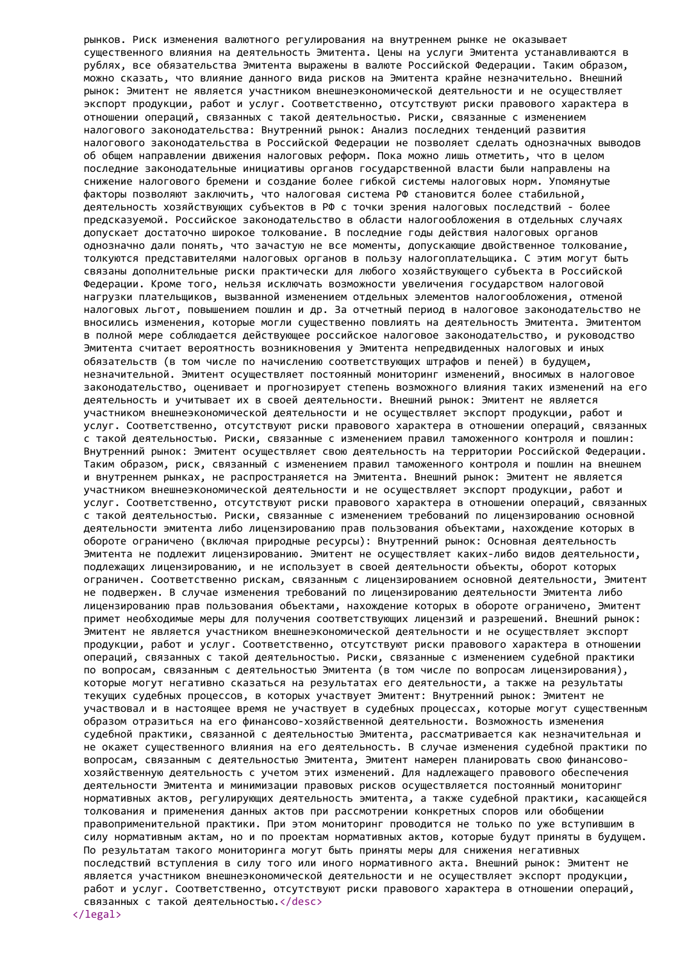рынков. Риск изменения валютного регулирования на внутреннем рынке не оказывает существенного влияния на деятельность Эмитента. Цены на услуги Эмитента устанавливаются в рублях, все обязательства Эмитента выражены в валюте Российской Федерации. Таким образом, можно сказать, что влияние данного вида рисков на Эмитента крайне незначительно. Внешний рынок: Эмитент не является участником внешнеэкономической деятельности и не осуществляет экспорт продукции, работ и услуг. Соответственно, отсутствуют риски правового характера в отношении операций, связанных с такой деятельностью. Риски, связанные с изменением налогового законодательства: Внутренний рынок: Анализ последних тенденций развития налогового законодательства в Российской Федерации не позволяет сделать однозначных выводов об общем направлении движения налоговых реформ. Пока можно лишь отметить, что в целом последние законодательные инициативы органов государственной власти были направлены на снижение налогового бремени и создание более гибкой системы налоговых норм. Упомянутые факторы позволяют заключить, что налоговая система РФ становится более стабильной, деятельность хозяйствующих субъектов в РФ с точки зрения налоговых последствий - более предсказуемой. Российское законодательство в области налогообложения в отдельных случаях допускает достаточно широкое толкование. В последние годы действия налоговых органов однозначно дали понять, что зачастую не все моменты, допускающие двойственное толкование, толкуются представителями налоговых органов в пользу налогоплательщика. С этим могут быть связаны дополнительные риски практически для любого хозяйствующего субъекта в Российской Федерации. Кроме того, нельзя исключать возможности увеличения государством налоговой нагрузки плательщиков, вызванной изменением отдельных элементов налогообложения, отменой налоговых льгот, повышением пошлин и др. За отчетный период в налоговое законодательство не вносились изменения, которые могли существенно повлиять на деятельность Эмитента. Эмитентом в полной мере соблюдается действующее российское налоговое законодательство, и руководство Эмитента считает вероятность возникновения у Эмитента непредвиденных налоговых и иных обязательств (в том числе по начислению соответствующих штрафов и пеней) в будущем, незначительной. Эмитент осуществляет постоянный мониторинг изменений, вносимых в налоговое законодательство, оценивает и прогнозирует степень возможного влияния таких изменений на его деятельность и учитывает их в своей деятельности. Внешний рынок: Эмитент не является участником внешнеэкономической деятельности и не осуществляет экспорт продукции, работ и услуг. Соответственно, отсутствуют риски правового характера в отношении операций, связанных с такой деятельностью. Риски, связанные с изменением правил таможенного контроля и пошлин: Внутренний рынок: Эмитент осуществляет свою деятельность на территории Российской Федерации. Таким образом, риск, связанный с изменением правил таможенного контроля и пошлин на внешнем и внутреннем рынках, не распространяется на Эмитента. Внешний рынок: Эмитент не является участником внешнеэкономической деятельности и не осуществляет экспорт продукции, работ и услуг. Соответственно, отсутствуют риски правового характера в отношении операций, связанных с такой деятельностью. Риски, связанные с изменением требований по лицензированию основной деятельности эмитента либо лицензированию прав пользования объектами, нахождение которых в обороте ограничено (включая природные ресурсы): Внутренний рынок: Основная деятельность Эмитента не подлежит лицензированию. Эмитент не осуществляет каких-либо видов деятельности, подлежащих лицензированию, и не использует в своей деятельности объекты, оборот которых ограничен. Соответственно рискам, связанным с лицензированием основной деятельности, Эмитент не подвержен. В случае изменения требований по лицензированию деятельности Эмитента либо лицензированию прав пользования объектами, нахождение которых в обороте ограничено, Эмитент примет необходимые меры для получения соответствующих лицензий и разрешений. Внешний рынок: Эмитент не является участником внешнеэкономической деятельности и не осуществляет экспорт продукции, работ и услуг. Соответственно, отсутствуют риски правового характера в отношении операций, связанных с такой деятельностью. Риски, связанные с изменением судебной практики по вопросам, связанным с деятельностью Эмитента (в том числе по вопросам лицензирования), которые могут негативно сказаться на результатах его деятельности, а также на результаты текущих судебных процессов, в которых участвует Эмитент: Внутренний рынок: Эмитент не участвовал и в настоящее время не участвует в судебных процессах, которые могут существенным образом отразиться на его финансово-хозяйственной деятельности. Возможность изменения судебной практики, связанной с деятельностью Эмитента, рассматривается как незначительная и не окажет существенного влияния на его деятельность. В случае изменения судебной практики по вопросам, связанным с деятельностью Эмитента, Эмитент намерен планировать свою финансовохозяйственную деятельность с учетом этих изменений. Для надлежащего правового обеспечения деятельности Эмитента и минимизации правовых рисков осуществляется постоянный мониторинг нормативных актов, регулирующих деятельность эмитента, а также судебной практики, касающейся толкования и применения данных актов при рассмотрении конкретных споров или обобщении правоприменительной практики. При этом мониторинг проводится не только по уже вступившим в силу нормативным актам, но и по проектам нормативных актов, которые будут приняты в будущем. По результатам такого мониторинга могут быть приняты меры для снижения негативных последствий вступления в силу того или иного нормативного акта. Внешний рынок: Эмитент не является участником внешнеэкономической деятельности и не осуществляет экспорт продукции, работ и услуг. Соответственно, отсутствуют риски правового характера в отношении операций, связанных с такой деятельностью.</desc>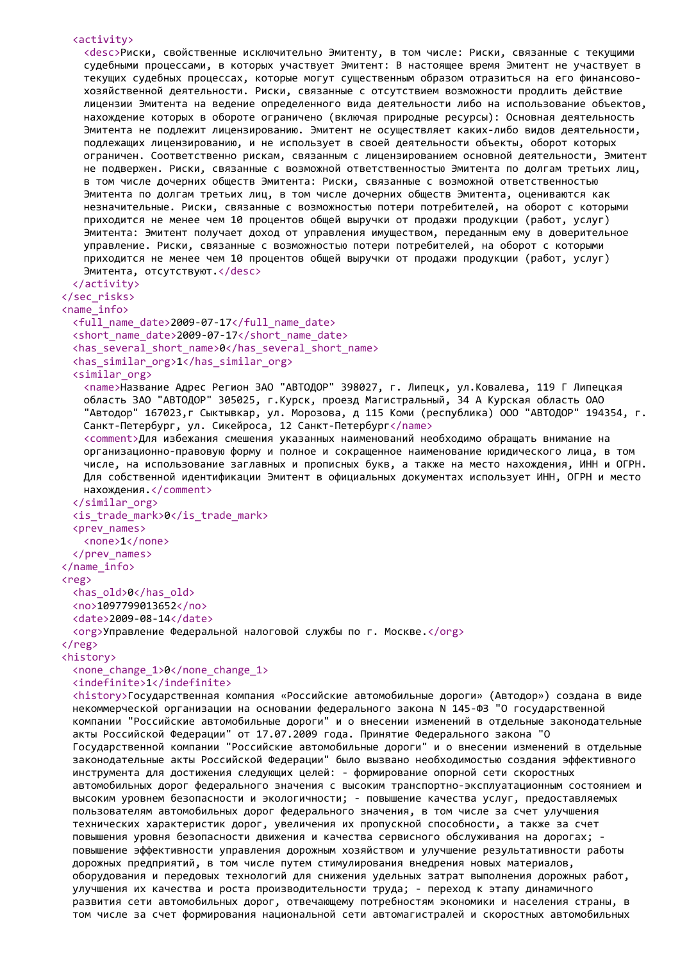```
<activity>
   <desc>Риски, свойственные исключительно Эмитенту, в том числе: Риски, связанные с текущими
   судебными процессами, в которых участвует Эмитент: В настоящее время Эмитент не участвует в
   текущих судебных процессах, которые могут существенным образом отразиться на его финансово-
   хозяйственной деятельности. Риски, связанные с отсутствием возможности продлить действие
   лицензии Эмитента на ведение определенного вида деятельности либо на использование объектов,
   нахождение которых в обороте ограничено (включая природные ресурсы): Основная деятельность
   Эмитента не подлежит лицензированию. Эмитент не осуществляет каких-либо видов деятельности,
   подлежащих лицензированию, и не использует в своей деятельности объекты, оборот которых
   ограничен. Соответственно рискам, связанным с лицензированием основной деятельности, Эмитент
   не подвержен. Риски, связанные с возможной ответственностью Эмитента по долгам третьих лиц,
   в том числе дочерних обществ Эмитента: Риски, связанные с возможной ответственностью
   Эмитента по долгам третьих лиц, в том числе дочерних обществ Эмитента, оцениваются как
   незначительные. Риски, связанные с возможностью потери потребителей, на оборот с которыми
   приходится не менее чем 10 процентов общей выручки от продажи продукции (работ, услуг)
   Эмитента: Эмитент получает доход от управления имуществом, переданным ему в доверительное
   управление. Риски, связанные с возможностью потери потребителей, на оборот с которыми
   приходится не менее чем 10 процентов общей выручки от продажи продукции (работ, услуг)
   Эмитента, отсутствуют.</desc>
 </activity>
</sec_risks>
<name_info>
 <full_name_date>2009-07-17</full_name_date>
 <short_name_date>2009-07-17</short_name_date>
 <has_several_short_name>0</has_several_short_name>
 <has_similar_org>1</has_similar_org>
 <similar_org>
   <name>Название Адрес Регион ЗАО "АВТОДОР" 398027, г. Липецк, ул.Ковалева, 119 Г Липецкая
   область ЗАО "АВТОДОР" 305025, г.Курск, проезд Магистральный, 34 А Курская область ОАО
   "Автодор" 167023,г Сыктывкар, ул. Морозова, д 115 Коми (республика) ООО "АВТОДОР" 194354, г.
   Санкт-Петербург, ул. Сикейроса, 12 Санкт-Петербург</name>
   <comment>Для избежания смешения указанных наименований необходимо обращать внимание на
   организационно-правовую форму и полное и сокращенное наименование юридического лица, в том
   числе, на использование заглавных и прописных букв, а также на место нахождения, ИНН и ОГРН.
   Для собственной идентификации Эмитент в официальных документах использует ИНН, ОГРН и место
   нахождения.</comment>
 </similar_org>
 \langleis trade mark>0\langleis trade mark>
 <prev_names>
   <none>1</none>
 </prev_names>
</name_info>
<reg>
 <has_old>0</has_old>
 <no>1097799013652</no>
 <date>2009-08-14</date>
 <org>Управление Федеральной налоговой службы по г. Москве.</org>
\langlereg>
<history>
 <none_change_1>0</none_change_1>
 <indefinite>1</indefinite>
 <history>Государственная компания «Российские автомобильные дороги» (Автодор») создана в виде
 некоммерческой организации на основании федерального закона N 145-ФЗ "О государственной
 компании "Российские автомобильные дороги" и о внесении изменений в отдельные законодательные
 акты Российской Федерации" от 17.07.2009 года. Принятие Федерального закона "О
 Государственной компании "Российские автомобильные дороги" и о внесении изменений в отдельные
 законодательные акты Российской Федерации" было вызвано необходимостью создания эффективного
 инструмента для достижения следующих целей: - формирование опорной сети скоростных
 автомобильных дорог федерального значения с высоким транспортно-эксплуатационным состоянием и
 высоким уровнем безопасности и экологичности; - повышение качества услуг, предоставляемых
 пользователям автомобильных дорог федерального значения, в том числе за счет улучшения
 технических характеристик дорог, увеличения их пропускной способности, а также за счет
 повышения уровня безопасности движения и качества сервисного обслуживания на дорогах; -
 повышение эффективности управления дорожным хозяйством и улучшение результативности работы
 дорожных предприятий, в том числе путем стимулирования внедрения новых материалов,
 оборудования и передовых технологий для снижения удельных затрат выполнения дорожных работ,
 улучшения их качества и роста производительности труда; - переход к этапу динамичного
 развития сети автомобильных дорог, отвечающему потребностям экономики и населения страны, в
```
том числе за счет формирования национальной сети автомагистралей и скоростных автомобильных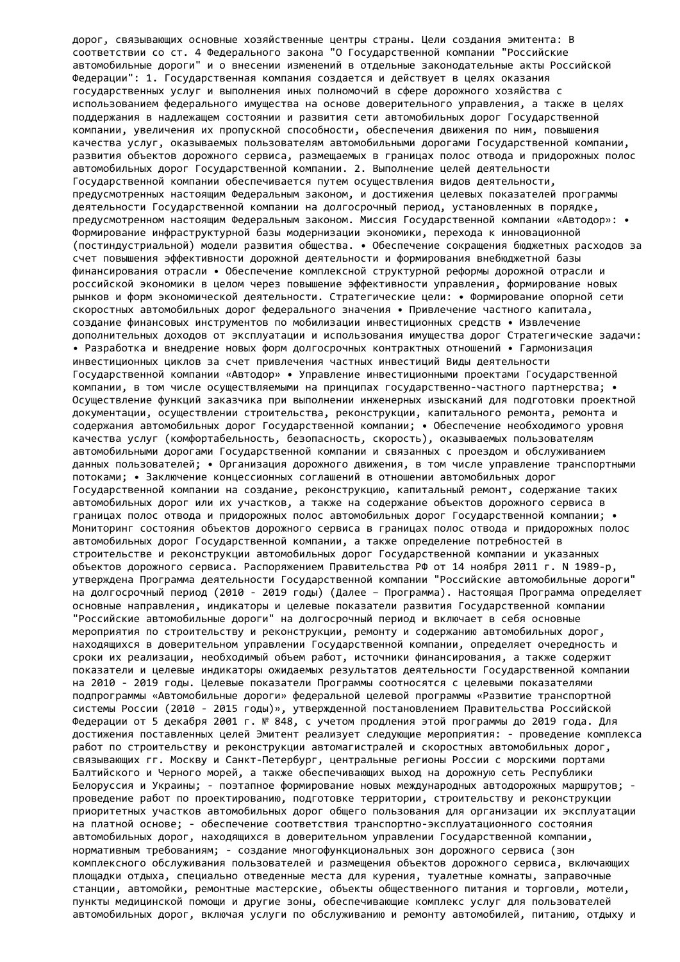дорог, связывающих основные хозяйственные центры страны. Цели создания эмитента: В соответствии со ст. 4 Федерального закона "О Государственной компании "Российские автомобильные дороги" и о внесении изменений в отдельные законодательные акты Российской Федерации": 1. Государственная компания создается и действует в целях оказания государственных услуг и выполнения иных полномочий в сфере дорожного хозяйства с использованием федерального имущества на основе доверительного управления, а также в целях поддержания в надлежащем состоянии и развития сети автомобильных дорог Государственной компании, увеличения их пропускной способности, обеспечения движения по ним, повышения качества услуг, оказываемых пользователям автомобильными дорогами Государственной компании, развития объектов дорожного сервиса, размещаемых в границах полос отвода и придорожных полос автомобильных дорог Государственной компании. 2. Выполнение целей деятельности Государственной компании обеспечивается путем осуществления видов деятельности, предусмотренных настоящим Федеральным законом, и достижения целевых показателей программы деятельности Государственной компании на долгосрочный период, установленных в порядке, предусмотренном настоящим Федеральным законом. Миссия Государственной компании «Автодор»: • Формирование инфраструктурной базы модернизации экономики, перехода к инновационной (постиндустриальной) модели развития общества. • Обеспечение сокращения бюджетных расходов за счет повышения эффективности дорожной деятельности и формирования внебюджетной базы финансирования отрасли • Обеспечение комплексной структурной реформы дорожной отрасли и российской экономики в целом через повышение эффективности управления, формирование новых рынков и форм экономической деятельности. Стратегические цели: • Формирование опорной сети скоростных автомобильных дорог федерального значения • Привлечение частного капитала, создание финансовых инструментов по мобилизации инвестиционных средств • Извлечение дополнительных доходов от эксплуатации и использования имущества дорог Стратегические задачи: • Разработка и внедрение новых форм долгосрочных контрактных отношений • Гармонизация инвестиционных циклов за счет привлечения частных инвестиций Виды деятельности Государственной компании «Автодор» • Управление инвестиционными проектами Государственной компании, в том числе осуществляемыми на принципах государственно-частного партнерства; • Осуществление функций заказчика при выполнении инженерных изысканий для подготовки проектной документации, осуществлении строительства, реконструкции, капитального ремонта, ремонта и содержания автомобильных дорог Государственной компании; • Обеспечение необходимого уровня качества услуг (комфортабельность, безопасность, скорость), оказываемых пользователям автомобильными дорогами Государственной компании и связанных с проездом и обслуживанием данных пользователей; • Организация дорожного движения, в том числе управление транспортными потоками; • Заключение концессионных соглашений в отношении автомобильных дорог Государственной компании на создание, реконструкцию, капитальный ремонт, содержание таких автомобильных дорог или их участков, а также на содержание объектов дорожного сервиса в границах полос отвода и придорожных полос автомобильных дорог Государственной компании; • Мониторинг состояния объектов дорожного сервиса в границах полос отвода и придорожных полос автомобильных дорог Государственной компании, а также определение потребностей в строительстве и реконструкции автомобильных дорог Государственной компании и указанных объектов дорожного сервиса. Распоряжением Правительства РФ от 14 ноября 2011 г. N 1989-р, утверждена Программа деятельности Государственной компании "Российские автомобильные дороги" на долгосрочный период (2010 - 2019 годы) (Далее – Программа). Настоящая Программа определяет основные направления, индикаторы и целевые показатели развития Государственной компании "Российские автомобильные дороги" на долгосрочный период и включает в себя основные мероприятия по строительству и реконструкции, ремонту и содержанию автомобильных дорог, находящихся в доверительном управлении Государственной компании, определяет очередность и сроки их реализации, необходимый объем работ, источники финансирования, а также содержит показатели и целевые индикаторы ожидаемых результатов деятельности Государственной компании на 2010 - 2019 годы. Целевые показатели Программы соотносятся с целевыми показателями подпрограммы «Автомобильные дороги» федеральной целевой программы «Развитие транспортной системы России (2010 - 2015 годы)», утвержденной постановлением Правительства Российской Федерации от 5 декабря 2001 г. № 848, с учетом продления этой программы до 2019 года. Для достижения поставленных целей Эмитент реализует следующие мероприятия: - проведение комплекса работ по строительству и реконструкции автомагистралей и скоростных автомобильных дорог, связывающих гг. Москву и Санкт-Петербург, центральные регионы России с морскими портами Балтийского и Черного морей, а также обеспечивающих выход на дорожную сеть Республики Белоруссия и Украины; - поэтапное формирование новых международных автодорожных маршрутов; проведение работ по проектированию, подготовке территории, строительству и реконструкции приоритетных участков автомобильных дорог общего пользования для организации их эксплуатации на платной основе; - обеспечение соответствия транспортно-эксплуатационного состояния автомобильных дорог, находящихся в доверительном управлении Государственной компании, нормативным требованиям; - создание многофункциональных зон дорожного сервиса (зон комплексного обслуживания пользователей и размещения объектов дорожного сервиса, включающих площадки отдыха, специально отведенные места для курения, туалетные комнаты, заправочные станции, автомойки, ремонтные мастерские, объекты общественного питания и торговли, мотели, пункты медицинской помощи и другие зоны, обеспечивающие комплекс услуг для пользователей автомобильных дорог, включая услуги по обслуживанию и ремонту автомобилей, питанию, отдыху и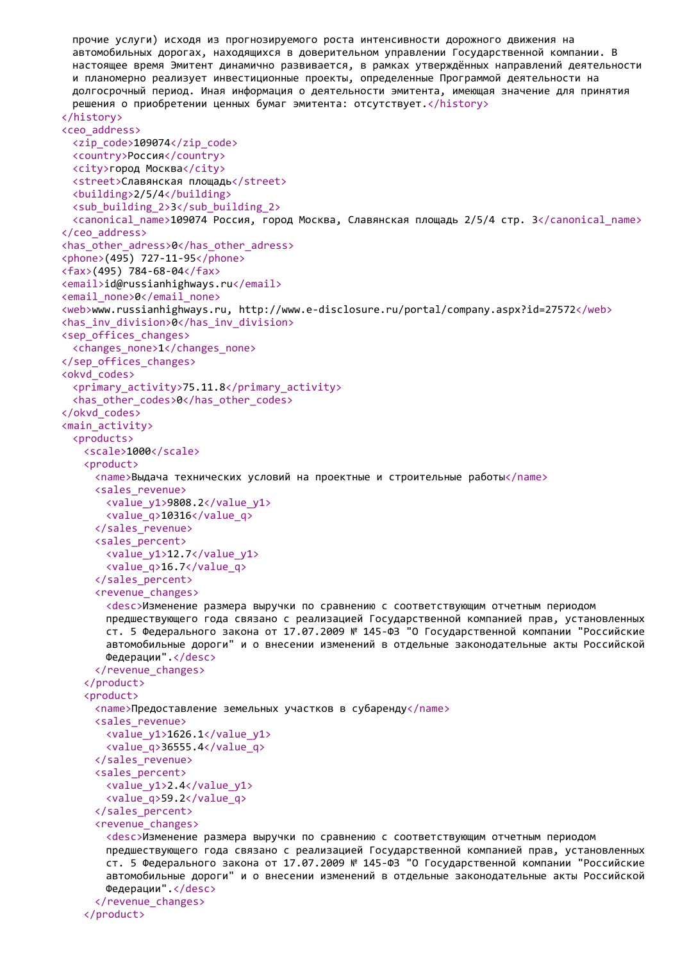```
прочие услуги) исходя из прогнозируемого роста интенсивности дорожного движения на
 автомобильных дорогах, находящихся в доверительном управлении Государственной компании. В
 настоящее время Эмитент динамично развивается, в рамках утверждённых направлений деятельности
 и планомерно реализует инвестиционные проекты, определенные Программой деятельности на
 долгосрочный период. Иная информация о деятельности эмитента, имеющая значение для принятия
 решения о приобретении ценных бумаг эмитента: отсутствует.</history>
</history>
<ceo_address>
 <zip_code>109074</zip_code>
 <country>Россия</country>
 <city>город Москва</city>
 <street>Славянская площадь</street>
 <building>2/5/4</building>
 <sub_building_2>3</sub_building_2>
 <canonical_name>109074 Россия, город Москва, Славянская площадь 2/5/4 стр. 3</canonical_name>
</ceo_address>
<has_other_adress>0</has_other_adress>
<phone>(495) 727-11-95</phone>
<fax>(495) 784-68-04</fax>
<email>id@russianhighways.ru</email>
<email_none>0</email_none>
<web>www.russianhighways.ru, http://www.e-disclosure.ru/portal/company.aspx?id=27572</web>
<has_inv_division>0</has_inv_division>
<sep_offices_changes>
 <changes_none>1</changes_none>
</sep_offices_changes>
<okvd_codes>
 <primary_activity>75.11.8</primary_activity>
 <has_other_codes>0</has_other_codes>
</okvd_codes>
<main_activity>
 <products>
   <scale>1000</scale>
   <product>
     <name>Выдача технических условий на проектные и строительные работы</name>
     <sales_revenue>
       <value_y1>9808.2</value_y1>
       <value_q>10316</value_q>
     </sales_revenue>
     <sales_percent>
       <value_y1>12.7</value_y1>
       <value_q>16.7</value_q>
     </sales_percent>
     <revenue_changes>
       <desc>Изменение размера выручки по сравнению с соответствующим отчетным периодом
       предшествующего года связано с реализацией Государственной компанией прав, установленных
       ст. 5 Федерального закона от 17.07.2009 № 145-ФЗ "О Государственной компании "Российские
       автомобильные дороги" и о внесении изменений в отдельные законодательные акты Российской
       Федерации".</desc>
     </revenue_changes>
   </product>
   <product>
     <name>Предоставление земельных участков в субаренду</name>
     <sales_revenue>
       <value_y1>1626.1</value_y1>
       <value_q>36555.4</value_q>
     </sales_revenue>
     <sales_percent>
       <value_y1>2.4</value_y1>
       <value_q>59.2</value_q>
     </sales_percent>
     <revenue_changes>
       <desc>Изменение размера выручки по сравнению с соответствующим отчетным периодом
       предшествующего года связано с реализацией Государственной компанией прав, установленных
       ст. 5 Федерального закона от 17.07.2009 № 145-ФЗ "О Государственной компании "Российские
       автомобильные дороги" и о внесении изменений в отдельные законодательные акты Российской
       Федерации".</desc>
     </revenue_changes>
   </product>
```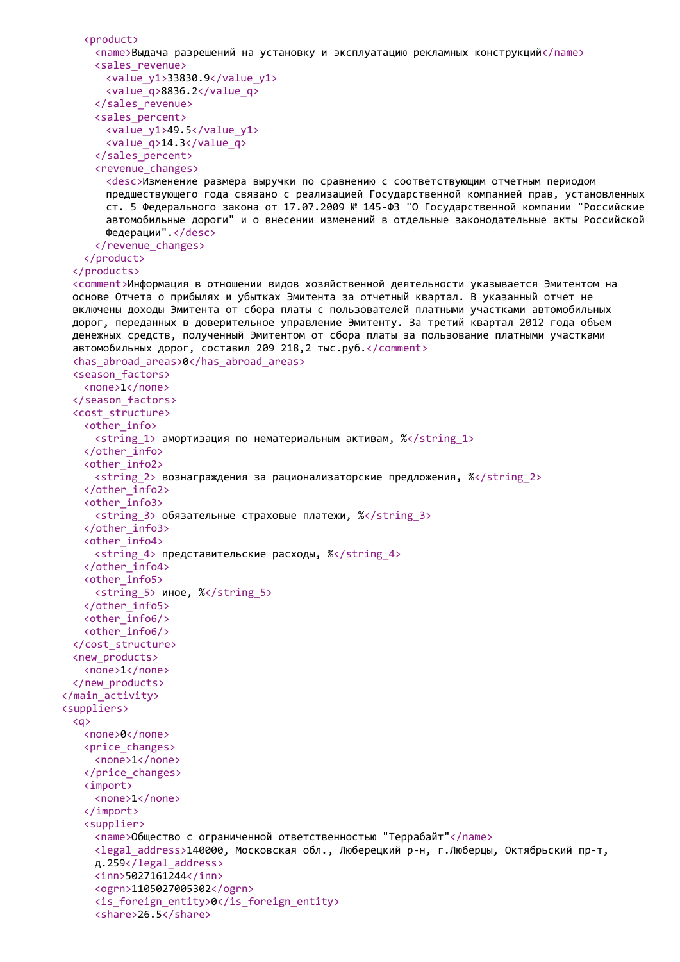```
<product>
     <name>Выдача разрешений на установку и эксплуатацию рекламных конструкций</name>
     <sales_revenue>
       <value_y1>33830.9</value_y1>
       <value_q>8836.2</value_q>
     </sales_revenue>
     <sales_percent>
       <value_y1>49.5</value_y1>
       <value_q>14.3</value_q>
     </sales_percent>
     <revenue_changes>
       <desc>Изменение размера выручки по сравнению с соответствующим отчетным периодом
       предшествующего года связано с реализацией Государственной компанией прав, установленных
       ст. 5 Федерального закона от 17.07.2009 № 145-ФЗ "О Государственной компании "Российские
       автомобильные дороги" и о внесении изменений в отдельные законодательные акты Российской
       Федерации".</desc>
     </revenue_changes>
   </product>
  </products>
  <comment>Информация в отношении видов хозяйственной деятельности указывается Эмитентом на
  основе Отчета о прибылях и убытках Эмитента за отчетный квартал. В указанный отчет не
  включены доходы Эмитента от сбора платы с пользователей платными участками автомобильных
 дорог, переданных в доверительное управление Эмитенту. За третий квартал 2012 года объем
 денежных средств, полученный Эмитентом от сбора платы за пользование платными участками
  автомобильных дорог, составил 209 218,2 тыс.руб.</comment>
  <has_abroad_areas>0</has_abroad_areas>
  <season_factors>
   <none>1</none>
  </season_factors>
  <cost_structure>
   <other_info>
     <string_1> амортизация по нематериальным активам, %</string_1>
   </other_info>
   <other_info2>
     \langlestring 2> вознаграждения за рационализаторские предложения, %\langle/string 2>
   </other_info2>
   <other_info3>
     <string_3> обязательные страховые платежи, %</string_3>
   </other_info3>
   <other_info4>
     <string 4> представительские расходы, %</string 4>
   </other_info4>
   <other_info5>
     <string 5> иное, %</string 5>
   </other_info5>
   <other_info6/>
   <other_info6/>
  </cost_structure>
  <new_products>
   <none>1</none>
  </new_products>
</main_activity>
<suppliers>
  <q>
   <none>0</none>
   <price_changes>
     <none>1</none>
   </price_changes>
   <import>
     <none>1</none>
   </import>
   <supplier>
     <name>Общество с ограниченной ответственностью "Террабайт"</name>
     <legal_address>140000, Московская обл., Люберецкий р-н, г.Люберцы, Октябрьский пр-т,
     д.259</legal_address>
     <inn>5027161244</inn>
     <ogrn>1105027005302</ogrn>
     <is_foreign_entity>0</is_foreign_entity>
     <share>26.5</share>
```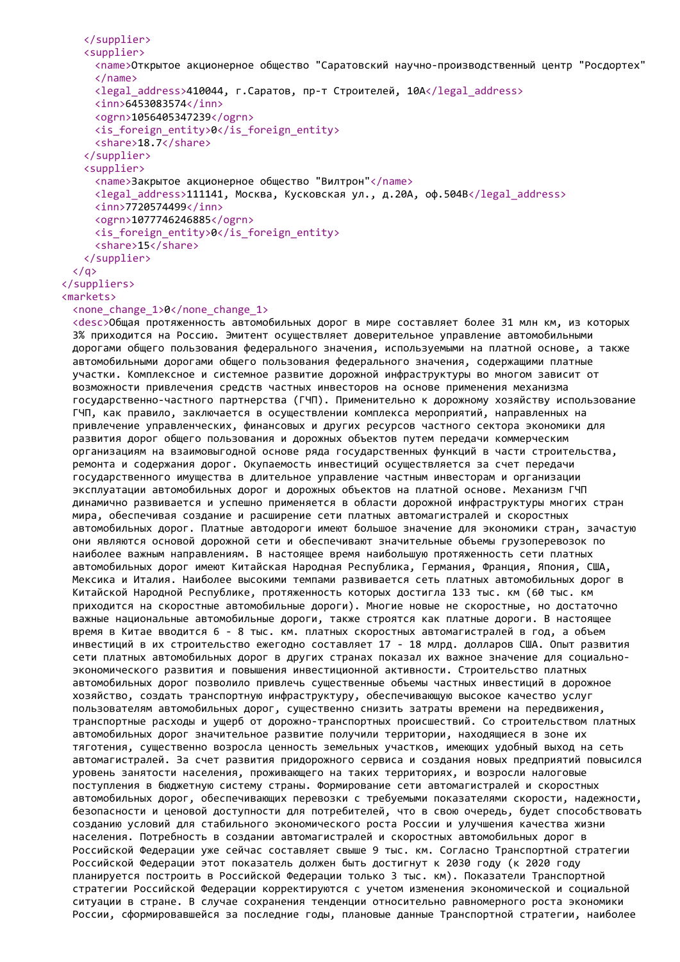```
</supplier>
   <supplier>
     <name>Открытое акционерное общество "Саратовский научно-производственный центр "Росдортех"
     </name>
     <legal_address>410044, г.Саратов, пр-т Строителей, 10А</legal_address>
     <inn>6453083574</inn>
     <ogrn>1056405347239</ogrn>
     <is_foreign_entity>0</is_foreign_entity>
     <share>18.7</share>
   </supplier>
   <supplier>
     <name>Закрытое акционерное общество "Вилтрон"</name>
     <legal_address>111141, Москва, Кусковская ул., д.20А, оф.504В</legal_address>
     <inn>7720574499</inn>
     <ogrn>1077746246885</ogrn>
     <is_foreign_entity>0</is_foreign_entity>
     <share>15</share>
   </supplier>
 \langle/a>
</suppliers>
<markets>
```
## <none\_change\_1>0</none\_change\_1>

<desc>Общая протяженность автомобильных дорог в мире составляет более 31 млн км, из которых 3% приходится на Россию. Эмитент осуществляет доверительное управление автомобильными дорогами общего пользования федерального значения, используемыми на платной основе, а также автомобильными дорогами общего пользования федерального значения, содержащими платные участки. Комплексное и системное развитие дорожной инфраструктуры во многом зависит от возможности привлечения средств частных инвесторов на основе применения механизма государственно-частного партнерства (ГЧП). Применительно к дорожному хозяйству использование ГЧП, как правило, заключается в осуществлении комплекса мероприятий, направленных на привлечение управленческих, финансовых и других ресурсов частного сектора экономики для развития дорог общего пользования и дорожных объектов путем передачи коммерческим организациям на взаимовыгодной основе ряда государственных функций в части строительства, ремонта и содержания дорог. Окупаемость инвестиций осуществляется за счет передачи государственного имущества в длительное управление частным инвесторам и организации эксплуатации автомобильных дорог и дорожных объектов на платной основе. Механизм ГЧП динамично развивается и успешно применяется в области дорожной инфраструктуры многих стран мира, обеспечивая создание и расширение сети платных автомагистралей и скоростных автомобильных дорог. Платные автодороги имеют большое значение для экономики стран, зачастую они являются основой дорожной сети и обеспечивают значительные объемы грузоперевозок по наиболее важным направлениям. В настоящее время наибольшую протяженность сети платных автомобильных дорог имеют Китайская Народная Республика, Германия, Франция, Япония, США, Мексика и Италия. Наиболее высокими темпами развивается сеть платных автомобильных дорог в Китайской Народной Республике, протяженность которых достигла 133 тыс. км (60 тыс. км приходится на скоростные автомобильные дороги). Многие новые не скоростные, но достаточно важные национальные автомобильные дороги, также строятся как платные дороги. В настоящее время в Китае вводится 6 - 8 тыс. км. платных скоростных автомагистралей в год, а объем инвестиций в их строительство ежегодно составляет 17 - 18 млрд. долларов США. Опыт развития сети платных автомобильных дорог в других странах показал их важное значение для социальноэкономического развития и повышения инвестиционной активности. Строительство платных автомобильных дорог позволило привлечь существенные объемы частных инвестиций в дорожное хозяйство, создать транспортную инфраструктуру, обеспечивающую высокое качество услуг пользователям автомобильных дорог, существенно снизить затраты времени на передвижения, транспортные расходы и ущерб от дорожно-транспортных происшествий. Со строительством платных автомобильных дорог значительное развитие получили территории, находящиеся в зоне их тяготения, существенно возросла ценность земельных участков, имеющих удобный выход на сеть автомагистралей. За счет развития придорожного сервиса и создания новых предприятий повысился уровень занятости населения, проживающего на таких территориях, и возросли налоговые поступления в бюджетную систему страны. Формирование сети автомагистралей и скоростных автомобильных дорог, обеспечивающих перевозки с требуемыми показателями скорости, надежности, безопасности и ценовой доступности для потребителей, что в свою очередь, будет способствовать созданию условий для стабильного экономического роста России и улучшения качества жизни населения. Потребность в создании автомагистралей и скоростных автомобильных дорог в Российской Федерации уже сейчас составляет свыше 9 тыс. км. Согласно Транспортной стратегии Российской Федерации этот показатель должен быть достигнут к 2030 году (к 2020 году планируется построить в Российской Федерации только 3 тыс. км). Показатели Транспортной стратегии Российской Федерации корректируются с учетом изменения экономической и социальной ситуации в стране. В случае сохранения тенденции относительно равномерного роста экономики России, сформировавшейся за последние годы, плановые данные Транспортной стратегии, наиболее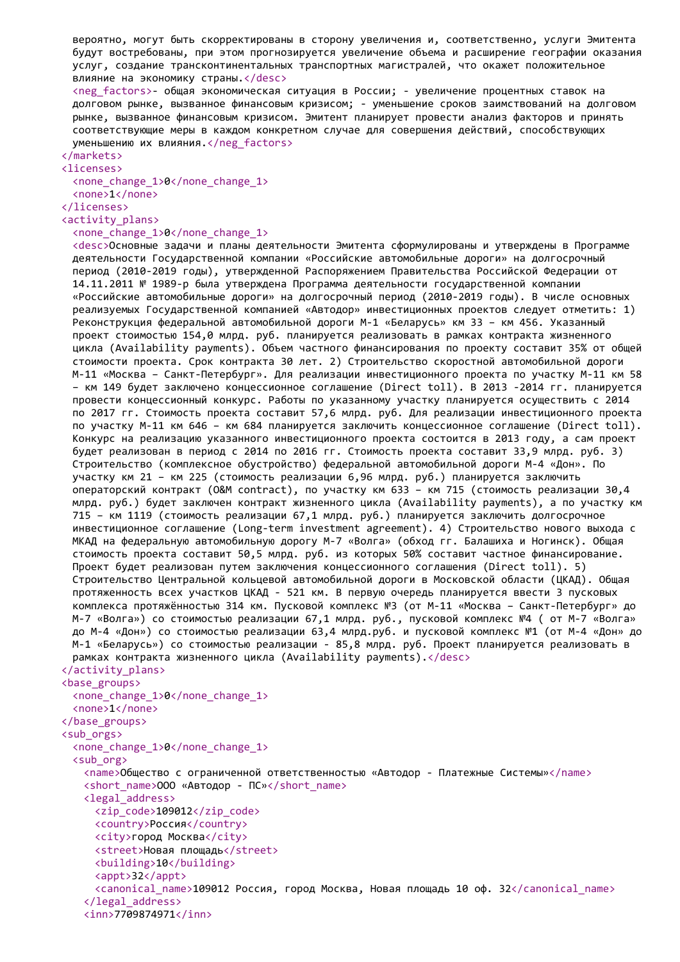вероятно, могут быть скорректированы в сторону увеличения и, соответственно, услуги Эмитента будут востребованы, при этом прогнозируется увеличение объема и расширение географии оказания услуг, создание трансконтинентальных транспортных магистралей, что окажет положительное влияние на экономику страны.</desc>

<neg\_factors>- общая экономическая ситуация в России; - увеличение процентных ставок на долговом рынке, вызванное финансовым кризисом; - уменьшение сроков заимствований на долговом рынке, вызванное финансовым кризисом. Эмитент планирует провести анализ факторов и принять соответствующие меры в каждом конкретном случае для совершения действий, способствующих уменьшению их влияния.</neg\_factors>

#### </markets>

<licenses> <none\_change\_1>0</none\_change\_1> <none>1</none>

</licenses>

<activity\_plans>

<none\_change\_1>0</none\_change\_1>

<desc>Основные задачи и планы деятельности Эмитента сформулированы и утверждены в Программе деятельности Государственной компании «Российские автомобильные дороги» на долгосрочный период (2010-2019 годы), утвержденной Распоряжением Правительства Российской Федерации от 14.11.2011 № 1989-р была утверждена Программа деятельности государственной компании «Российские автомобильные дороги» на долгосрочный период (2010-2019 годы). В числе основных реализуемых Государственной компанией «Автодор» инвестиционных проектов следует отметить: 1) Реконструкция федеральной автомобильной дороги М-1 «Беларусь» км 33 – км 456. Указанный проект стоимостью 154,0 млрд. руб. планируется реализовать в рамках контракта жизненного цикла (Availability payments). Объем частного финансирования по проекту составит 35% от общей стоимости проекта. Срок контракта 30 лет. 2) Строительство скоростной автомобильной дороги М-11 «Москва – Санкт-Петербург». Для реализации инвестиционного проекта по участку М-11 км 58 – км 149 будет заключено концессионное соглашение (Direct toll). В 2013 -2014 гг. планируется провести концессионный конкурс. Работы по указанному участку планируется осуществить с 2014 по 2017 гг. Стоимость проекта составит 57,6 млрд. руб. Для реализации инвестиционного проекта по участку М-11 км 646 – км 684 планируется заключить концессионное соглашение (Direct toll). Конкурс на реализацию указанного инвестиционного проекта состоится в 2013 году, а сам проект будет реализован в период с 2014 по 2016 гг. Стоимость проекта составит 33,9 млрд. руб. 3) Строительство (комплексное обустройство) федеральной автомобильной дороги M-4 «Дон». По участку км 21 – км 225 (стоимость реализации 6,96 млрд. руб.) планируется заключить операторский контракт (O&M contract), по участку км 633 – км 715 (стоимость реализации 30,4 млрд. руб.) будет заключен контракт жизненного цикла (Availability payments), а по участку км 715 – км 1119 (стоимость реализации 67,1 млрд. руб.) планируется заключить долгосрочное инвестиционное соглашение (Long-term investment agreement). 4) Строительство нового выхода с МКАД на федеральную автомобильную дорогу М-7 «Волга» (обход гг. Балашиха и Ногинск). Общая стоимость проекта составит 50,5 млрд. руб. из которых 50% составит частное финансирование. Проект будет реализован путем заключения концессионного соглашения (Direct toll). 5) Строительство Центральной кольцевой автомобильной дороги в Московской области (ЦКАД). Общая протяженность всех участков ЦКАД - 521 км. В первую очередь планируется ввести 3 пусковых комплекса протяжённостью 314 км. Пусковой комплекс №3 (от М-11 «Москва – Санкт-Петербург» до М-7 «Волга») со стоимостью реализации 67,1 млрд. руб., пусковой комплекс №4 ( от М-7 «Волга» до М-4 «Дон») со стоимостью реализации 63,4 млрд.руб. и пусковой комплекс №1 (от М-4 «Дон» до М-1 «Беларусь») со стоимостью реализации - 85,8 млрд. руб. Проект планируется реализовать в рамках контракта жизненного цикла (Availability payments).</desc> </activity\_plans>

#### <base\_groups>

<none\_change\_1>0</none\_change\_1> <none>1</none> </base\_groups> <sub\_orgs> <none\_change\_1>0</none\_change\_1> <sub\_org> <name>Общество с ограниченной ответственностью «Автодор - Платежные Системы»</name> <short name>ООО «Автодор - ПС»</short name> <legal\_address> <zip\_code>109012</zip\_code> <country>Россия</country> <city>город Москва</city> <street>Новая площадь</street> <building>10</building> <appt>32</appt> <canonical\_name>109012 Россия, город Москва, Новая площадь 10 оф. 32</canonical\_name> </legal\_address> <inn>7709874971</inn>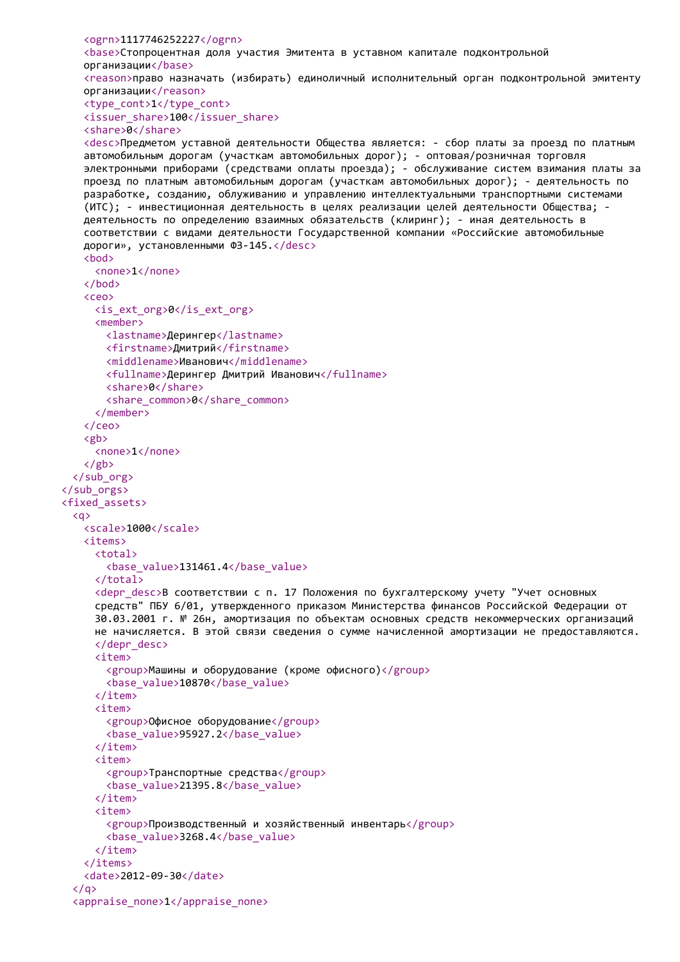```
<ogrn>1117746252227</ogrn>
   <base>Стопроцентная доля участия Эмитента в уставном капитале подконтрольной
   организации</base>
   <reason>право назначать (избирать) единоличный исполнительный орган подконтрольной эмитенту
   организации</reason>
   <type_cont>1</type_cont>
   <issuer_share>100</issuer_share>
   <share>0</share>
   <desc>Предметом уставной деятельности Общества является: - сбор платы за проезд по платным
   автомобильным дорогам (участкам автомобильных дорог); - оптовая/розничная торговля
   электронными приборами (средствами оплаты проезда); - обслуживание систем взимания платы за
   проезд по платным автомобильным дорогам (участкам автомобильных дорог); - деятельность по
   разработке, созданию, облуживанию и управлению интеллектуальными транспортными системами
   (ИТС); - инвестиционная деятельность в целях реализации целей деятельности Общества; -
   деятельность по определению взаимных обязательств (клиринг); - иная деятельность в
   соответствии с видами деятельности Государственной компании «Российские автомобильные
   дороги», установленными ФЗ-145.</desc>
   <bod>
     <none>1</none>
   </bod>
   <ceo>
     <is_ext_org>0</is_ext_org>
     <member>
       <lastname>Дерингер</lastname>
       <firstname>Дмитрий</firstname>
       <middlename>Иванович</middlename>
       <fullname>Дерингер Дмитрий Иванович</fullname>
       <share>0</share>
       <share common>0</share common>
     </member>
   </ceo>
   <gb>
     <none>1</none>
   </gb>
  </sub_org>
</sub_orgs>
<fixed_assets>
  <q>
   <scale>1000</scale>
   <items>
     <total>
       <base_value>131461.4</base_value>
     </total>
     <depr desc>В соответствии с п. 17 Положения по бухгалтерскому учету "Учет основных
     средств" ПБУ 6/01, утвержденного приказом Министерства финансов Российской Федерации от
     30.03.2001 г. № 26н, амортизация по объектам основных средств некоммерческих организаций
     не начисляется. В этой связи сведения о сумме начисленной амортизации не предоставляются.
     </depr_desc>
     <item>
       <group>Машины и оборудование (кроме офисного)</group>
       <base_value>10870</base_value>
     </item>
     <item>
       <group>Офисное оборудование</group>
       <base_value>95927.2</base_value>
     </item>
     <item>
       <group>Транспортные средства</group>
       <base_value>21395.8</base_value>
     </item>
     <item>
       <group>Производственный и хозяйственный инвентарь</group>
       <base_value>3268.4</base_value>
     </item>
   </items>
   <date>2012-09-30</date>
  \langle/a>
  <appraise_none>1</appraise_none>
```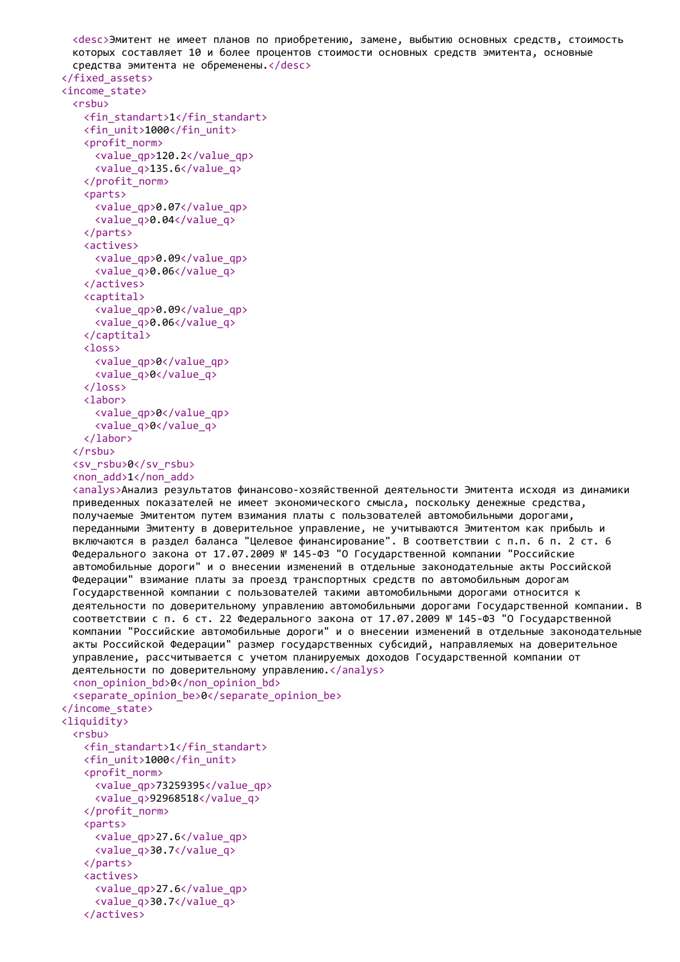```
<desc>Эмитент не имеет планов по приобретению, замене, выбытию основных средств, стоимость
  которых составляет 10 и более процентов стоимости основных средств эмитента, основные
  средства эмитента не обременены.</desc>
</fixed_assets>
<income_state>
  <rsbu>
   <fin_standart>1</fin_standart>
   <fin_unit>1000</fin_unit>
   <profit_norm>
     <value_qp>120.2</value_qp>
     <value_q>135.6</value_q>
   </profit_norm>
   <parts>
     <value_qp>0.07</value_qp>
     <value_q>0.04</value_q>
   </parts>
   <actives>
     <value_qp>0.09</value_qp>
     <value_q>0.06</value_q>
   </actives>
   <captital>
     <value_qp>0.09</value_qp>
     <value_q>0.06</value_q>
   </captital>
   <loss>
     <value_qp>0</value_qp>
     <value_q>0</value_q>
   </loss>
   <labor>
     <value_qp>0</value_qp>
     <value_q>0</value_q>
   </labor>
  </rsbu>
  <sv_rsbu>0</sv_rsbu>
  <non_add>1</non_add>
  <analys>Анализ результатов финансово-хозяйственной деятельности Эмитента исходя из динамики
  приведенных показателей не имеет экономического смысла, поскольку денежные средства,
  получаемые Эмитентом путем взимания платы с пользователей автомобильными дорогами,
  переданными Эмитенту в доверительное управление, не учитываются Эмитентом как прибыль и
  включаются в раздел баланса "Целевое финансирование". В соответствии с п.п. 6 п. 2 ст. 6
 Федерального закона от 17.07.2009 № 145-ФЗ "О Государственной компании "Российские
  автомобильные дороги" и о внесении изменений в отдельные законодательные акты Российской
  Федерации" взимание платы за проезд транспортных средств по автомобильным дорогам
  Государственной компании с пользователей такими автомобильными дорогами относится к
 деятельности по доверительному управлению автомобильными дорогами Государственной компании. В
  соответствии с п. 6 ст. 22 Федерального закона от 17.07.2009 № 145-ФЗ "О Государственной
  компании "Российские автомобильные дороги" и о внесении изменений в отдельные законодательные
  акты Российской Федерации" размер государственных субсидий, направляемых на доверительное
 управление, рассчитывается с учетом планируемых доходов Государственной компании от
 деятельности по доверительному управлению.</analys>
  <non_opinion_bd>0</non_opinion_bd>
  <separate_opinion_be>0</separate_opinion_be>
</income_state>
<liquidity>
  <rsbu>
   <fin_standart>1</fin_standart>
   <fin_unit>1000</fin_unit>
   <profit_norm>
     <value_qp>73259395</value_qp>
     <value_q>92968518</value_q>
   </profit_norm>
   <parts>
     <value_qp>27.6</value_qp>
     <value_q>30.7</value_q>
   \langle/narts>
   <actives>
     <value_qp>27.6</value_qp>
     <value_q>30.7</value_q>
   </actives>
```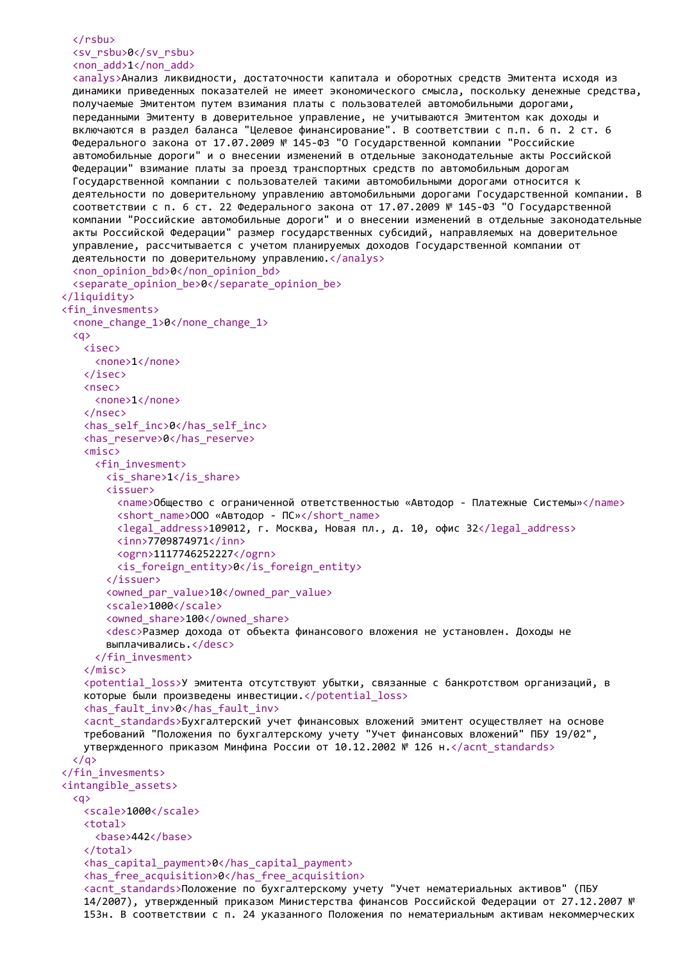## $\langle$ /rsbu $\rangle$ <sv\_rsbu>0</sv\_rsbu> <non\_add>1</non\_add>

```
<analys>Анализ ликвидности, достаточности капитала и оборотных средств Эмитента исходя из
 динамики приведенных показателей не имеет экономического смысла, поскольку денежные средства,
 получаемые Эмитентом путем взимания платы с пользователей автомобильными дорогами,
 переданными Эмитенту в доверительное управление, не учитываются Эмитентом как доходы и
 включаются в раздел баланса "Целевое финансирование". В соответствии с п.п. 6 п. 2 ст. 6
 Федерального закона от 17.07.2009 № 145-ФЗ "О Государственной компании "Российские
 автомобильные дороги" и о внесении изменений в отдельные законодательные акты Российской
 Федерации" взимание платы за проезд транспортных средств по автомобильным дорогам
 Государственной компании с пользователей такими автомобильными дорогами относится к
 деятельности по доверительному управлению автомобильными дорогами Государственной компании. В
 соответствии с п. 6 ст. 22 Федерального закона от 17.07.2009 № 145-ФЗ "О Государственной
 компании "Российские автомобильные дороги" и о внесении изменений в отдельные законодательные
 акты Российской Федерации" размер государственных субсидий, направляемых на доверительное
 управление, рассчитывается с учетом планируемых доходов Государственной компании от
 деятельности по доверительному управлению.</analys>
 <non_opinion_bd>0</non_opinion_bd>
 <separate_opinion_be>0</separate_opinion_be>
</liquidity>
<fin_invesments>
 <none_change_1>0</none_change_1>
 <q>
   <isec>
     <none>1</none>
   </isec>
   <nsec>
     <none>1</none>
   </nsec>
   <has_self_inc>0</has_self_inc>
   <has_reserve>0</has_reserve>
   <misc>
     <fin_invesment>
       \langleis share>1\langleis share>
       <issuer>
         <name>Общество с ограниченной ответственностью «Автодор - Платежные Системы»</name>
         <short name>ООО «Автодор - ПС»</short name>
         <legal_address>109012, г. Москва, Новая пл., д. 10, офис 32</legal_address>
         <inn>7709874971</inn>
         <ogrn>1117746252227</ogrn>
         <is_foreign_entity>0</is_foreign_entity>
       </issuer>
       <owned par_value>10</owned_par_value>
       <scale>1000</scale>
       <owned share>100</owned share>
       <desc>Размер дохода от объекта финансового вложения не установлен. Доходы не
       выплачивались.</desc>
     </fin_invesment>
   </misc>
   <potential_loss>У эмитента отсутствуют убытки, связанные с банкротством организаций, в
   которые были произведены инвестиции.</potential_loss>
   <has_fault_inv>0</has_fault_inv>
   <acnt_standards>Бухгалтерский учет финансовых вложений эмитент осуществляет на основе
   требований "Положения по бухгалтерскому учету "Учет финансовых вложений" ПБУ 19/02",
   утвержденного приказом Минфина России от 10.12.2002 № 126 н.</acnt_standards>
 \langle/a>
</fin_invesments>
<intangible_assets>
 \langlea>
   <scale>1000</scale>
   <total>
     <base>442</base>
   </total>
   <has_capital_payment>0</has_capital_payment>
   <has_free_acquisition>0</has_free_acquisition>
   <acnt_standards>Положение по бухгалтерскому учету "Учет нематериальных активов" (ПБУ
   14/2007), утвержденный приказом Министерства финансов Российской Федерации от 27.12.2007 №
   153н. В соответствии с п. 24 указанного Положения по нематериальным активам некоммерческих
```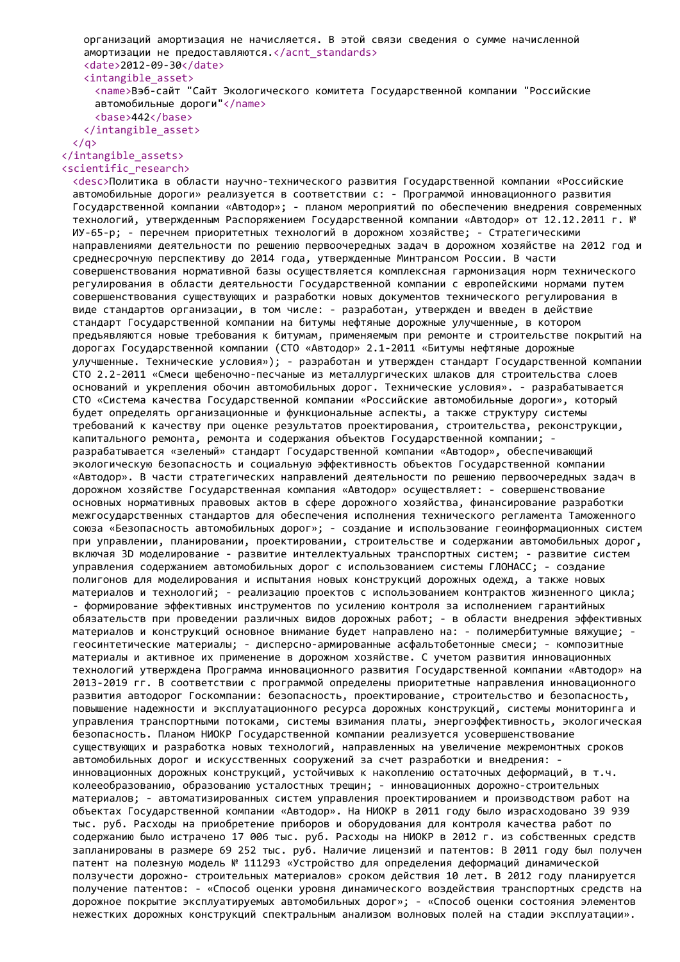организаций амортизация не начисляется. В этой связи сведения о сумме начисленной амортизации не предоставляются.</acnt\_standards> <date>2012-09-30</date> <intangible\_asset>

<name>Вэб-сайт "Сайт Экологического комитета Государственной компании "Российские автомобильные дороги"</name>

```
<base>442</base>
</intangible_asset>
```
 $\langle$ /q>

### </intangible\_assets> <scientific\_research>

<desc>Политика в области научно-технического развития Государственной компании «Российские автомобильные дороги» реализуется в соответствии с: - Программой инновационного развития Государственной компании «Автодор»; - планом мероприятий по обеспечению внедрения современных технологий, утвержденным Распоряжением Государственной компании «Автодор» от 12.12.2011 г. № ИУ-65-р; - перечнем приоритетных технологий в дорожном хозяйстве; - Стратегическими направлениями деятельности по решению первоочередных задач в дорожном хозяйстве на 2012 год и среднесрочную перспективу до 2014 года, утвержденные Минтрансом России. В части совершенствования нормативной базы осуществляется комплексная гармонизация норм технического регулирования в области деятельности Государственной компании с европейскими нормами путем совершенствования существующих и разработки новых документов технического регулирования в виде стандартов организации, в том числе: - разработан, утвержден и введен в действие стандарт Государственной компании на битумы нефтяные дорожные улучшенные, в котором предъявляются новые требования к битумам, применяемым при ремонте и строительстве покрытий на дорогах Государственной компании (СТО «Автодор» 2.1-2011 «Битумы нефтяные дорожные улучшенные. Технические условия»); - разработан и утвержден стандарт Государственной компании СТО 2.2-2011 «Смеси щебеночно-песчаные из металлургических шлаков для строительства слоев оснований и укрепления обочин автомобильных дорог. Технические условия». - разрабатывается СТО «Система качества Государственной компании «Российские автомобильные дороги», который будет определять организационные и функциональные аспекты, а также структуру системы требований к качеству при оценке результатов проектирования, строительства, реконструкции, капитального ремонта, ремонта и содержания объектов Государственной компании; разрабатывается «зеленый» стандарт Государственной компании «Автодор», обеспечивающий экологическую безопасность и социальную эффективность объектов Государственной компании «Автодор». В части стратегических направлений деятельности по решению первоочередных задач в дорожном хозяйстве Государственная компания «Автодор» осуществляет: - совершенствование основных нормативных правовых актов в сфере дорожного хозяйства, финансирование разработки межгосударственных стандартов для обеспечения исполнения технического регламента Таможенного союза «Безопасность автомобильных дорог»; - создание и использование геоинформационных систем при управлении, планировании, проектировании, строительстве и содержании автомобильных дорог, включая 3D моделирование - развитие интеллектуальных транспортных систем; - развитие систем управления содержанием автомобильных дорог с использованием системы ГЛОНАСС; - создание полигонов для моделирования и испытания новых конструкций дорожных одежд, а также новых материалов и технологий; - реализацию проектов с использованием контрактов жизненного цикла; - формирование эффективных инструментов по усилению контроля за исполнением гарантийных обязательств при проведении различных видов дорожных работ; - в области внедрения эффективных материалов и конструкций основное внимание будет направлено на: - полимербитумные вяжущие; геосинтетические материалы; - дисперсно-армированные асфальтобетонные смеси; - композитные материалы и активное их применение в дорожном хозяйстве. С учетом развития инновационных технологий утверждена Программа инновационного развития Государственной компании «Автодор» на 2013-2019 гг. В соответствии с программой определены приоритетные направления инновационного развития автодорог Госкомпании: безопасность, проектирование, строительство и безопасность, повышение надежности и эксплуатационного ресурса дорожных конструкций, системы мониторинга и управления транспортными потоками, системы взимания платы, энергоэффективность, экологическая безопасность. Планом НИОКР Государственной компании реализуется усовершенствование существующих и разработка новых технологий, направленных на увеличение межремонтных сроков автомобильных дорог и искусственных сооружений за счет разработки и внедрения: инновационных дорожных конструкций, устойчивых к накоплению остаточных деформаций, в т.ч. колееобразованию, образованию усталостных трещин; - инновационных дорожно-строительных материалов; - автоматизированных систем управления проектированием и производством работ на объектах Государственной компании «Автодор». На НИОКР в 2011 году было израсходовано 39 939 тыс. руб. Расходы на приобретение приборов и оборудования для контроля качества работ по содержанию было истрачено 17 006 тыс. руб. Расходы на НИОКР в 2012 г. из собственных средств запланированы в размере 69 252 тыс. руб. Наличие лицензий и патентов: В 2011 году был получен патент на полезную модель № 111293 «Устройство для определения деформаций динамической ползучести дорожно- строительных материалов» сроком действия 10 лет. В 2012 году планируется получение патентов: - «Способ оценки уровня динамического воздействия транспортных средств на дорожное покрытие эксплуатируемых автомобильных дорог»; - «Способ оценки состояния элементов нежестких дорожных конструкций спектральным анализом волновых полей на стадии эксплуатации».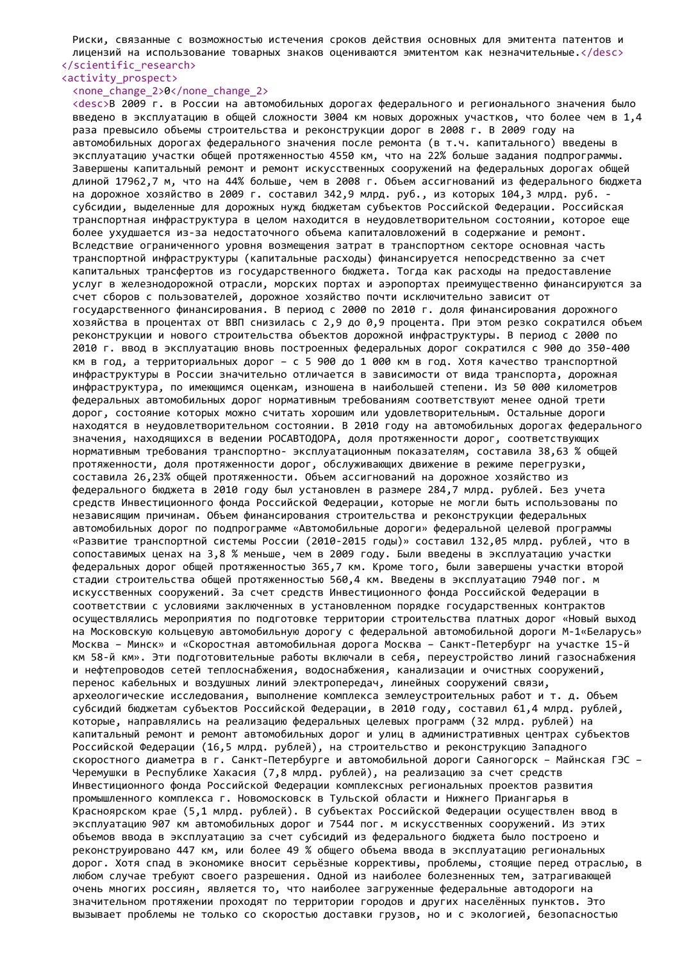Риски, связанные с возможностью истечения сроков действия основных для эмитента патентов и лицензий на использование товарных знаков оцениваются эмитентом как незначительные.</desc> </scientific\_research>

## <activity\_prospect>

## <none\_change\_2>0</none\_change\_2>

<desc>В 2009 г. в России на автомобильных дорогах федерального и регионального значения было введено в эксплуатацию в общей сложности 3004 км новых дорожных участков, что более чем в 1,4 раза превысило объемы строительства и реконструкции дорог в 2008 г. В 2009 году на автомобильных дорогах федерального значения после ремонта (в т.ч. капитального) введены в эксплуатацию участки общей протяженностью 4550 км, что на 22% больше задания подпрограммы. Завершены капитальный ремонт и ремонт искусственных сооружений на федеральных дорогах общей длиной 17962,7 м, что на 44% больше, чем в 2008 г. Объем ассигнований из федерального бюджета на дорожное хозяйство в 2009 г. составил 342,9 млрд. руб., из которых 104,3 млрд. руб. субсидии, выделенные для дорожных нужд бюджетам субъектов Российской Федерации. Российская транспортная инфраструктура в целом находится в неудовлетворительном состоянии, которое еще более ухудшается из-за недостаточного объема капиталовложений в содержание и ремонт. Вследствие ограниченного уровня возмещения затрат в транспортном секторе основная часть транспортной инфраструктуры (капитальные расходы) финансируется непосредственно за счет капитальных трансфертов из государственного бюджета. Тогда как расходы на предоставление услуг в железнодорожной отрасли, морских портах и аэропортах преимущественно финансируются за счет сборов с пользователей, дорожное хозяйство почти исключительно зависит от государственного финансирования. В период с 2000 по 2010 г. доля финансирования дорожного хозяйства в процентах от ВВП снизилась с 2,9 до 0,9 процента. При этом резко сократился объем реконструкции и нового строительства объектов дорожной инфраструктуры. В период с 2000 по 2010 г. ввод в эксплуатацию вновь построенных федеральных дорог сократился с 900 до 350-400 км в год, а территориальных дорог – с 5 900 до 1 000 км в год. Хотя качество транспортной инфраструктуры в России значительно отличается в зависимости от вида транспорта, дорожная инфраструктура, по имеющимся оценкам, изношена в наибольшей степени. Из 50 000 километров федеральных автомобильных дорог нормативным требованиям соответствуют менее одной трети дорог, состояние которых можно считать хорошим или удовлетворительным. Остальные дороги находятся в неудовлетворительном состоянии. В 2010 году на автомобильных дорогах федерального значения, находящихся в ведении РОСАВТОДОРА, доля протяженности дорог, соответствующих нормативным требования транспортно- эксплуатационным показателям, составила 38,63 % общей протяженности, доля протяженности дорог, обслуживающих движение в режиме перегрузки, составила 26,23% общей протяженности. Объем ассигнований на дорожное хозяйство из федерального бюджета в 2010 году был установлен в размере 284,7 млрд. рублей. Без учета средств Инвестиционного фонда Российской Федерации, которые не могли быть использованы по независящим причинам. Объем финансирования строительства и реконструкции федеральных автомобильных дорог по подпрограмме «Автомобильные дороги» федеральной целевой программы «Развитие транспортной системы России (2010-2015 годы)» составил 132,05 млрд. рублей, что в сопоставимых ценах на 3,8 % меньше, чем в 2009 году. Были введены в эксплуатацию участки федеральных дорог общей протяженностью 365,7 км. Кроме того, были завершены участки второй стадии строительства общей протяженностью 560,4 км. Введены в эксплуатацию 7940 пог. м искусственных сооружений. За счет средств Инвестиционного фонда Российской Федерации в соответствии с условиями заключенных в установленном порядке государственных контрактов осуществлялись мероприятия по подготовке территории строительства платных дорог «Новый выход на Московскую кольцевую автомобильную дорогу с федеральной автомобильной дороги М-1«Беларусь» Москва – Минск» и «Скоростная автомобильная дорога Москва – Санкт-Петербург на участке 15-й км 58-й км». Эти подготовительные работы включали в себя, переустройство линий газоснабжения и нефтепроводов сетей теплоснабжения, водоснабжения, канализации и очистных сооружений, перенос кабельных и воздушных линий электропередач, линейных сооружений связи, археологические исследования, выполнение комплекса землеустроительных работ и т. д. Объем субсидий бюджетам субъектов Российской Федерации, в 2010 году, составил 61,4 млрд. рублей, которые, направлялись на реализацию федеральных целевых программ (32 млрд. рублей) на капитальный ремонт и ремонт автомобильных дорог и улиц в административных центрах субъектов Российской Федерации (16,5 млрд. рублей), на строительство и реконструкцию Западного скоростного диаметра в г. Санкт-Петербурге и автомобильной дороги Саяногорск – Майнская ГЭС – Черемушки в Республике Хакасия (7,8 млрд. рублей), на реализацию за счет средств Инвестиционного фонда Российской Федерации комплексных региональных проектов развития промышленного комплекса г. Новомосковск в Тульской области и Нижнего Приангарья в Красноярском крае (5,1 млрд. рублей). В субъектах Российской Федерации осуществлен ввод в эксплуатацию 907 км автомобильных дорог и 7544 пог. м искусственных сооружений. Из этих объемов ввода в эксплуатацию за счет субсидий из федерального бюджета было построено и реконструировано 447 км, или более 49 % общего объема ввода в эксплуатацию региональных дорог. Хотя спад в экономике вносит серьёзные коррективы, проблемы, стоящие перед отраслью, в любом случае требуют своего разрешения. Одной из наиболее болезненных тем, затрагивающей очень многих россиян, является то, что наиболее загруженные федеральные автодороги на значительном протяжении проходят по территории городов и других населённых пунктов. Это вызывает проблемы не только со скоростью доставки грузов, но и с экологией, безопасностью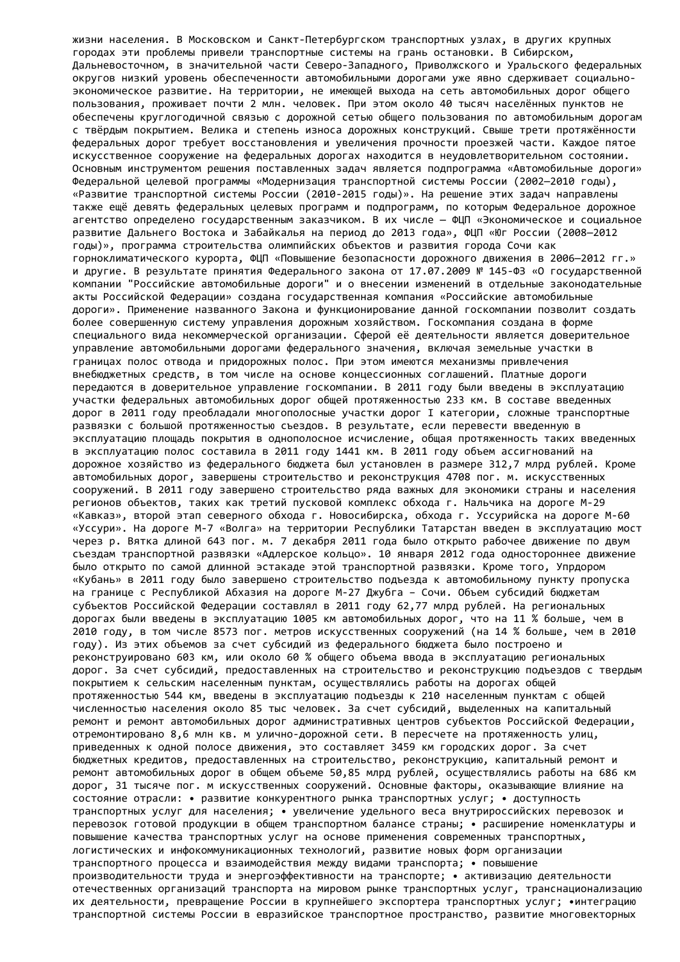жизни населения. В Московском и Санкт-Петербургском транспортных узлах, в других крупных городах эти проблемы привели транспортные системы на грань остановки. В Сибирском, Дальневосточном, в значительной части Северо-Западного, Приволжского и Уральского федеральных округов низкий уровень обеспеченности автомобильными дорогами уже явно сдерживает социальноэкономическое развитие. На территории, не имеющей выхода на сеть автомобильных дорог общего пользования, проживает почти 2 млн. человек. При этом около 40 тысяч населённых пунктов не обеспечены круглогодичной связью с дорожной сетью общего пользования по автомобильным дорогам с твёрдым покрытием. Велика и степень износа дорожных конструкций. Свыше трети протяжённости федеральных дорог требует восстановления и увеличения прочности проезжей части. Каждое пятое искусственное сооружение на федеральных дорогах находится в неудовлетворительном состоянии. Основным инструментом решения поставленных задач является подпрограмма «Автомобильные дороги» Федеральной целевой программы «Модернизация транспортной системы России (2002—2010 годы), «Развитие транспортной системы России (2010-2015 годы)». На решение этих задач направлены также ещё девять федеральных целевых программ и подпрограмм, по которым Федеральное дорожное агентство определено государственным заказчиком. В их числе — ФЦП «Экономическое и социальное развитие Дальнего Востока и Забайкалья на период до 2013 года», ФЦП «Юг России (2008—2012 годы)», программа строительства олимпийских объектов и развития города Сочи как горноклиматического курорта, ФЦП «Повышение безопасности дорожного движения в 2006—2012 гг.» и другие. В результате принятия Федерального закона от 17.07.2009 № 145-ФЗ «О государственной компании "Российские автомобильные дороги" и о внесении изменений в отдельные законодательные акты Российской Федерации» создана государственная компания «Российские автомобильные дороги». Применение названного Закона и функционирование данной госкомпании позволит создать более совершенную систему управления дорожным хозяйством. Госкомпания создана в форме специального вида некоммерческой организации. Сферой её деятельности является доверительное управление автомобильными дорогами федерального значения, включая земельные участки в границах полос отвода и придорожных полос. При этом имеются механизмы привлечения внебюджетных средств, в том числе на основе концессионных соглашений. Платные дороги передаются в доверительное управление госкомпании. В 2011 году были введены в эксплуатацию участки федеральных автомобильных дорог общей протяженностью 233 км. В составе введенных дорог в 2011 году преобладали многополосные участки дорог I категории, сложные транспортные развязки с большой протяженностью съездов. В результате, если перевести введенную в эксплуатацию площадь покрытия в однополосное исчисление, общая протяженность таких введенных в эксплуатацию полос составила в 2011 году 1441 км. В 2011 году объем ассигнований на дорожное хозяйство из федерального бюджета был установлен в размере 312,7 млрд рублей. Кроме автомобильных дорог, завершены строительство и реконструкция 4708 пог. м. искусственных сооружений. В 2011 году завершено строительство ряда важных для экономики страны и населения регионов объектов, таких как третий пусковой комплекс обхода г. Нальчика на дороге М-29 «Кавказ», второй этап северного обхода г. Новосибирска, обхода г. Уссурийска на дороге М-60 «Уссури». На дороге М-7 «Волга» на территории Республики Татарстан введен в эксплуатацию мост через р. Вятка длиной 643 пог. м. 7 декабря 2011 года было открыто рабочее движение по двум съездам транспортной развязки «Адлерское кольцо». 10 января 2012 года одностороннее движение было открыто по самой длинной эстакаде этой транспортной развязки. Кроме того, Упрдором «Кубань» в 2011 году было завершено строительство подъезда к автомобильному пункту пропуска на границе с Республикой Абхазия на дороге М-27 Джубга – Сочи. Объем субсидий бюджетам субъектов Российской Федерации составлял в 2011 году 62,77 млрд рублей. На региональных дорогах были введены в эксплуатацию 1005 км автомобильных дорог, что на 11 % больше, чем в 2010 году, в том числе 8573 пог. метров искусственных сооружений (на 14 % больше, чем в 2010 году). Из этих объемов за счет субсидий из федерального бюджета было построено и реконструировано 603 км, или около 60 % общего объема ввода в эксплуатацию региональных дорог. За счет субсидий, предоставленных на строительство и реконструкцию подъездов с твердым покрытием к сельским населенным пунктам, осуществлялись работы на дорогах общей протяженностью 544 км, введены в эксплуатацию подъезды к 210 населенным пунктам с общей численностью населения около 85 тыс человек. За счет субсидий, выделенных на капитальный ремонт и ремонт автомобильных дорог административных центров субъектов Российской Федерации, отремонтировано 8,6 млн кв. м улично-дорожной сети. В пересчете на протяженность улиц, приведенных к одной полосе движения, это составляет 3459 км городских дорог. За счет бюджетных кредитов, предоставленных на строительство, реконструкцию, капитальный ремонт и ремонт автомобильных дорог в общем объеме 50,85 млрд рублей, осуществлялись работы на 686 км дорог, 31 тысяче пог. м искусственных сооружений. Основные факторы, оказывающие влияние на состояние отрасли: • развитие конкурентного рынка транспортных услуг; • доступность транспортных услуг для населения; • увеличение удельного веса внутрироссийских перевозок и перевозок готовой продукции в общем транспортном балансе страны; • расширение номенклатуры и повышение качества транспортных услуг на основе применения современных транспортных, логистических и инфокоммуникационных технологий, развитие новых форм организации транспортного процесса и взаимодействия между видами транспорта; • повышение производительности труда и энергоэффективности на транспорте; • активизацию деятельности отечественных организаций транспорта на мировом рынке транспортных услуг, транснационализацию их деятельности, превращение России в крупнейшего экспортера транспортных услуг; •интеграцию транспортной системы России в евразийское транспортное пространство, развитие многовекторных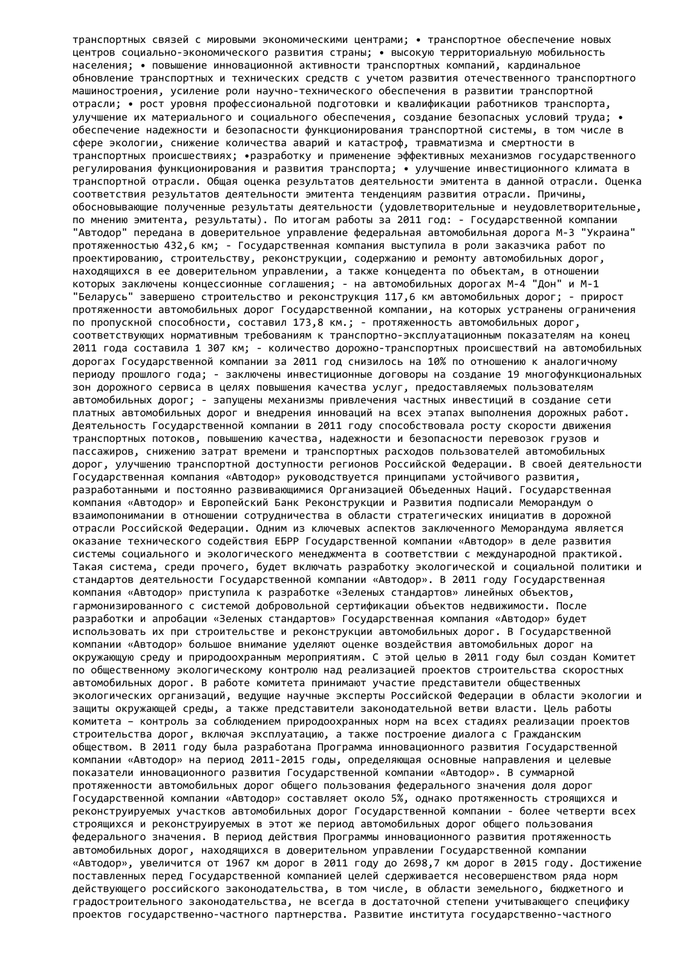транспортных связей с мировыми экономическими центрами; • транспортное обеспечение новых центров социально-экономического развития страны; • высокую территориальную мобильность населения; • повышение инновационной активности транспортных компаний, кардинальное обновление транспортных и технических средств с учетом развития отечественного транспортного машиностроения, усиление роли научно-технического обеспечения в развитии транспортной отрасли; • рост уровня профессиональной подготовки и квалификации работников транспорта, улучшение их материального и социального обеспечения, создание безопасных условий труда; • обеспечение надежности и безопасности функционирования транспортной системы, в том числе в сфере экологии, снижение количества аварий и катастроф, травматизма и смертности в транспортных происшествиях; •разработку и применение эффективных механизмов государственного регулирования функционирования и развития транспорта; • улучшение инвестиционного климата в транспортной отрасли. Общая оценка результатов деятельности эмитента в данной отрасли. Оценка соответствия результатов деятельности эмитента тенденциям развития отрасли. Причины, обосновывающие полученные результаты деятельности (удовлетворительные и неудовлетворительные, по мнению эмитента, результаты). По итогам работы за 2011 год: - Государственной компании "Автодор" передана в доверительное управление федеральная автомобильная дорога М-3 "Украина" протяженностью 432,6 км; - Государственная компания выступила в роли заказчика работ по проектированию, строительству, реконструкции, содержанию и ремонту автомобильных дорог, находящихся в ее доверительном управлении, а также концедента по объектам, в отношении которых заключены концессионные соглашения; - на автомобильных дорогах М-4 "Дон" и М-1 "Беларусь" завершено строительство и реконструкция 117,6 км автомобильных дорог; - прирост протяженности автомобильных дорог Государственной компании, на которых устранены ограничения по пропускной способности, составил 173,8 км.; - протяженность автомобильных дорог, соответствующих нормативным требованиям к транспортно-эксплуатационным показателям на конец 2011 года составила 1 307 км; - количество дорожно-транспортных происшествий на автомобильных дорогах Государственной компании за 2011 год снизилось на 10% по отношению к аналогичному периоду прошлого года; - заключены инвестиционные договоры на создание 19 многофункциональных зон дорожного сервиса в целях повышения качества услуг, предоставляемых пользователям автомобильных дорог; - запущены механизмы привлечения частных инвестиций в создание сети платных автомобильных дорог и внедрения инноваций на всех этапах выполнения дорожных работ. Деятельность Государственной компании в 2011 году способствовала росту скорости движения транспортных потоков, повышению качества, надежности и безопасности перевозок грузов и пассажиров, снижению затрат времени и транспортных расходов пользователей автомобильных дорог, улучшению транспортной доступности регионов Российской Федерации. В своей деятельности Государственная компания «Автодор» руководствуется принципами устойчивого развития, разработанными и постоянно развивающимися Организацией Объеденных Наций. Государственная компания «Автодор» и Европейский Банк Реконструкции и Развития подписали Меморандум о взаимопонимании в отношении сотрудничества в области стратегических инициатив в дорожной отрасли Российской Федерации. Одним из ключевых аспектов заключенного Меморандума является оказание технического содействия ЕБРР Государственной компании «Автодор» в деле развития системы социального и экологического менеджмента в соответствии с международной практикой. Такая система, среди прочего, будет включать разработку экологической и социальной политики и стандартов деятельности Государственной компании «Автодор». В 2011 году Государственная компания «Автодор» приступила к разработке «Зеленых стандартов» линейных объектов, гармонизированного с системой добровольной сертификации объектов недвижимости. После разработки и апробации «Зеленых стандартов» Государственная компания «Автодор» будет использовать их при строительстве и реконструкции автомобильных дорог. В Государственной компании «Автодор» большое внимание уделяют оценке воздействия автомобильных дорог на окружающую среду и природоохранным мероприятиям. С этой целью в 2011 году был создан Комитет по общественному экологическому контролю над реализацией проектов строительства скоростных автомобильных дорог. В работе комитета принимают участие представители общественных экологических организаций, ведущие научные эксперты Российской Федерации в области экологии и защиты окружающей среды, а также представители законодательной ветви власти. Цель работы комитета – контроль за соблюдением природоохранных норм на всех стадиях реализации проектов строительства дорог, включая эксплуатацию, а также построение диалога с Гражданским обществом. В 2011 году была разработана Программа инновационного развития Государственной компании «Автодор» на период 2011-2015 годы, определяющая основные направления и целевые показатели инновационного развития Государственной компании «Автодор». В суммарной протяженности автомобильных дорог общего пользования федерального значения доля дорог Государственной компании «Автодор» составляет около 5%, однако протяженность строящихся и реконструируемых участков автомобильных дорог Государственной компании - более четверти всех строящихся и реконструируемых в этот же период автомобильных дорог общего пользования федерального значения. В период действия Программы инновационного развития протяженность автомобильных дорог, находящихся в доверительном управлении Государственной компании «Автодор», увеличится от 1967 км дорог в 2011 году до 2698,7 км дорог в 2015 году. Достижение поставленных перед Государственной компанией целей сдерживается несовершенством ряда норм действующего российского законодательства, в том числе, в области земельного, бюджетного и градостроительного законодательства, не всегда в достаточной степени учитывающего специфику проектов государственно-частного партнерства. Развитие института государственно-частного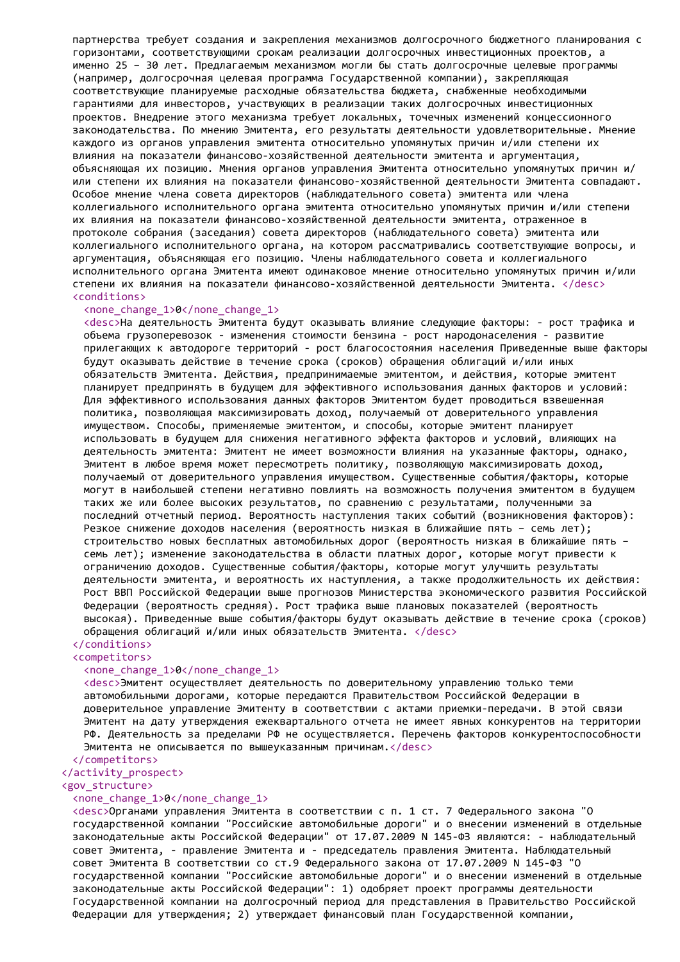партнерства требует создания и закрепления механизмов долгосрочного бюджетного планирования с горизонтами, соответствующими срокам реализации долгосрочных инвестиционных проектов, а именно 25 – 30 лет. Предлагаемым механизмом могли бы стать долгосрочные целевые программы (например, долгосрочная целевая программа Государственной компании), закрепляющая соответствующие планируемые расходные обязательства бюджета, снабженные необходимыми гарантиями для инвесторов, участвующих в реализации таких долгосрочных инвестиционных проектов. Внедрение этого механизма требует локальных, точечных изменений концессионного законодательства. По мнению Эмитента, его результаты деятельности удовлетворительные. Мнение каждого из органов управления эмитента относительно упомянутых причин и/или степени их влияния на показатели финансово-хозяйственной деятельности эмитента и аргументация, объясняющая их позицию. Мнения органов управления Эмитента относительно упомянутых причин и/ или степени их влияния на показатели финансово-хозяйственной деятельности Эмитента совпадают. Особое мнение члена совета директоров (наблюдательного совета) эмитента или члена коллегиального исполнительного органа эмитента относительно упомянутых причин и/или степени их влияния на показатели финансово-хозяйственной деятельности эмитента, отраженное в протоколе собрания (заседания) совета директоров (наблюдательного совета) эмитента или коллегиального исполнительного органа, на котором рассматривались соответствующие вопросы, и аргументация, объясняющая его позицию. Члены наблюдательного совета и коллегиального исполнительного органа Эмитента имеют одинаковое мнение относительно упомянутых причин и/или степени их влияния на показатели финансово-хозяйственной деятельности Эмитента. </desc> <conditions>

#### <none\_change\_1>0</none\_change\_1>

<desc>На деятельность Эмитента будут оказывать влияние следующие факторы: - рост трафика и объема грузоперевозок - изменения стоимости бензина - рост народонаселения - развитие прилегающих к автодороге территорий - рост благосостояния населения Приведенные выше факторы будут оказывать действие в течение срока (сроков) обращения облигаций и/или иных обязательств Эмитента. Действия, предпринимаемые эмитентом, и действия, которые эмитент планирует предпринять в будущем для эффективного использования данных факторов и условий: Для эффективного использования данных факторов Эмитентом будет проводиться взвешенная политика, позволяющая максимизировать доход, получаемый от доверительного управления имуществом. Способы, применяемые эмитентом, и способы, которые эмитент планирует использовать в будущем для снижения негативного эффекта факторов и условий, влияющих на деятельность эмитента: Эмитент не имеет возможности влияния на указанные факторы, однако, Эмитент в любое время может пересмотреть политику, позволяющую максимизировать доход, получаемый от доверительного управления имуществом. Существенные события/факторы, которые могут в наибольшей степени негативно повлиять на возможность получения эмитентом в будущем таких же или более высоких результатов, по сравнению с результатами, полученными за последний отчетный период. Вероятность наступления таких событий (возникновения факторов): Резкое снижение доходов населения (вероятность низкая в ближайшие пять – семь лет); строительство новых бесплатных автомобильных дорог (вероятность низкая в ближайшие пять – семь лет); изменение законодательства в области платных дорог, которые могут привести к ограничению доходов. Существенные события/факторы, которые могут улучшить результаты деятельности эмитента, и вероятность их наступления, а также продолжительность их действия: Рост ВВП Российской Федерации выше прогнозов Министерства экономического развития Российской Федерации (вероятность средняя). Рост трафика выше плановых показателей (вероятность высокая). Приведенные выше события/факторы будут оказывать действие в течение срока (сроков) обращения облигаций и/или иных обязательств Эмитента. </desc>

#### </conditions> <competitors>

#### <none\_change\_1>0</none\_change\_1>

<desc>Эмитент осуществляет деятельность по доверительному управлению только теми автомобильными дорогами, которые передаются Правительством Российской Федерации в доверительное управление Эмитенту в соответствии с актами приемки-передачи. В этой связи Эмитент на дату утверждения ежеквартального отчета не имеет явных конкурентов на территории РФ. Деятельность за пределами РФ не осуществляется. Перечень факторов конкурентоспособности Эмитента не описывается по вышеуказанным причинам.</desc>

#### </competitors>

</activity\_prospect>

#### <gov\_structure>

#### <none\_change\_1>0</none\_change\_1>

<desc>Органами управления Эмитента в соответствии с п. 1 ст. 7 Федерального закона "О государственной компании "Российские автомобильные дороги" и о внесении изменений в отдельные законодательные акты Российской Федерации" от 17.07.2009 N 145-ФЗ являются: - наблюдательный совет Эмитента, - правление Эмитента и - председатель правления Эмитента. Наблюдательный совет Эмитента В соответствии со ст.9 Федерального закона от 17.07.2009 N 145-ФЗ "О государственной компании "Российские автомобильные дороги" и о внесении изменений в отдельные законодательные акты Российской Федерации": 1) одобряет проект программы деятельности Государственной компании на долгосрочный период для представления в Правительство Российской Федерации для утверждения; 2) утверждает финансовый план Государственной компании,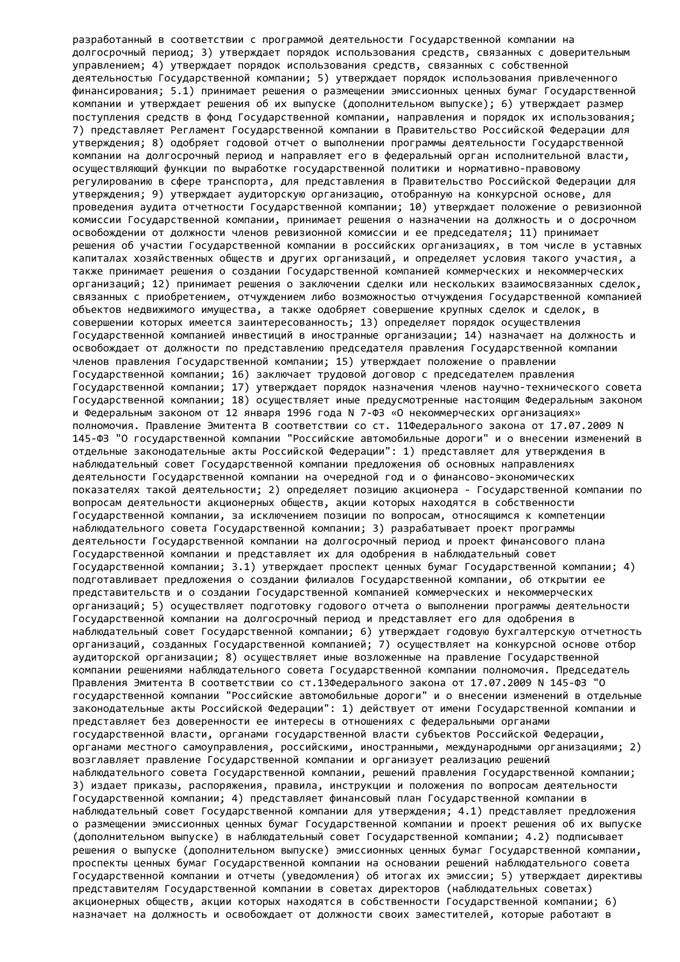разработанный в соответствии с программой деятельности Государственной компании на долгосрочный период; 3) утверждает порядок использования средств, связанных с доверительным управлением; 4) утверждает порядок использования средств, связанных с собственной деятельностью Государственной компании; 5) утверждает порядок использования привлеченного финансирования; 5.1) принимает решения о размещении эмиссионных ценных бумаг Государственной компании и утверждает решения об их выпуске (дополнительном выпуске); 6) утверждает размер поступления средств в фонд Государственной компании, направления и порядок их использования; 7) представляет Регламент Государственной компании в Правительство Российской Федерации для утверждения; 8) одобряет годовой отчет о выполнении программы деятельности Государственной компании на долгосрочный период и направляет его в федеральный орган исполнительной власти, осуществляющий функции по выработке государственной политики и нормативно-правовому регулированию в сфере транспорта, для представления в Правительство Российской Федерации для утверждения; 9) утверждает аудиторскую организацию, отобранную на конкурсной основе, для проведения аудита отчетности Государственной компании; 10) утверждает положение о ревизионной комиссии Государственной компании, принимает решения о назначении на должность и о досрочном освобождении от должности членов ревизионной комиссии и ее председателя; 11) принимает решения об участии Государственной компании в российских организациях, в том числе в уставных капиталах хозяйственных обществ и других организаций, и определяет условия такого участия, а также принимает решения о создании Государственной компанией коммерческих и некоммерческих организаций; 12) принимает решения о заключении сделки или нескольких взаимосвязанных сделок, связанных с приобретением, отчуждением либо возможностью отчуждения Государственной компанией объектов недвижимого имущества, а также одобряет совершение крупных сделок и сделок, в совершении которых имеется заинтересованность; 13) определяет порядок осуществления Государственной компанией инвестиций в иностранные организации; 14) назначает на должность и освобождает от должности по представлению председателя правления Государственной компании членов правления Государственной компании; 15) утверждает положение о правлении Государственной компании; 16) заключает трудовой договор с председателем правления Государственной компании; 17) утверждает порядок назначения членов научно-технического совета Государственной компании; 18) осуществляет иные предусмотренные настоящим Федеральным законом и Федеральным законом от 12 января 1996 года N 7-ФЗ «О некоммерческих организациях» полномочия. Правление Эмитента В соответствии со ст. 11Федерального закона от 17.07.2009 N 145-ФЗ "О государственной компании "Российские автомобильные дороги" и о внесении изменений в отдельные законодательные акты Российской Федерации": 1) представляет для утверждения в наблюдательный совет Государственной компании предложения об основных направлениях деятельности Государственной компании на очередной год и о финансово-экономических показателях такой деятельности; 2) определяет позицию акционера - Государственной компании по вопросам деятельности акционерных обществ, акции которых находятся в собственности Государственной компании, за исключением позиции по вопросам, относящимся к компетенции наблюдательного совета Государственной компании; 3) разрабатывает проект программы деятельности Государственной компании на долгосрочный период и проект финансового плана Государственной компании и представляет их для одобрения в наблюдательный совет Государственной компании; 3.1) утверждает проспект ценных бумаг Государственной компании; 4) подготавливает предложения о создании филиалов Государственной компании, об открытии ее представительств и о создании Государственной компанией коммерческих и некоммерческих организаций; 5) осуществляет подготовку годового отчета о выполнении программы деятельности Государственной компании на долгосрочный период и представляет его для одобрения в наблюдательный совет Государственной компании; 6) утверждает годовую бухгалтерскую отчетность организаций, созданных Государственной компанией; 7) осуществляет на конкурсной основе отбор аудиторской организации; 8) осуществляет иные возложенные на правление Государственной компании решениями наблюдательного совета Государственной компании полномочия. Председатель Правления Эмитента В соответствии со ст.13Федерального закона от 17.07.2009 N 145-ФЗ "О государственной компании "Российские автомобильные дороги" и о внесении изменений в отдельные законодательные акты Российской Федерации": 1) действует от имени Государственной компании и представляет без доверенности ее интересы в отношениях с федеральными органами государственной власти, органами государственной власти субъектов Российской Федерации, органами местного самоуправления, российскими, иностранными, международными организациями; 2) возглавляет правление Государственной компании и организует реализацию решений наблюдательного совета Государственной компании, решений правления Государственной компании; 3) издает приказы, распоряжения, правила, инструкции и положения по вопросам деятельности Государственной компании; 4) представляет финансовый план Государственной компании в наблюдательный совет Государственной компании для утверждения; 4.1) представляет предложения о размещении эмиссионных ценных бумаг Государственной компании и проект решения об их выпуске (дополнительном выпуске) в наблюдательный совет Государственной компании; 4.2) подписывает решения о выпуске (дополнительном выпуске) эмиссионных ценных бумаг Государственной компании, проспекты ценных бумаг Государственной компании на основании решений наблюдательного совета Государственной компании и отчеты (уведомления) об итогах их эмиссии; 5) утверждает директивы представителям Государственной компании в советах директоров (наблюдательных советах) акционерных обществ, акции которых находятся в собственности Государственной компании; 6) назначает на должность и освобождает от должности своих заместителей, которые работают в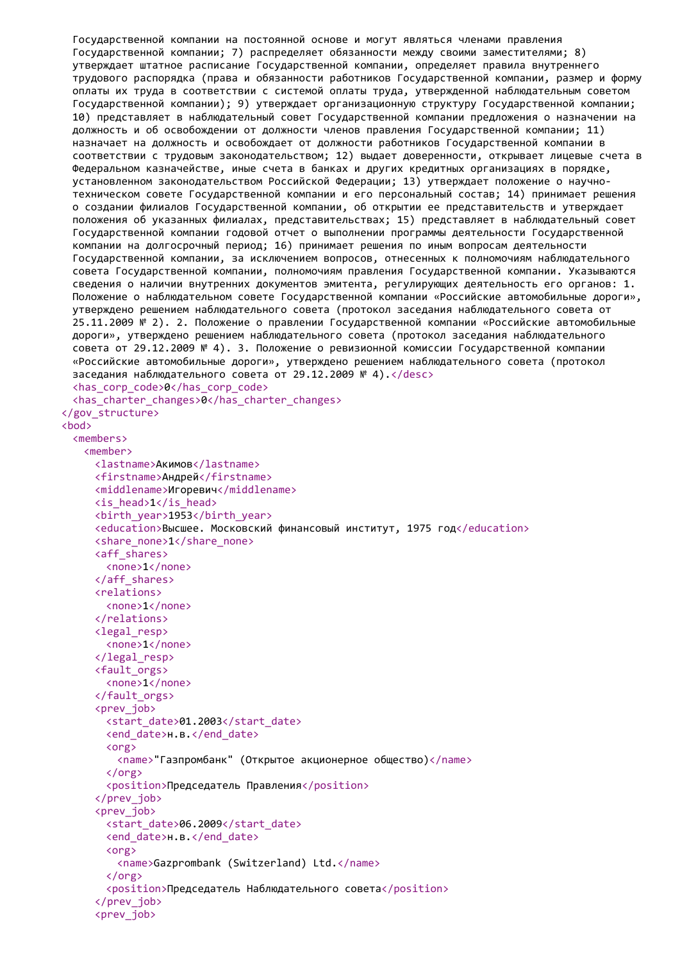```
Государственной компании на постоянной основе и могут являться членами правления
 Государственной компании; 7) распределяет обязанности между своими заместителями; 8)
 утверждает штатное расписание Государственной компании, определяет правила внутреннего
 трудового распорядка (права и обязанности работников Государственной компании, размер и форму
 оплаты их труда в соответствии с системой оплаты труда, утвержденной наблюдательным советом
 Государственной компании); 9) утверждает организационную структуру Государственной компании;
 10) представляет в наблюдательный совет Государственной компании предложения о назначении на
 должность и об освобождении от должности членов правления Государственной компании; 11)
 назначает на должность и освобождает от должности работников Государственной компании в
 соответствии с трудовым законодательством; 12) выдает доверенности, открывает лицевые счета в
 Федеральном казначействе, иные счета в банках и других кредитных организациях в порядке,
 установленном законодательством Российской Федерации; 13) утверждает положение о научно-
 техническом совете Государственной компании и его персональный состав; 14) принимает решения
 о создании филиалов Государственной компании, об открытии ее представительств и утверждает
 положения об указанных филиалах, представительствах; 15) представляет в наблюдательный совет
 Государственной компании годовой отчет о выполнении программы деятельности Государственной
 компании на долгосрочный период; 16) принимает решения по иным вопросам деятельности
 Государственной компании, за исключением вопросов, отнесенных к полномочиям наблюдательного
 совета Государственной компании, полномочиям правления Государственной компании. Указываются
 сведения о наличии внутренних документов эмитента, регулирующих деятельность его органов: 1.
 Положение о наблюдательном совете Государственной компании «Российские автомобильные дороги»,
 утверждено решением наблюдательного совета (протокол заседания наблюдательного совета от
 25.11.2009 № 2). 2. Положение о правлении Государственной компании «Российские автомобильные
 дороги», утверждено решением наблюдательного совета (протокол заседания наблюдательного
 совета от 29.12.2009 № 4). 3. Положение о ревизионной комиссии Государственной компании
 «Российские автомобильные дороги», утверждено решением наблюдательного совета (протокол
 заседания наблюдательного совета от 29.12.2009 № 4).</desc>
 <has_corp_code>0</has_corp_code>
 <has_charter_changes>0</has_charter_changes>
</gov_structure>
<hod>
 <members>
   <member>
     <lastname>Акимов</lastname>
     <firstname>Андрей</firstname>
     <middlename>Игоревич</middlename>
     <is_head>1</is_head>
     <birth_year>1953</birth_year>
     <education>Высшее. Московский финансовый институт, 1975 год</education>
     <share_none>1</share_none>
     <aff_shares>
       <none>1</none>
     </aff_shares>
     <relations>
       <none>1</none>
     </relations>
     <legal_resp>
       <none>1</none>
     </legal_resp>
     <fault_orgs>
       <none>1</none>
     </fault_orgs>
     <prev_iob>
       <start_date>01.2003</start_date>
       <end date>н.в.</end date>
       <org>
         <name>"Газпромбанк" (Открытое акционерное общество)</name>
       \langle/org\rangle<position>Председатель Правления</position>
     </prev_job>
     <prev_iob>
       <start_date>06.2009</start_date>
       <end date>н.в.</end date>
       <org>
         <name>Gazprombank (Switzerland) Ltd.</name>
       </org>
       <position>Председатель Наблюдательного совета</position>
     </prev_job>
     <prev_job>
```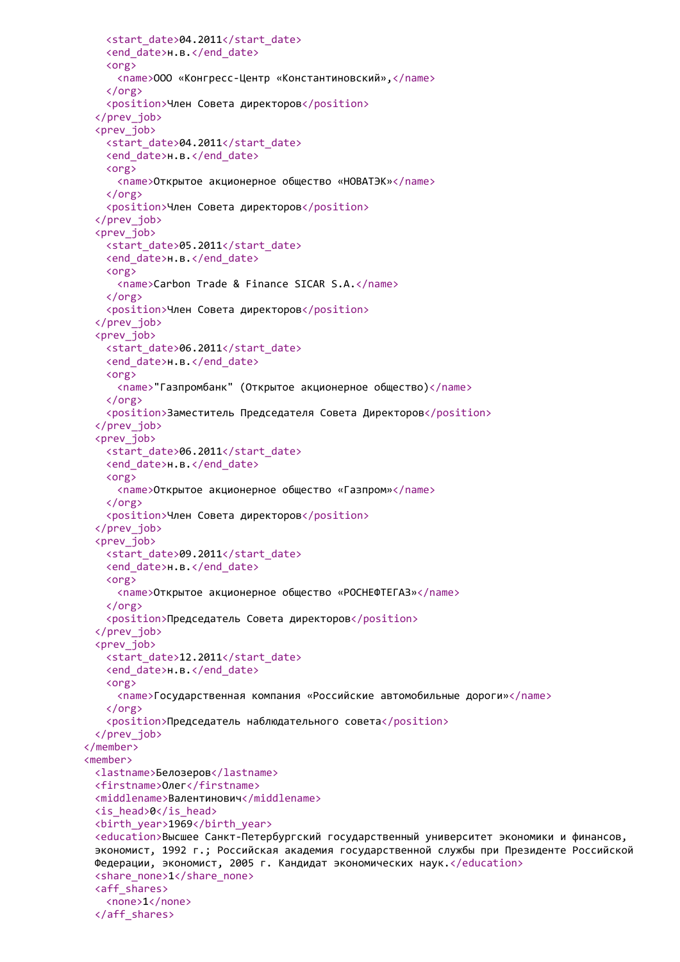```
<start_date>04.2011</start_date>
   <end_date>н.в.</end_date>
   <org>
     <name>ООО «Конгресс-Центр «Константиновский»,</name>
   </org>
   <position>Член Совета директоров</position>
 </prev_job>
 <prev_job>
   <start_date>04.2011</start_date>
   <end_date>н.в.</end_date>
   <org>
     <name>Открытое акционерное общество «НОВАТЭК»</name>
   </org>
   <position>Член Совета директоров</position>
 </prev_job>
 <prev_job>
   <start_date>05.2011</start_date>
   <end date>н.в.</end date>
   <org>
     <name>Carbon Trade & Finanсe SICAR S.A.</name>
   </org>
   <position>Член Совета директоров</position>
 </prev_job>
 <prev_job>
   <start_date>06.2011</start_date>
   <end date>н.в.</end date>
   <org>
     <name>"Газпромбанк" (Открытое акционерное общество)</name>
   </org>
   <position>Заместитель Председателя Совета Директоров</position>
 </prev_job>
 <prev_job>
   <start_date>06.2011</start_date>
   <end date>н.в.</end date>
   <org>
     <name>Открытое акционерное общество «Газпром»</name>
   </org>
   <position>Член Совета директоров</position>
 </prev_job>
 <prev_job>
   <start_date>09.2011</start_date>
   <end_date>н.в.</end_date>
   <org>
     <name>Открытое акционерное общество «РОСНЕФТЕГАЗ»</name>
   \langle/org\rangle<position>Председатель Совета директоров</position>
 </prev_job>
 <prev_job>
   <start_date>12.2011</start_date>
   <end date>н.в.</end date>
   <org>
     <name>Государственная компания «Российские автомобильные дороги»</name>
   \langle/org\rangle<position>Председатель наблюдательного совета</position>
 </prev_job>
</member>
<member>
 <lastname>Белозеров</lastname>
 <firstname>Олег</firstname>
 <middlename>Валентинович</middlename>
 <is_head>0</is_head>
 <birth_year>1969</birth_year>
 <education>Высшее Санкт-Петербургский государственный университет экономики и финансов,
 экономист, 1992 г.; Российская академия государственной службы при Президенте Российской
 Федерации, экономист, 2005 г. Кандидат экономических наук.</education>
 <share_none>1</share_none>
 <aff_shares>
   <none>1</none>
 </aff_shares>
```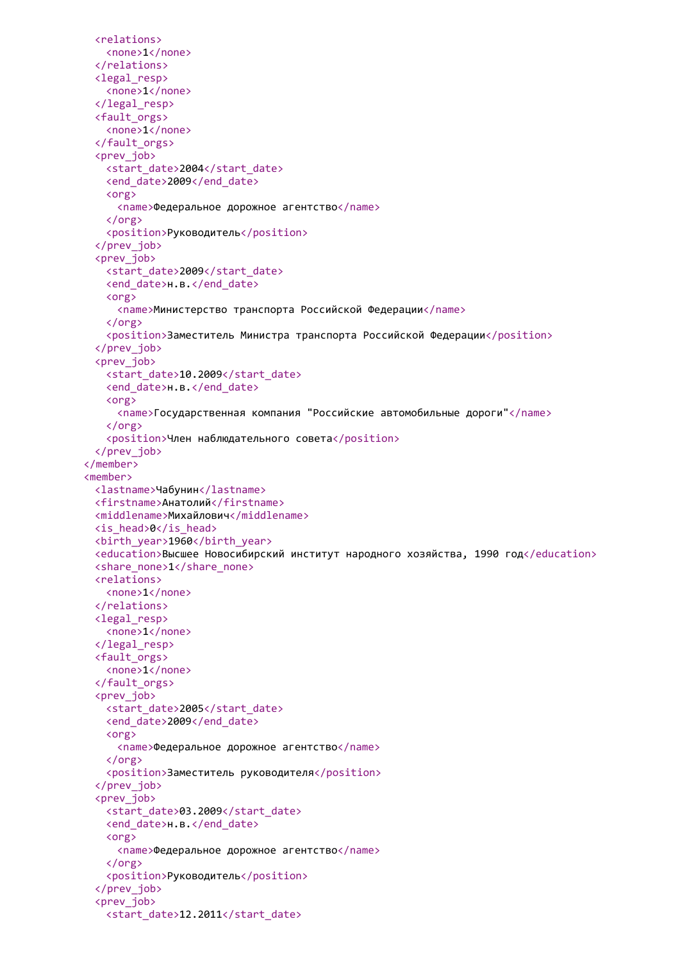```
<relations>
   <none>1</none>
 </relations>
 <legal_resp>
   <none>1</none>
 </legal_resp>
 <fault_orgs>
   <none>1</none>
 </fault_orgs>
 <prev_job>
   <start date>2004</start date>
   <end_date>2009</end_date>
   <org>
     <name>Федеральное дорожное агентство</name>
   </org>
   <position>Руководитель</position>
 </prev_job>
 <prev_job>
   <start_date>2009</start_date>
   <end date>н.в.</end date>
   <org>
     <name>Министерство транспорта Российской Федерации</name>
   </org>
   <position>Заместитель Министра транспорта Российской Федерации</position>
 </prev_job>
 <prev_job>
   <start_date>10.2009</start_date>
   <end date>н.в.</end date>
   <org>
     <name>Государственная компания "Российские автомобильные дороги"</name>
   </org>
   <position>Член наблюдательного совета</position>
 </prev_job>
</member>
<member>
 <lastname>Чабунин</lastname>
 <firstname>Анатолий</firstname>
 <middlename>Михайлович</middlename>
 <is_head>0</is_head>
 <birth_year>1960</birth_year>
 <education>Высшее Новосибирский институт народного хозяйства, 1990 год</education>
 <share_none>1</share_none>
 <relations>
   <none>1</none>
 </relations>
 <legal_resp>
   <none>1</none>
 </legal_resp>
 <fault_orgs>
   <none>1</none>
 </fault_orgs>
 <prev_iob>
   <start_date>2005</start_date>
   <end_date>2009</end_date>
   <org>
     <name>Федеральное дорожное агентство</name>
   </org>
   <position>Заместитель руководителя</position>
 </prev_job>
 <prev_iob>
   <start_date>03.2009</start_date>
   <end date>н.в.</end date>
   <org>
     <name>Федеральное дорожное агентство</name>
   </org>
   <position>Руководитель</position>
 </prev_job>
 <prev_job>
   <start_date>12.2011</start_date>
```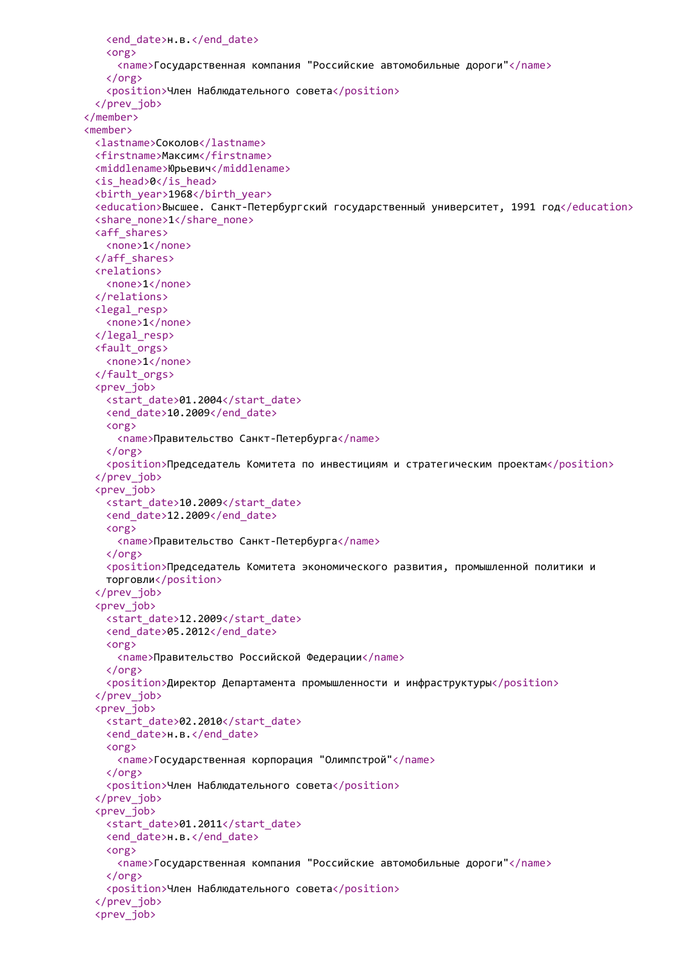```
<end_date>н.в.</end_date>
   <org>
     <name>Государственная компания "Российские автомобильные дороги"</name>
   </org>
   <position>Член Наблюдательного совета</position>
 </prev_job>
</member>
<member>
 <lastname>Соколов</lastname>
 <firstname>Максим</firstname>
 <middlename>Юрьевич</middlename>
 <is_head>0</is_head>
 <birth_year>1968</birth_year>
 <education>Высшее. Санкт-Петербургский государственный университет, 1991 год</education>
 <share_none>1</share_none>
 <aff_shares>
   <none>1</none>
 </aff_shares>
 <relations>
   <none>1</none>
 </relations>
 <legal_resp>
   <none>1</none>
 </legal_resp>
 <fault_orgs>
   <none>1</none>
 </fault_orgs>
 <prev_job>
   <start_date>01.2004</start_date>
   <end_date>10.2009</end_date>
   <org>
     <name>Правительство Санкт-Петербурга</name>
   </org>
   <position>Председатель Комитета по инвестициям и стратегическим проектам</position>
 </prev_job>
 <prev_job>
   <start_date>10.2009</start_date>
   <end date>12.2009</end date>
   <org>
     <name>Правительство Санкт-Петербурга</name>
   </org>
   <position>Председатель Комитета экономического развития, промышленной политики и
   торговли</position>
 </prev_job>
 <prev_job>
   <start_date>12.2009</start_date>
   <end_date>05.2012</end_date>
   <org>
     <name>Правительство Российской Федерации</name>
   \langle/org\rangle<position>Директор Департамента промышленности и инфраструктуры</position>
 </prev_job>
 <prev_iob>
   <start_date>02.2010</start_date>
   <end_date>н.в.</end_date>
   <org>
     <name>Государственная корпорация "Олимпстрой"</name>
   \langle/\rangle<position>Член Наблюдательного совета</position>
 </prev_job>
 <prev_iob>
   <start_date>01.2011</start_date>
   <end date>н.в.</end date>
   <org>
     <name>Государственная компания "Российские автомобильные дороги"</name>
   </org>
   <position>Член Наблюдательного совета</position>
 </prev_job>
 <prev_job>
```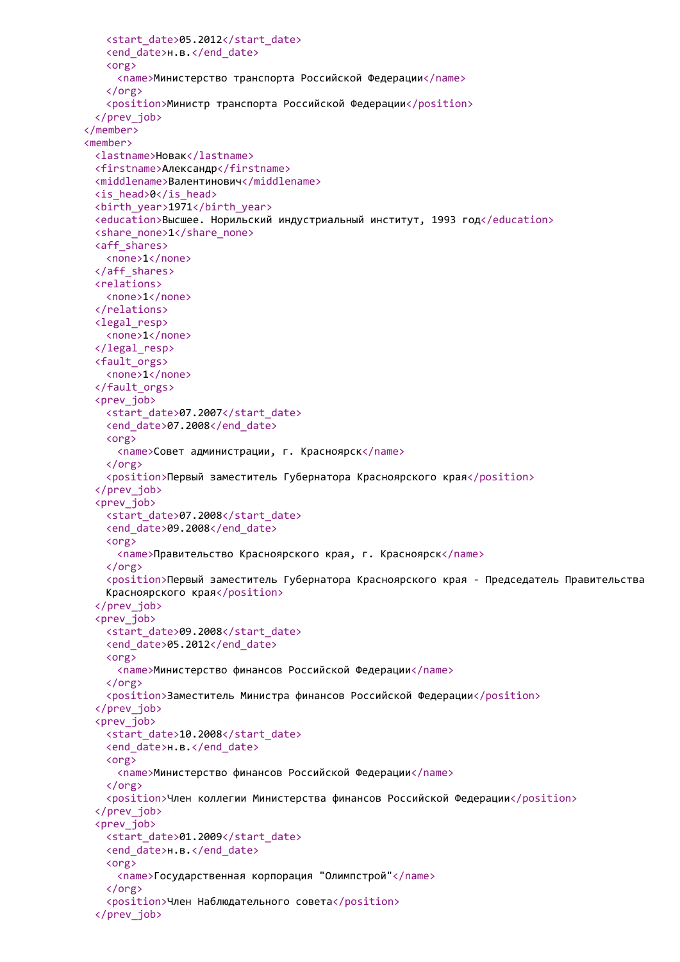```
<start_date>05.2012</start_date>
   <end_date>н.в.</end_date>
   <org>
     <name>Министерство транспорта Российской Федерации</name>
   </org>
   <position>Министр транспорта Российской Федерации</position>
 </prev_job>
</member>
<member>
 <lastname>Новак</lastname>
 <firstname>Александр</firstname>
 <middlename>Валентинович</middlename>
 <is_head>0</is_head>
 <birth_year>1971</birth_year>
 <education>Высшее. Норильский индустриальный институт, 1993 год</education>
 <share_none>1</share_none>
 <aff_shares>
   <none>1</none>
 </aff_shares>
 <relations>
   <none>1</none>
 </relations>
 <legal_resp>
   <none>1</none>
 </legal_resp>
 <fault_orgs>
   <none>1</none>
 </fault_orgs>
 <prev_job>
   <start_date>07.2007</start_date>
   <end date>07.2008</end date>
   <org>
     <name>Совет администрации, г. Красноярск</name>
   </org>
   <position>Первый заместитель Губернатора Красноярского края</position>
 </prev_job>
 <prev_job>
   <start_date>07.2008</start_date>
   <end_date>09.2008</end_date>
   <org>
     <name>Правительство Красноярского края, г. Красноярск</name>
   </org>
   <position>Первый заместитель Губернатора Красноярского края - Председатель Правительства
   Красноярского края</position>
 </prev_job>
 <prev_job>
   <start_date>09.2008</start_date>
   <end date>05.2012</end date>
   <org>
     <name>Министерство финансов Российской Федерации</name>
   </org>
   <position>Заместитель Министра финансов Российской Федерации</position>
 </prev_job>
 <prev_iob>
   <start_date>10.2008</start_date>
   <end date>н.в.</end date>
   <org>
     <name>Министерство финансов Российской Федерации</name>
   </org>
   <position>Член коллегии Министерства финансов Российской Федерации</position>
 </prev_job>
 <prev_iob>
   <start_date>01.2009</start_date>
   <end_date>н.в.</end_date>
   <org>
     <name>Государственная корпорация "Олимпстрой"</name>
   </org>
   <position>Член Наблюдательного совета</position>
 </prev_job>
```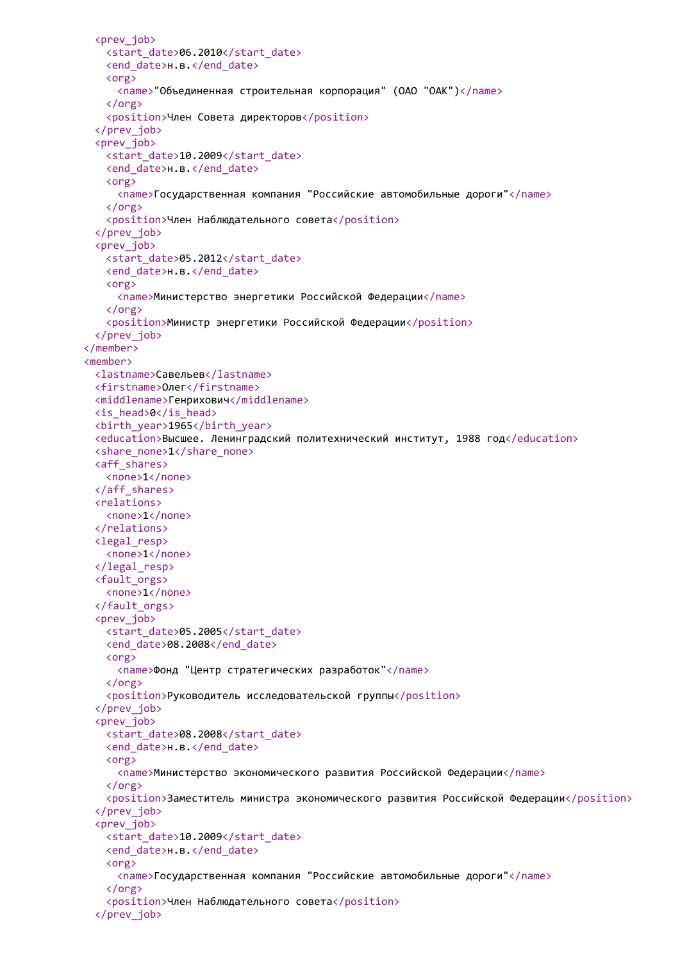```
<prev_job>
   <start_date>06.2010</start_date>
   <end_date>н.в.</end_date>
   <org>
     <name>"Объединенная строительная корпорация" (ОАО "ОАК")</name>
   </org>
   <position>Член Совета директоров</position>
 </prev_job>
 <prev_job>
   <start_date>10.2009</start_date>
   <end_date>н.в.</end_date>
   <org>
     <name>Государственная компания "Российские автомобильные дороги"</name>
   </org>
   <position>Член Наблюдательного совета</position>
 </prev_job>
 <prev_job>
   <start_date>05.2012</start_date>
   <end date>н.в.</end date>
   <org>
     <name>Министерство энергетики Российской Федерации</name>
   </org>
   <position>Министр энергетики Российской Федерации</position>
 </prev_job>
</member>
<member>
 <lastname>Савельев</lastname>
 <firstname>Олег</firstname>
 <middlename>Генрихович</middlename>
 <is_head>0</is_head>
 <birth_year>1965</birth_year>
 <education>Высшее. Ленинградский политехнический институт, 1988 год</education>
 <share_none>1</share_none>
 <aff_shares>
   <none>1</none>
 </aff_shares>
 <relations>
   <none>1</none>
 </relations>
 <legal_resp>
   <none>1</none>
 </legal_resp>
 <fault_orgs>
   <none>1</none>
 </fault_orgs>
 <prev_job>
   <start_date>05.2005</start_date>
   <end date>08.2008</end date>
   <org>
     <name>Фонд "Центр стратегических разработок"</name>
   </org>
   <position>Руководитель исследовательской группы</position>
 </prev_job>
 <prev_job>
   <start_date>08.2008</start_date>
   <end_date>н.в.</end_date>
   <org>
     <name>Министерство экономического развития Российской Федерации</name>
   </org>
   <position>Заместитель министра экономического развития Российской Федерации</position>
 </prev_job>
 <prev_iob>
   <start_date>10.2009</start_date>
   <end_date>н.в.</end_date>
   <org>
     <name>Государственная компания "Российские автомобильные дороги"</name>
   </org>
   <position>Член Наблюдательного совета</position>
 </prev_job>
```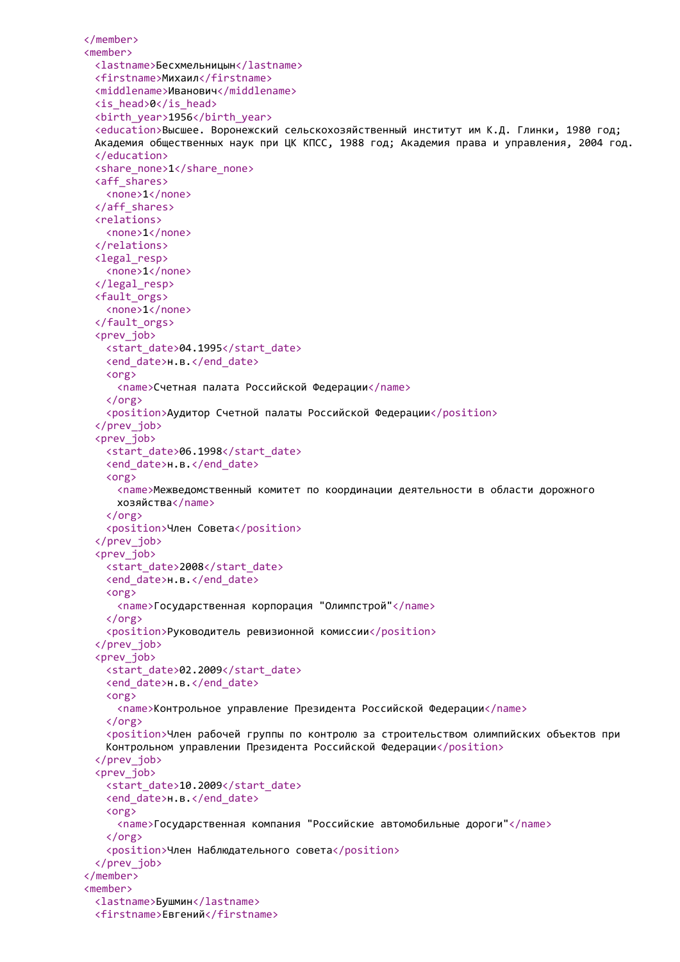```
</member>
<member>
 <lastname>Бесхмельницын</lastname>
 <firstname>Михаил</firstname>
 <middlename>Иванович</middlename>
 <is_head>0</is_head>
 <birth_year>1956</birth_year>
 <education>Высшее. Воронежский сельскохозяйственный институт им К.Д. Глинки, 1980 год;
 Академия общественных наук при ЦК КПСС, 1988 год; Академия права и управления, 2004 год.
 </education>
 <share_none>1</share_none>
 <aff_shares>
   <none>1</none>
 </aff_shares>
 <relations>
   <none>1</none>
 </relations>
 <legal_resp>
   <none>1</none>
 </legal_resp>
 <fault_orgs>
   <none>1</none>
 </fault_orgs>
 <prev_job>
   <start_date>04.1995</start_date>
   <end date>н.в.</end date>
   <org>
     <name>Счетная палата Российской Федерации</name>
   </org>
   <position>Аудитор Счетной палаты Российской Федерации</position>
 </prev_job>
 <prev_job>
   <start_date>06.1998</start_date>
   <end date>н.в.</end date>
   <org>
     <name>Межведомственный комитет по координации деятельности в области дорожного
     хозяйства</name>
   </org>
   <position>Член Совета</position>
 </prev_job>
 <prev_job>
   <start_date>2008</start_date>
   <end date>н.в.</end date>
   <org>
     <name>Государственная корпорация "Олимпстрой"</name>
   </org>
   <position>Руководитель ревизионной комиссии</position>
 </prev_job>
 <prev_job>
   <start_date>02.2009</start_date>
   <end date>н.в.</end date>
   <org>
     <name>Контрольное управление Президента Российской Федерации</name>
   \zeta/org\zeta<position>Член рабочей группы по контролю за строительством олимпийских объектов при
   Контрольном управлении Президента Российской Федерации</position>
 </prev_job>
 <prev_iob>
   <start_date>10.2009</start_date>
   <end date>н.в.</end date>
   <org>
     <name>Государственная компания "Российские автомобильные дороги"</name>
   </org>
   <position>Член Наблюдательного совета</position>
 </prev_job>
</member>
<member>
 <lastname>Бушмин</lastname>
 <firstname>Евгений</firstname>
```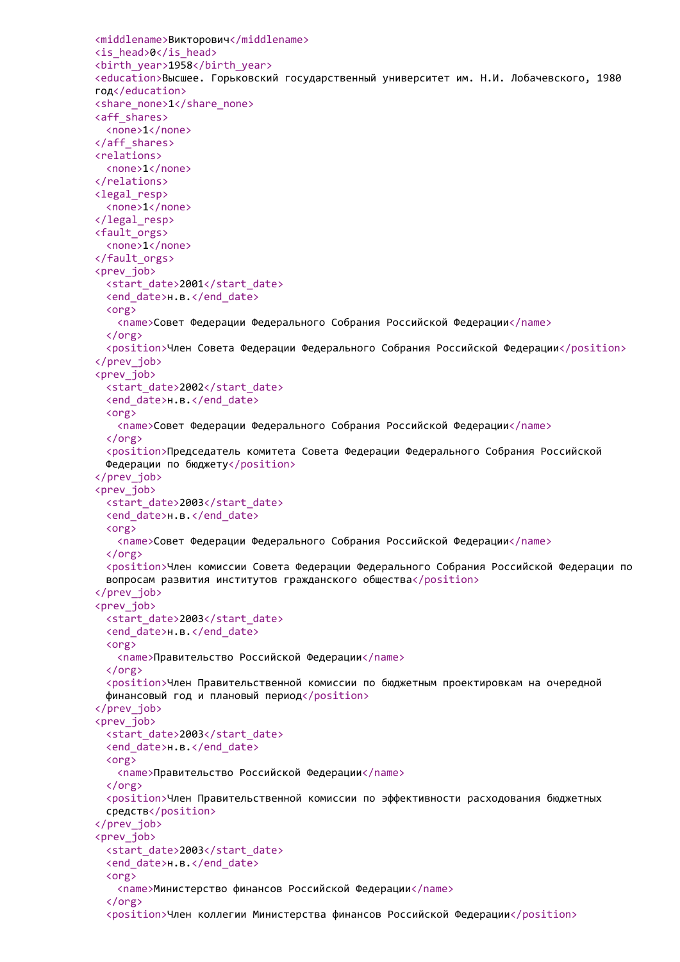```
<middlename>Викторович</middlename>
<is_head>0</is_head>
<birth_year>1958</birth_year>
<education>Высшее. Горьковский государственный университет им. Н.И. Лобачевского, 1980
год</education>
<share_none>1</share_none>
<aff_shares>
 <none>1</none>
</aff_shares>
<relations>
 <none>1</none>
</relations>
<legal_resp>
 <none>1</none>
</legal_resp>
<fault_orgs>
 <none>1</none>
</fault_orgs>
<prev_job>
 <start_date>2001</start_date>
 <end date>н.в.</end date>
 <org>
   <name>Совет Федерации Федерального Собрания Российской Федерации</name>
  </org>
  <position>Член Совета Федерации Федерального Собрания Российской Федерации</position>
</prev_job>
<prev_job>
 <start_date>2002</start_date>
  <end date>н.в.</end date>
 <org>
   <name>Совет Федерации Федерального Собрания Российской Федерации</name>
 </org>
  <position>Председатель комитета Совета Федерации Федерального Собрания Российской
 Федерации по бюджету</position>
</prev_job>
<prev_job>
 <start_date>2003</start_date>
  <end date>н.в.</end date>
 <org>
   <name>Совет Федерации Федерального Собрания Российской Федерации</name>
 </org>
  <position>Член комиссии Совета Федерации Федерального Собрания Российской Федерации по
 вопросам развития институтов гражданского общества</position>
</prev_job>
<prev_job>
 <start_date>2003</start_date>
 <end date>н.в.</end date>
 <org>
   <name>Правительство Российской Федерации</name>
 \langle/org\rangle<position>Член Правительственной комиссии по бюджетным проектировкам на очередной
 финансовый год и плановый период</position>
</prev_job>
<prev_job>
 <start_date>2003</start_date>
  <end date>н.в.</end date>
 <org>
   <name>Правительство Российской Федерации</name>
 \zeta/org\zeta<position>Член Правительственной комиссии по эффективности расходования бюджетных
 средств</position>
</prev_job>
<prev_iob>
 <start_date>2003</start_date>
  <end_date>н.в.</end_date>
 <org>
   <name>Министерство финансов Российской Федерации</name>
  </org>
  <position>Член коллегии Министерства финансов Российской Федерации</position>
```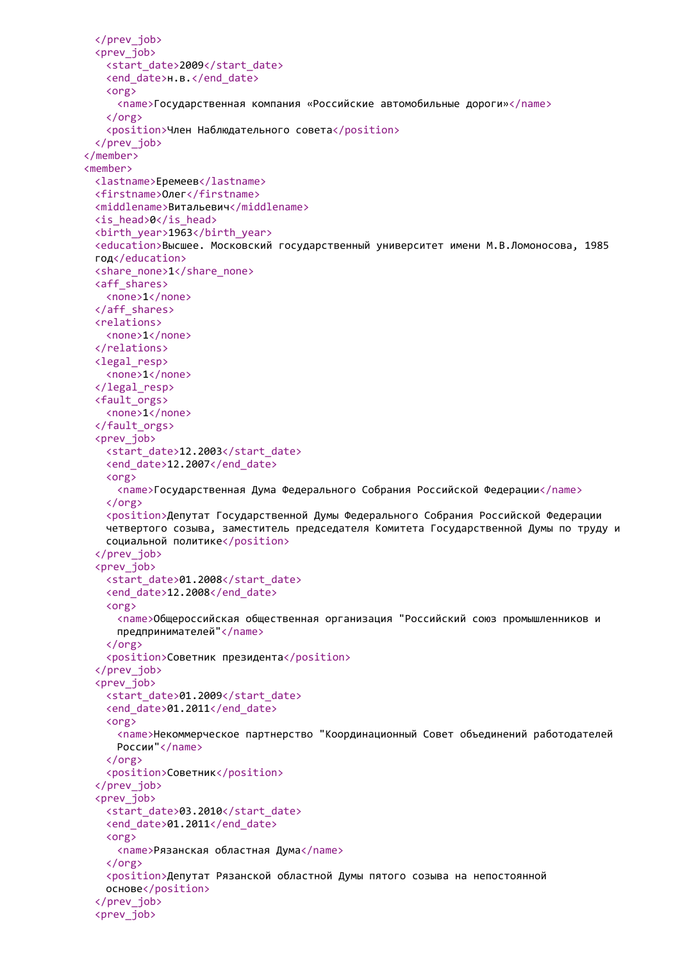```
</prev_job>
 <prev_job>
   <start_date>2009</start_date>
   <end_date>н.в.</end_date>
   <org>
     <name>Государственная компания «Российские автомобильные дороги»</name>
   </org>
   <position>Член Наблюдательного совета</position>
 </prev_job>
</member>
<member>
 <lastname>Еремеев</lastname>
 <firstname>Олег</firstname>
 <middlename>Витальевич</middlename>
 <is_head>0</is_head>
 <birth_year>1963</birth_year>
 <education>Высшее. Московский государственный университет имени М.В.Ломоносова, 1985
 год</education>
 <share_none>1</share_none>
 <aff_shares>
   <none>1</none>
 </aff_shares>
 <relations>
   <none>1</none>
 </relations>
 <legal_resp>
   <none>1</none>
 </legal_resp>
 <fault_orgs>
   <none>1</none>
 </fault_orgs>
 <prev_job>
   <start_date>12.2003</start_date>
   <end_date>12.2007</end_date>
   <org>
     <name>Государственная Дума Федерального Собрания Российской Федерации</name>
   </org>
   <position>Депутат Государственной Думы Федерального Собрания Российской Федерации
   четвертого созыва, заместитель председателя Комитета Государственной Думы по труду и
   социальной политике</position>
 </prev_job>
 <prev_job>
   <start_date>01.2008</start_date>
   <end date>12.2008</end date>
   <org>
     <name>Общероссийская общественная организация "Российский союз промышленников и
     предпринимателей"</name>
   \langle/org\rangle<position>Советник президента</position>
 </prev_job>
 <prev_iob>
   <start_date>01.2009</start_date>
   <end_date>01.2011</end_date>
   <org>
     <name>Некоммерческое партнерство "Координационный Совет объединений работодателей
     России"</name>
   </org>
   <position>Советник</position>
 </prev_job>
 <prev_iob>
   <start_date>03.2010</start_date>
   <end date>01.2011</end date>
   <org>
     <name>Рязанская областная Дума</name>
   </org>
   <position>Депутат Рязанской областной Думы пятого созыва на непостоянной
   основе</position>
 </prev_job>
 <prev_job>
```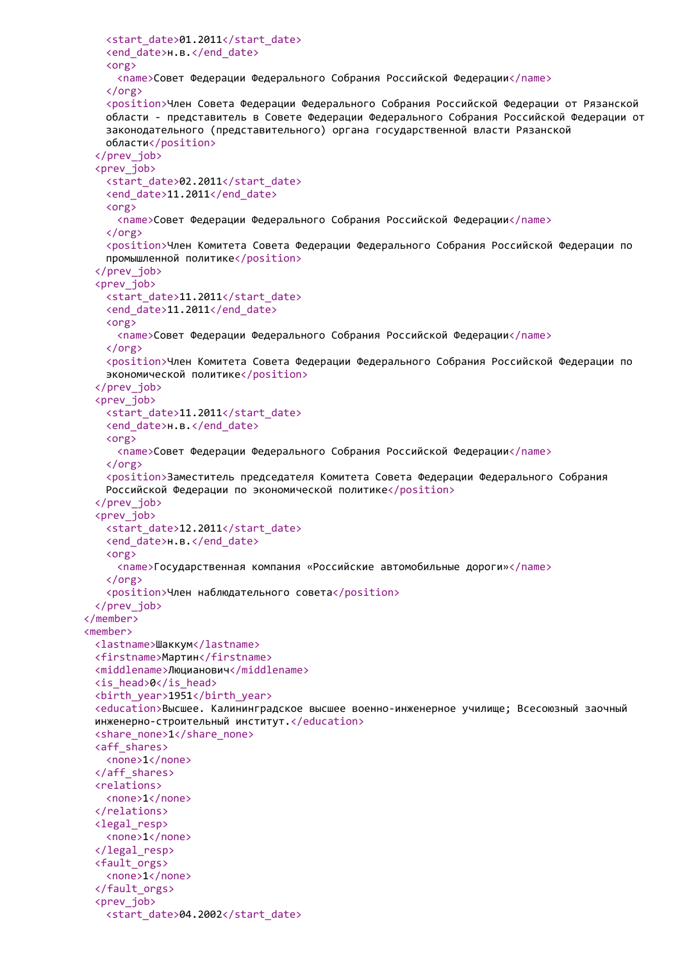```
<start_date>01.2011</start_date>
   <end_date>н.в.</end_date>
   <org>
     <name>Совет Федерации Федерального Собрания Российской Федерации</name>
   </org>
   <position>Член Совета Федерации Федерального Собрания Российской Федерации от Рязанской
   области - представитель в Совете Федерации Федерального Собрания Российской Федерации от
   законодательного (представительного) органа государственной власти Рязанской
   области</position>
 </prev_job>
 <prev_job>
   <start_date>02.2011</start_date>
   <end date>11.2011</end date>
   <org>
     <name>Совет Федерации Федерального Собрания Российской Федерации</name>
   </org>
   <position>Член Комитета Совета Федерации Федерального Собрания Российской Федерации по
   промышленной политике</position>
 </prev_job>
 <prev_job>
   <start_date>11.2011</start_date>
   <end date>11.2011</end date>
   <org>
     <name>Совет Федерации Федерального Собрания Российской Федерации</name>
   </org>
   <position>Член Комитета Совета Федерации Федерального Собрания Российской Федерации по
   экономической политике</position>
 </prev_job>
 <prev_job>
   <start_date>11.2011</start_date>
   <end date>н.в.</end date>
   <org>
     <name>Совет Федерации Федерального Собрания Российской Федерации</name>
   </org>
   <position>Заместитель председателя Комитета Совета Федерации Федерального Собрания
   Российской Федерации по экономической политике</position>
 </prev_job>
 <prev_job>
   <start_date>12.2011</start_date>
   <end date>н.в.</end date>
   <org>
     <name>Государственная компания «Российские автомобильные дороги»</name>
   </org>
   <position>Член наблюдательного совета</position>
 </prev_job>
</member>
<member>
 <lastname>Шаккум</lastname>
 <firstname>Мартин</firstname>
 <middlename>Люцианович</middlename>
 <is_head>0</is_head>
 <birth_year>1951</birth_year>
 <education>Высшее. Калининградское высшее военно-инженерное училище; Всесоюзный заочный
 инженерно-строительный институт.</education>
 <share_none>1</share_none>
 <aff_shares>
   <none>1</none>
 </aff_shares>
 <relations>
   <none>1</none>
 </relations>
 <legal_resp>
   <none>1</none>
 </legal_resp>
 <fault_orgs>
   <none>1</none>
 </fault_orgs>
 <prev_job>
   <start_date>04.2002</start_date>
```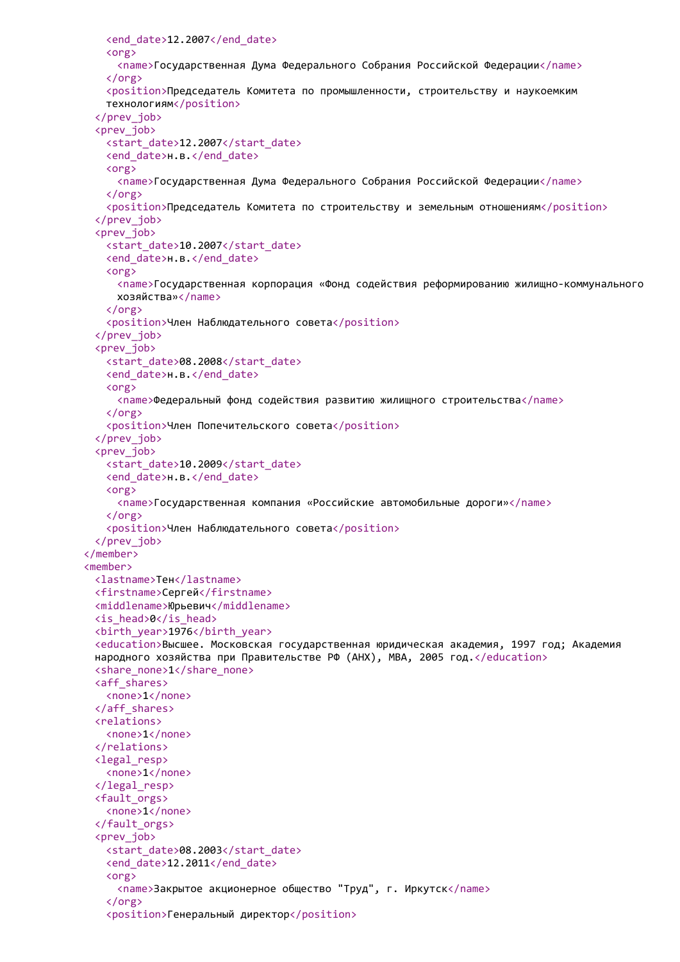```
<end_date>12.2007</end_date>
   <org>
     <name>Государственная Дума Федерального Собрания Российской Федерации</name>
   </org>
   <position>Председатель Комитета по промышленности, строительству и наукоемким
   технологиям</position>
 </prev_job>
 <prev_job>
   <start_date>12.2007</start_date>
   <end_date>н.в.</end_date>
   <org>
     <name>Государственная Дума Федерального Собрания Российской Федерации</name>
   </org>
   <position>Председатель Комитета по строительству и земельным отношениям</position>
 </prev_job>
 <prev_job>
   <start_date>10.2007</start_date>
   <end date>н.в.</end date>
   <org>
     <name>Государственная корпорация «Фонд содействия реформированию жилищно-коммунального
     хозяйства»</name>
   </org>
   <position>Член Наблюдательного совета</position>
 </prev_job>
 <prev_job>
   <start_date>08.2008</start_date>
   <end date>н.в.</end date>
   <org>
     <name>Федеральный фонд содействия развитию жилищного строительства</name>
   </org>
   <position>Член Попечительского совета</position>
 </prev_job>
 <prev_job>
   <start_date>10.2009</start_date>
   <end date>н.в.</end date>
   <org>
     <name>Государственная компания «Российские автомобильные дороги»</name>
   </org>
   <position>Член Наблюдательного совета</position>
 </prev_job>
</member>
<member>
 <lastname>Тен</lastname>
 <firstname>Сергей</firstname>
 <middlename>Юрьевич</middlename>
 <is_head>0</is_head>
 <birth_year>1976</birth_year>
 <education>Высшее. Московская государственная юридическая академия, 1997 год; Академия
 народного хозяйства при Правительстве РФ (АНХ), MBA, 2005 год.</education>
 <share_none>1</share_none>
 <aff_shares>
   <none>1</none>
 </aff_shares>
 <relations>
   <none>1</none>
 </relations>
 <legal_resp>
   <none>1</none>
 </legal_resp>
 <fault_orgs>
   <none>1</none>
 </fault_orgs>
 <prev_iob>
   <start_date>08.2003</start_date>
   <end_date>12.2011</end_date>
   <org>
     <name>Закрытое акционерное общество "Труд", г. Иркутск</name>
   </org>
   <position>Генеральный директор</position>
```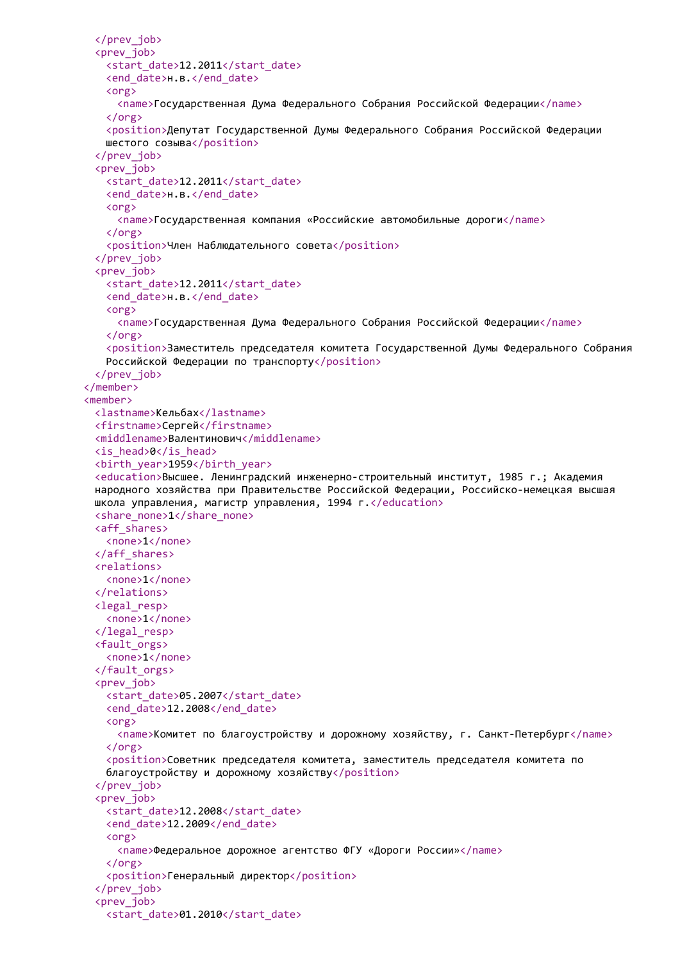```
</prev_job>
 <prev_job>
   <start_date>12.2011</start_date>
   <end_date>н.в.</end_date>
   <org>
     <name>Государственная Дума Федерального Собрания Российской Федерации</name>
   </org>
   <position>Депутат Государственной Думы Федерального Собрания Российской Федерации
   шестого созыва</position>
 </prev_job>
 <prev_job>
   <start_date>12.2011</start_date>
   <end date>н.в.</end date>
   <org>
     <name>Государственная компания «Российские автомобильные дороги</name>
   </org>
   <position>Член Наблюдательного совета</position>
 </prev_job>
 <prev_job>
   <start_date>12.2011</start_date>
   <end date>н.в.</end date>
   <org>
     <name>Государственная Дума Федерального Собрания Российской Федерации</name>
   </org>
   <position>Заместитель председателя комитета Государственной Думы Федерального Собрания
   Российской Федерации по транспорту</position>
 </prev_job>
</member>
<member>
 <lastname>Кельбах</lastname>
 <firstname>Сергей</firstname>
 <middlename>Валентинович</middlename>
 <is_head>0</is_head>
 <birth_year>1959</birth_year>
 <education>Высшее. Ленинградский инженерно-строительный институт, 1985 г.; Академия
 народного хозяйства при Правительстве Российской Федерации, Российско-немецкая высшая
 школа управления, магистр управления, 1994 г.</education>
 <share_none>1</share_none>
 <aff_shares>
   <none>1</none>
 </aff_shares>
 <relations>
   <none>1</none>
 </relations>
 <legal_resp>
   <none>1</none>
 </legal_resp>
 <fault_orgs>
   <none>1</none>
 </fault_orgs>
 <prev_iob>
   <start_date>05.2007</start_date>
   <end_date>12.2008</end_date>
   <org>
     <name>Комитет по благоустройству и дорожному хозяйству, г. Санкт-Петербург</name>
   </org>
   <position>Советник председателя комитета, заместитель председателя комитета по
   благоустройству и дорожному хозяйству</position>
 </prev_job>
 <prev_iob>
   <start_date>12.2008</start_date>
   <end_date>12.2009</end_date>
   <org>
     <name>Федеральное дорожное агентство ФГУ «Дороги России»</name>
   </org>
   <position>Генеральный директор</position>
 </prev_job>
 <prev_job>
   <start_date>01.2010</start_date>
```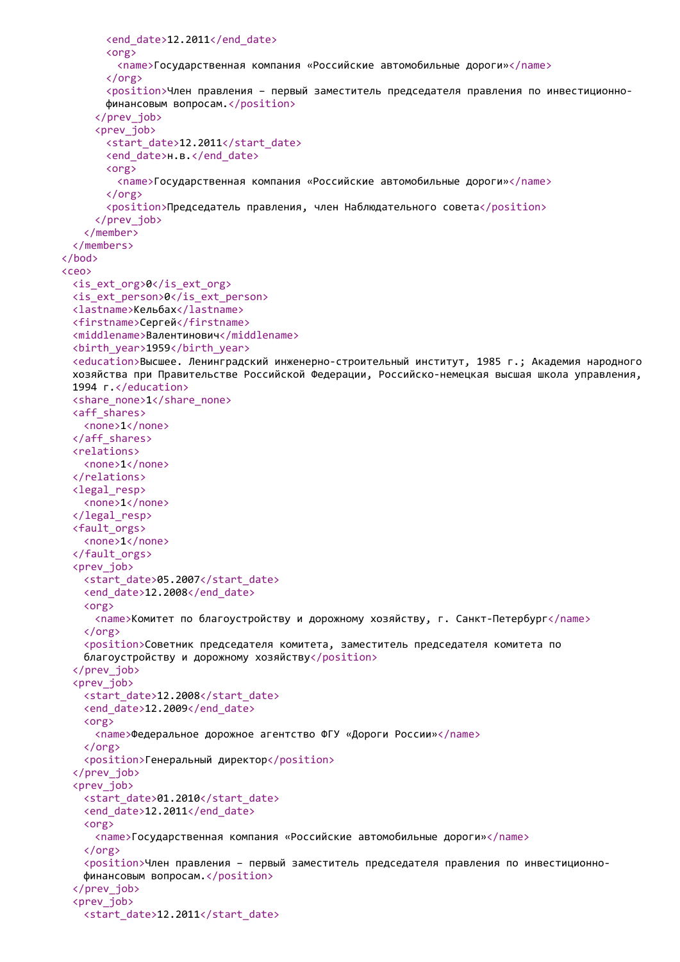```
<end_date>12.2011</end_date>
       <org>
         <name>Государственная компания «Российские автомобильные дороги»</name>
       </org>
       <position>Член правления – первый заместитель председателя правления по инвестиционно-
       финансовым вопросам.</position>
     </prev_job>
     <prev_job>
       <start_date>12.2011</start_date>
       <end_date>н.в.</end_date>
       <org>
         <name>Государственная компания «Российские автомобильные дороги»</name>
       </org>
       <position>Председатель правления, член Наблюдательного совета</position>
     </prev_job>
   </member>
  </members>
</bod>
<ceo>
  <is_ext_org>0</is_ext_org>
  <is_ext_person>0</is_ext_person>
  <lastname>Кельбах</lastname>
  <firstname>Сергей</firstname>
  <middlename>Валентинович</middlename>
  <birth_year>1959</birth_year>
  <education>Высшее. Ленинградский инженерно-строительный институт, 1985 г.; Академия народного
  хозяйства при Правительстве Российской Федерации, Российско-немецкая высшая школа управления,
 1994 г. </education>
  <share_none>1</share_none>
  <aff_shares>
   <none>1</none>
  </aff_shares>
  <relations>
   <none>1</none>
  </relations>
  <legal_resp>
   <none>1</none>
  </legal_resp>
  <fault_orgs>
   <none>1</none>
  </fault_orgs>
  <prev_job>
   <start_date>05.2007</start_date>
   <end date>12.2008</end date>
   <org>
     <name>Комитет по благоустройству и дорожному хозяйству, г. Санкт-Петербург</name>
   \langle/org\rangle<position>Советник председателя комитета, заместитель председателя комитета по
   благоустройству и дорожному хозяйству</position>
  </prev_job>
  <prev_iob>
   <start_date>12.2008</start_date>
   <end_date>12.2009</end_date>
   <org>
     <name>Федеральное дорожное агентство ФГУ «Дороги России»</name>
   </org>
   <position>Генеральный директор</position>
  </prev_job>
  <prev_iob>
   <start_date>01.2010</start_date>
   <end date>12.2011</end date>
   <org>
     <name>Государственная компания «Российские автомобильные дороги»</name>
   </org>
   <position>Член правления – первый заместитель председателя правления по инвестиционно-
   финансовым вопросам.</position>
  </prev_job>
  <prev_job>
   <start_date>12.2011</start_date>
```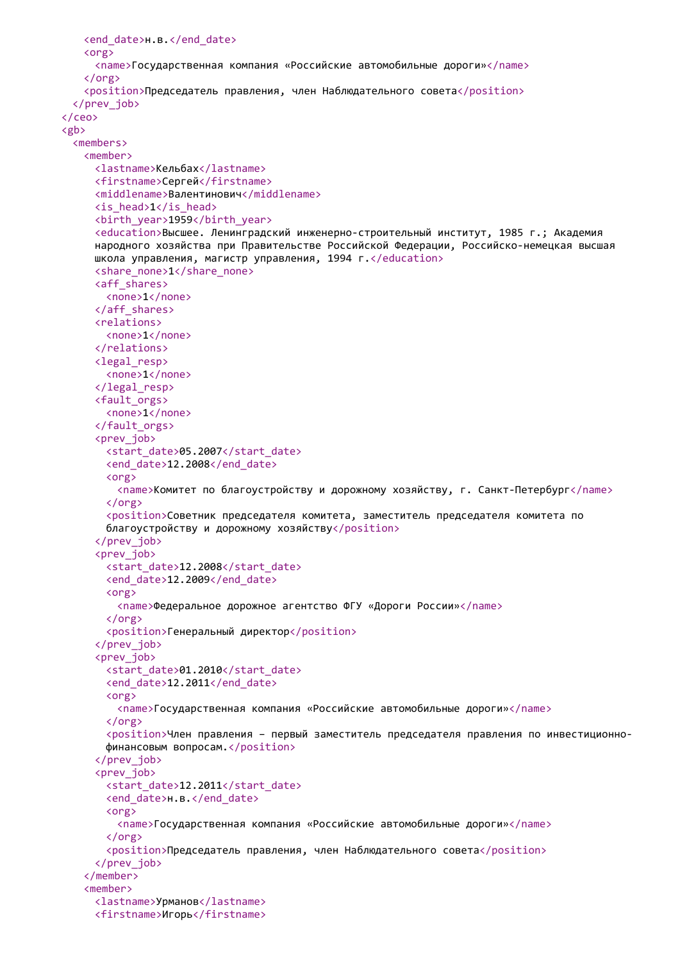```
<end_date>н.в.</end_date>
   <org>
     <name>Государственная компания «Российские автомобильные дороги»</name>
   </org>
   <position>Председатель правления, член Наблюдательного совета</position>
  </prev_job>
</ceo>
<gb>
  <members>
   <member>
     <lastname>Кельбах</lastname>
     <firstname>Сергей</firstname>
     <middlename>Валентинович</middlename>
     <is_head>1</is_head>
     <birth_year>1959</birth_year>
     <education>Высшее. Ленинградский инженерно-строительный институт, 1985 г.; Академия
     народного хозяйства при Правительстве Российской Федерации, Российско-немецкая высшая
     школа управления, магистр управления, 1994 г.</education>
     <share_none>1</share_none>
     <aff_shares>
       <none>1</none>
     </aff_shares>
     <relations>
       <none>1</none>
     </relations>
     <legal_resp>
       <none>1</none>
     </legal_resp>
     <fault_orgs>
       <none>1</none>
     </fault_orgs>
     <prev_job>
       <start_date>05.2007</start_date>
       <end date>12.2008</end date>
       <org>
         <name>Комитет по благоустройству и дорожному хозяйству, г. Санкт-Петербург</name>
       </org>
       <position>Советник председателя комитета, заместитель председателя комитета по
       благоустройству и дорожному хозяйству</position>
     </prev_job>
     <prev_job>
       <start_date>12.2008</start_date>
       <end date>12.2009</end date>
       <org>
         <name>Федеральное дорожное агентство ФГУ «Дороги России»</name>
       </org>
       <position>Генеральный директор</position>
     </prev_job>
     <prev_iob>
       <start_date>01.2010</start_date>
       <end_date>12.2011</end_date>
       <org>
         <name>Государственная компания «Российские автомобильные дороги»</name>
       \zeta/org\zeta<position>Член правления – первый заместитель председателя правления по инвестиционно-
       финансовым вопросам.</position>
     </prev_job>
     <prev_iob>
       <start_date>12.2011</start_date>
       <end date>н.в.</end date>
       <org>
         <name>Государственная компания «Российские автомобильные дороги»</name>
       </org>
       <position>Председатель правления, член Наблюдательного совета</position>
     </prev_job>
   </member>
   <member>
     <lastname>Урманов</lastname>
     <firstname>Игорь</firstname>
```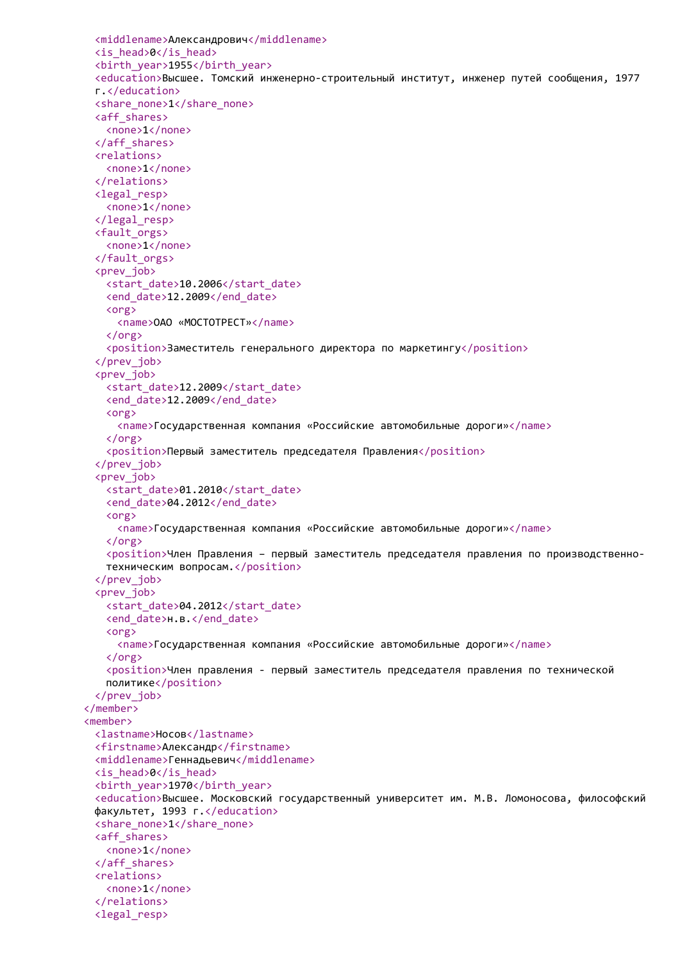```
<middlename>Александрович</middlename>
 <is_head>0</is_head>
 <birth_year>1955</birth_year>
 <education>Высшее. Томский инженерно-строительный институт, инженер путей сообщения, 1977
 г.</education>
 <share_none>1</share_none>
 <aff_shares>
   <none>1</none>
 </aff_shares>
 <relations>
   <none>1</none>
 </relations>
 <legal_resp>
   <none>1</none>
 </legal_resp>
 <fault_orgs>
   <none>1</none>
 </fault_orgs>
 <prev_job>
   <start_date>10.2006</start_date>
   <end_date>12.2009</end_date>
   <org>
     <name>ОАО «МОСТОТРЕСТ»</name>
   </org>
   <position>Заместитель генерального директора по маркетингу</position>
 </prev_job>
 <prev_job>
   <start_date>12.2009</start_date>
   <end_date>12.2009</end_date>
   <org>
     <name>Государственная компания «Российские автомобильные дороги»</name>
   </org>
   <position>Первый заместитель председателя Правления</position>
 </prev_job>
 <prev_job>
   <start_date>01.2010</start_date>
   <end_date>04.2012</end_date>
   <org>
     <name>Государственная компания «Российские автомобильные дороги»</name>
   </org>
   <position>Член Правления – первый заместитель председателя правления по производственно-
   техническим вопросам.</position>
 </prev_job>
 <prev_job>
   <start_date>04.2012</start_date>
   <end date>н.в.</end date>
   <org>
     <name>Государственная компания «Российские автомобильные дороги»</name>
   \langle/org\rangle<position>Член правления - первый заместитель председателя правления по технической
   политике</position>
 </prev_job>
</member>
<member>
 <lastname>Носов</lastname>
 <firstname>Александр</firstname>
 <middlename>Геннадьевич</middlename>
 <is_head>0</is_head>
 <birth_year>1970</birth_year>
 <education>Высшее. Московский государственный университет им. М.В. Ломоносова, философский
 факультет, 1993 г.</education>
 <share_none>1</share_none>
 <aff_shares>
   <none>1</none>
 </aff_shares>
 <relations>
   <none>1</none>
 </relations>
 <legal_resp>
```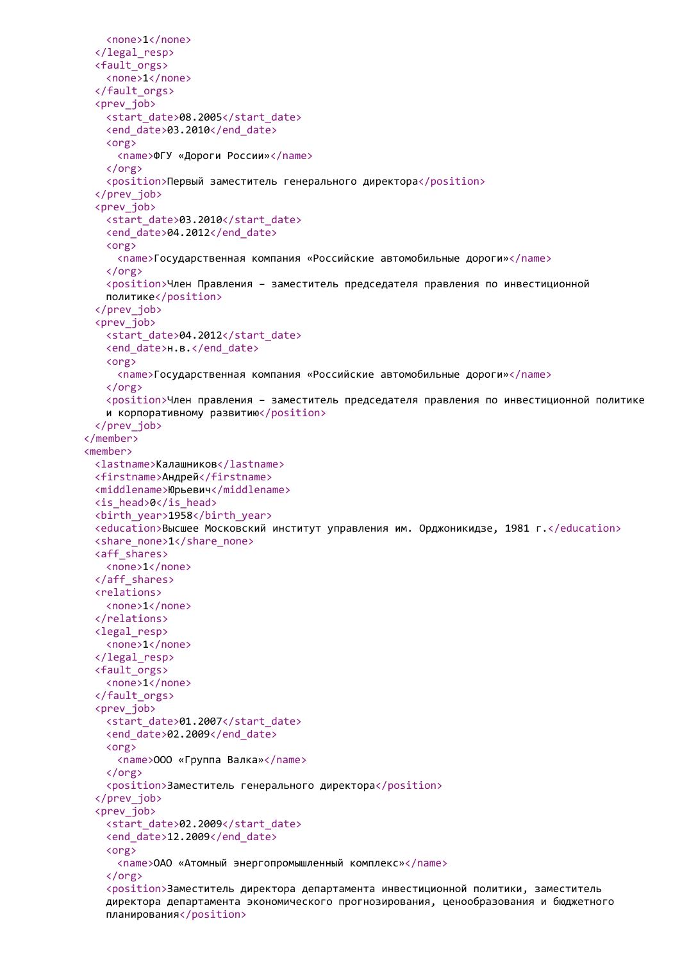```
<none>1</none>
 </legal_resp>
 <fault_orgs>
   <none>1</none>
 </fault_orgs>
 <prev_job>
   <start_date>08.2005</start_date>
   <end date>03.2010</end date>
   <org>
     <name>ФГУ «Дороги России»</name>
   </org>
   <position>Первый заместитель генерального директора</position>
 </prev_job>
 <prev_job>
   <start_date>03.2010</start_date>
   <end date>04.2012</end date>
   <org>
     <name>Государственная компания «Российские автомобильные дороги»</name>
   </org>
   <position>Член Правления – заместитель председателя правления по инвестиционной
   политике</position>
 </prev_job>
 <prev_job>
   <start_date>04.2012</start_date>
   <end_date>н.в.</end_date>
   <org>
     <name>Государственная компания «Российские автомобильные дороги»</name>
   </org>
   <position>Член правления – заместитель председателя правления по инвестиционной политике
   и корпоративному развитию</position>
 </prev_job>
</member>
<member>
 <lastname>Калашников</lastname>
 <firstname>Андрей</firstname>
 <middlename>Юрьевич</middlename>
 <is_head>0</is_head>
 <birth_year>1958</birth_year>
 <education>Высшее Московский институт управления им. Орджоникидзе, 1981 г.</education>
 <share_none>1</share_none>
 <aff_shares>
   <none>1</none>
 </aff_shares>
 <relations>
   <none>1</none>
 </relations>
 <legal_resp>
   <none>1</none>
 </legal_resp>
 <fault_orgs>
   <none>1</none>
 </fault_orgs>
 <prev_iob>
   <start_date>01.2007</start_date>
   <end_date>02.2009</end_date>
   <org>
     <name>ООО «Группа Валка»</name>
   </org>
   <position>Заместитель генерального директора</position>
 </prev_job>
 <prev_iob>
   <start_date>02.2009</start_date>
   <end date>12.2009</end date>
   <org>
     <name>ОАО «Атомный энергопромышленный комплекс»</name>
   </org>
   <position>Заместитель директора департамента инвестиционной политики, заместитель
   директора департамента экономического прогнозирования, ценообразования и бюджетного
   планирования</position>
```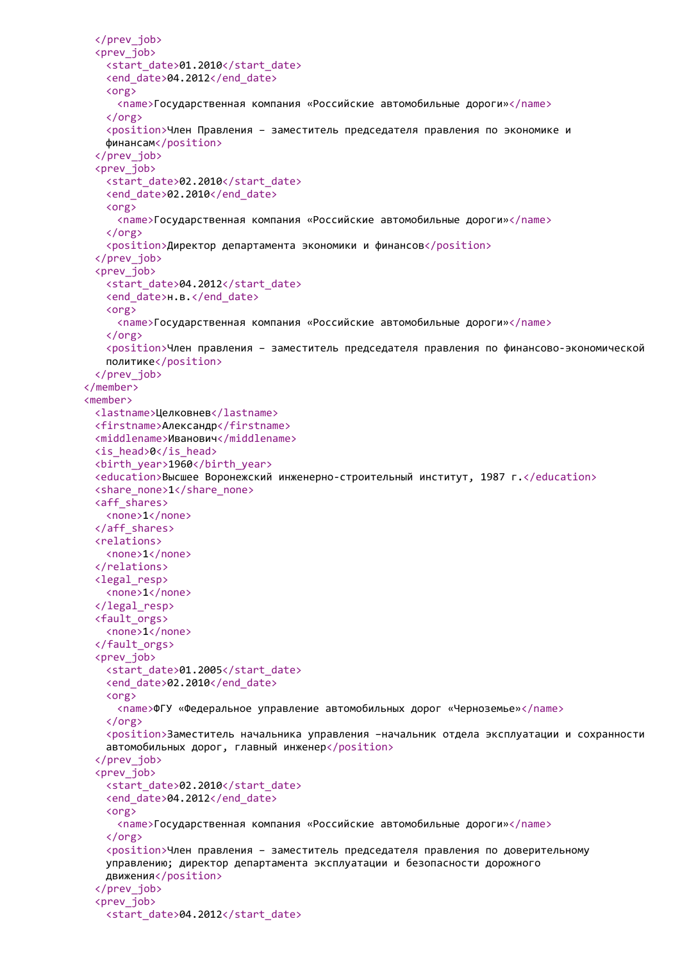```
</prev_job>
 <prev_job>
   <start_date>01.2010</start_date>
   <end_date>04.2012</end_date>
   <org>
     <name>Государственная компания «Российские автомобильные дороги»</name>
   </org>
   <position>Член Правления – заместитель председателя правления по экономике и
   финансам</position>
 </prev_job>
 <prev_job>
   <start_date>02.2010</start_date>
   <end date>02.2010</end date>
   <org>
     <name>Государственная компания «Российские автомобильные дороги»</name>
   </org>
   <position>Директор департамента экономики и финансов</position>
 </prev_job>
 <prev_job>
   <start_date>04.2012</start_date>
   <end date>н.в.</end date>
   <org>
     <name>Государственная компания «Российские автомобильные дороги»</name>
   </org>
   <position>Член правления – заместитель председателя правления по финансово-экономической
   политике</position>
 </prev_job>
</member>
<member>
 <lastname>Целковнев</lastname>
 <firstname>Александр</firstname>
 <middlename>Иванович</middlename>
 <is_head>0</is_head>
 <birth_year>1960</birth_year>
 <education>Высшее Воронежский инженерно-строительный институт, 1987 г.</education>
 <share_none>1</share_none>
 <aff_shares>
   <none>1</none>
 </aff_shares>
 <relations>
   <none>1</none>
 </relations>
 <legal_resp>
   <none>1</none>
 </legal_resp>
 <fault_orgs>
   <none>1</none>
 </fault_orgs>
 <prev_job>
   <start_date>01.2005</start_date>
   <end_date>02.2010</end_date>
   <org>
     <name>ФГУ «Федеральное управление автомобильных дорог «Черноземье»</name>
   \langle/\rangle<position>Заместитель начальника управления –начальник отдела эксплуатации и сохранности
   автомобильных дорог, главный инженер</position>
 </prev_job>
 <prev_iob>
   <start_date>02.2010</start_date>
   <end_date>04.2012</end_date>
   <org>
     <name>Государственная компания «Российские автомобильные дороги»</name>
   </org>
   <position>Член правления – заместитель председателя правления по доверительному
   управлению; директор департамента эксплуатации и безопасности дорожного
   движения</position>
 </prev_job>
 <prev_job>
   <start_date>04.2012</start_date>
```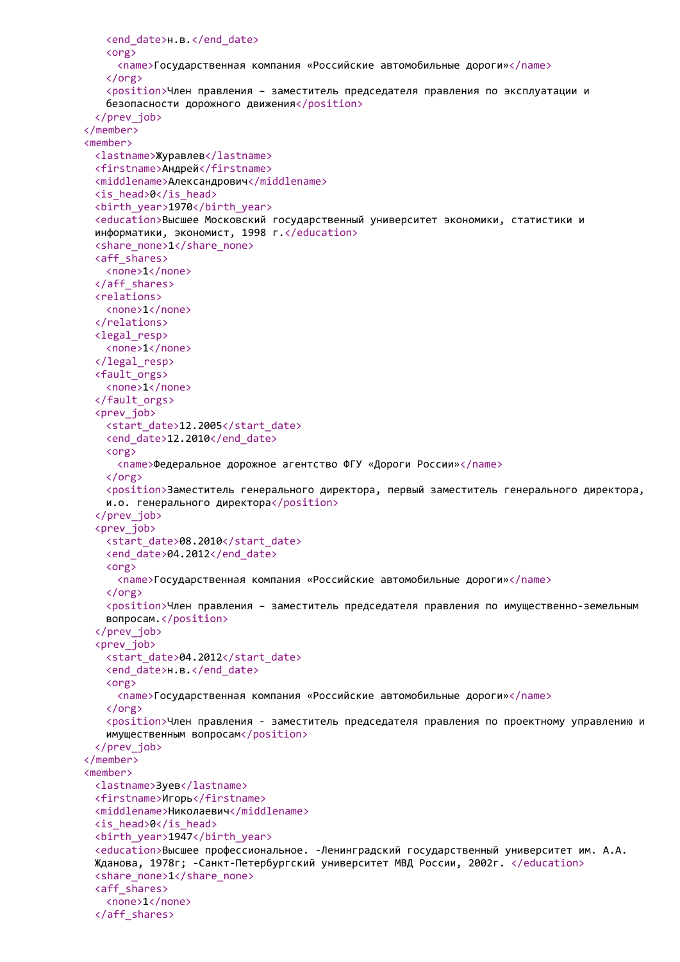```
<end_date>н.в.</end_date>
   <org>
     <name>Государственная компания «Российские автомобильные дороги»</name>
   </org>
   <position>Член правления – заместитель председателя правления по эксплуатации и
   безопасности дорожного движения</position>
 </prev_job>
</member>
<member>
 <lastname>Журавлев</lastname>
 <firstname>Андрей</firstname>
 <middlename>Александрович</middlename>
 <is_head>0</is_head>
 <birth_year>1970</birth_year>
 <education>Высшее Московский государственный университет экономики, статистики и
 информатики, экономист, 1998 г.</education>
 <share_none>1</share_none>
 <aff_shares>
   <none>1</none>
 </aff_shares>
 <relations>
   <none>1</none>
 </relations>
 <legal_resp>
   <none>1</none>
 </legal_resp>
 <fault_orgs>
   <none>1</none>
 </fault_orgs>
 <prev_job>
   <start_date>12.2005</start_date>
   <end_date>12.2010</end_date>
   <org>
     <name>Федеральное дорожное агентство ФГУ «Дороги России»</name>
   </org>
   <position>Заместитель генерального директора, первый заместитель генерального директора,
   и.о. генерального директора</position>
 </prev_job>
 <prev_job>
   <start_date>08.2010</start_date>
   <end date>04.2012</end date>
   <org>
     <name>Государственная компания «Российские автомобильные дороги»</name>
   </org>
   <position>Член правления - заместитель председателя правления по имущественно-земельным
   вопросам.</position>
 </prev_job>
 <prev_job>
   <start_date>04.2012</start_date>
   <end date>н.в.</end date>
   <org>
     <name>Государственная компания «Российские автомобильные дороги»</name>
   \langle/org\rangle<position>Член правления - заместитель председателя правления по проектному управлению и
   имущественным вопросам</position>
 </prev_job>
</member>
<member>
 <lastname>Зуев</lastname>
 <firstname>Игорь</firstname>
 <middlename>Николаевич</middlename>
 <is_head>0</is_head>
 <birth_year>1947</birth_year>
 <education>Высшее профессиональное. -Ленинградский государственный университет им. А.А.
 Жданова, 1978г; -Санкт-Петербургский университет МВД России, 2002г. </education>
 <share_none>1</share_none>
 <aff_shares>
   <none>1</none>
 </aff_shares>
```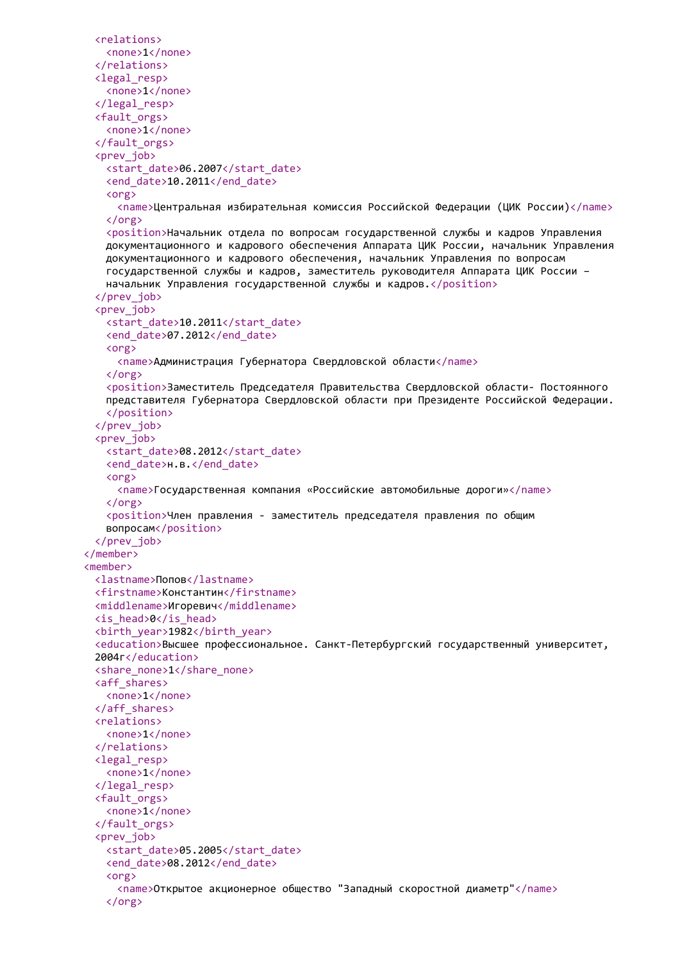```
<relations>
   <none>1</none>
 </relations>
 <legal_resp>
   <none>1</none>
 </legal_resp>
 <fault_orgs>
   <none>1</none>
 </fault_orgs>
 <prev_job>
   <start_date>06.2007</start_date>
   <end_date>10.2011</end_date>
   <org>
     <name>Центральная избирательная комиссия Российской Федерации (ЦИК России)</name>
   </org>
   <position>Начальник отдела по вопросам государственной службы и кадров Управления
   документационного и кадрового обеспечения Аппарата ЦИК России, начальник Управления
   документационного и кадрового обеспечения, начальник Управления по вопросам
   государственной службы и кадров, заместитель руководителя Аппарата ЦИК России –
   начальник Управления государственной службы и кадров.</position>
 </prev_job>
 <prev_job>
   <start date>10.2011</start_date>
   <end date>07.2012</end date>
   <org>
     <name>Администрация Губернатора Свердловской области</name>
   </org>
   <position>Заместитель Председателя Правительства Свердловской области- Постоянного
   представителя Губернатора Свердловской области при Президенте Российской Федерации.
   </position>
 </prev_job>
 <prev_job>
   <start_date>08.2012</start_date>
   <end date>н.в.</end date>
   <org>
     <name>Государственная компания «Российские автомобильные дороги»</name>
   </org>
   <position>Член правления - заместитель председателя правления по общим
   вопросам</position>
 </prev_job>
</member>
<member>
 <lastname>Попов</lastname>
 <firstname>Константин</firstname>
 <middlename>Игоревич</middlename>
 <is_head>0</is_head>
 <birth_year>1982</birth_year>
 <education>Высшее профессиональное. Санкт-Петербургский государственный университет,
 2004г</education>
 <share_none>1</share_none>
 <aff_shares>
   <none>1</none>
 </aff_shares>
 <relations>
   <none>1</none>
 </relations>
 <legal_resp>
   <none>1</none>
 </legal_resp>
 <fault_orgs>
   <none>1</none>
 </fault_orgs>
 <prev_iob>
   <start_date>05.2005</start_date>
   <end_date>08.2012</end_date>
   <org>
     <name>Открытое акционерное общество "Западный скоростной диаметр"</name>
   </org>
```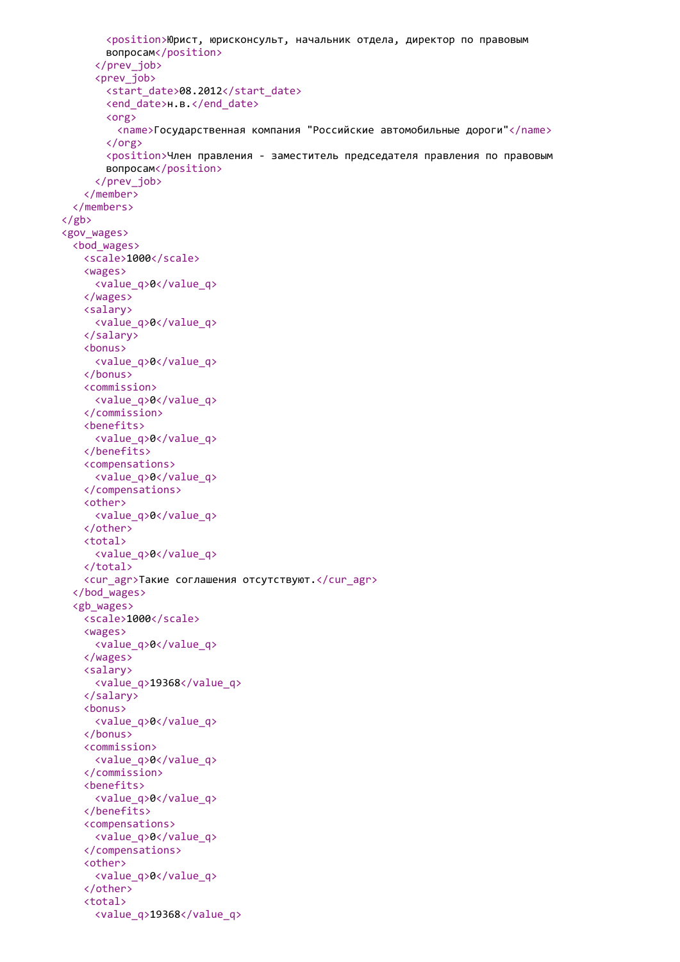```
<position>Юрист, юрисконсульт, начальник отдела, директор по правовым
       вопросам</position>
     </prev_job>
     <prev_job>
       <start_date>08.2012</start_date>
       <end_date>н.в.</end_date>
       <org>
         <name>Государственная компания "Российские автомобильные дороги"</name>
       </org>
       <position>Член правления - заместитель председателя правления по правовым
       вопросам</position>
     </prev_job>
   </member>
 </members>
\langle/gb>
<gov_wages>
 <bod_wages>
   <scale>1000</scale>
   <wages>
     <value_q>0</value_q>
   </wages>
   <salary>
     <value_q>0</value_q>
   </salary>
   <bonus>
     <value_q>0</value_q>
   </bonus>
   <commission>
     <value_q>0</value_q>
   </commission>
   <benefits>
     <value_q>0</value_q>
   </benefits>
   <compensations>
     <value_q>0</value_q>
   </compensations>
   <other>
     <value_q>0</value_q>
   </other>
   <total>
     <value_q>0</value_q>
   </total>
   <cur_agr>Такие соглашения отсутствуют.</cur_agr>
  </bod_wages>
  <gb_wages>
   <scale>1000</scale>
   <wages>
     <value_q>0</value_q>
   </wages>
   <salary>
     <value_q>19368</value_q>
   </salary>
   <bonus>
     <value_q>0</value_q>
   </bonus>
   <commission>
     <value_q>0</value_q>
   </commission>
   <benefits>
     <value_q>0</value_q>
   </benefits>
   <compensations>
     <value_q>0</value_q>
   </compensations>
   <other>
     <value_q>0</value_q>
   </other>
   <total>
     <value_q>19368</value_q>
```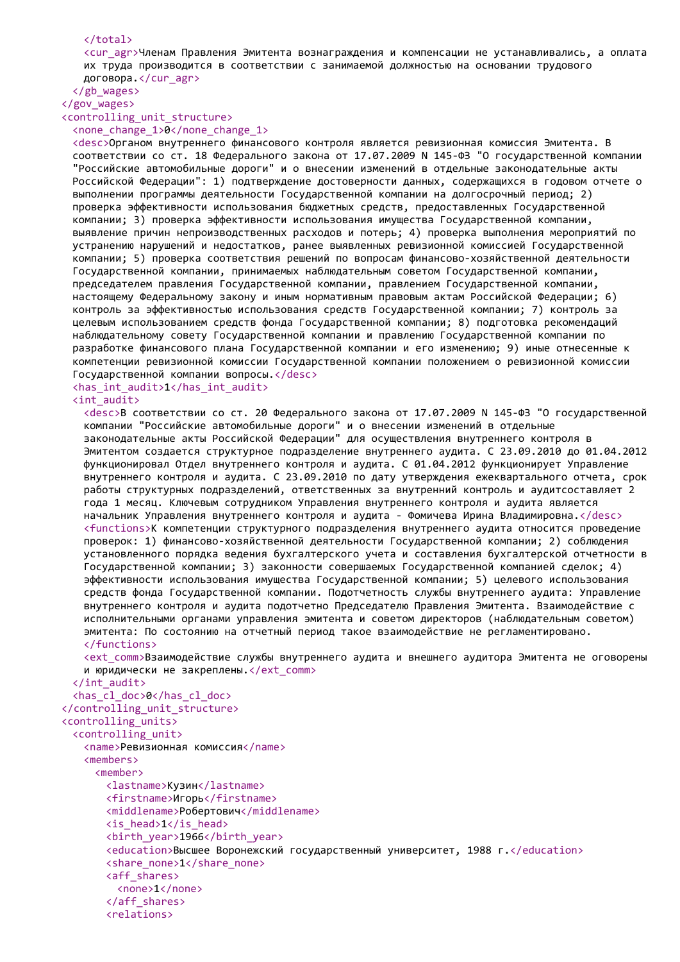#### </total>

<cur\_agr>Членам Правления Эмитента вознаграждения и компенсации не устанавливались, а оплата их труда производится в соответствии с занимаемой должностью на основании трудового договора.</cur\_agr>

</gb\_wages> </gov\_wages>

# <controlling\_unit\_structure>

<none\_change\_1>0</none\_change\_1>

<desc>Органом внутреннего финансового контроля является ревизионная комиссия Эмитента. В соответствии со ст. 18 Федерального закона от 17.07.2009 N 145-ФЗ "О государственной компании "Российские автомобильные дороги" и о внесении изменений в отдельные законодательные акты Российской Федерации": 1) подтверждение достоверности данных, содержащихся в годовом отчете о выполнении программы деятельности Государственной компании на долгосрочный период; 2) проверка эффективности использования бюджетных средств, предоставленных Государственной компании; 3) проверка эффективности использования имущества Государственной компании, выявление причин непроизводственных расходов и потерь; 4) проверка выполнения мероприятий по устранению нарушений и недостатков, ранее выявленных ревизионной комиссией Государственной компании; 5) проверка соответствия решений по вопросам финансово-хозяйственной деятельности Государственной компании, принимаемых наблюдательным советом Государственной компании, председателем правления Государственной компании, правлением Государственной компании, настоящему Федеральному закону и иным нормативным правовым актам Российской Федерации; 6) контроль за эффективностью использования средств Государственной компании; 7) контроль за целевым использованием средств фонда Государственной компании; 8) подготовка рекомендаций наблюдательному совету Государственной компании и правлению Государственной компании по разработке финансового плана Государственной компании и его изменению; 9) иные отнесенные к компетенции ревизионной комиссии Государственной компании положением о ревизионной комиссии Государственной компании вопросы.</desc>

#### <has\_int\_audit>1</has\_int\_audit> <int\_audit>

<desc>В соответствии со ст. 20 Федерального закона от 17.07.2009 N 145-ФЗ "О государственной компании "Российские автомобильные дороги" и о внесении изменений в отдельные законодательные акты Российской Федерации" для осуществления внутреннего контроля в Эмитентом создается структурное подразделение внутреннего аудита. С 23.09.2010 до 01.04.2012 функционировал Отдел внутреннего контроля и аудита. С 01.04.2012 функционирует Управление внутреннего контроля и аудита. С 23.09.2010 по дату утверждения ежеквартального отчета, срок работы структурных подразделений, ответственных за внутренний контроль и аудитсоставляет 2 года 1 месяц. Ключевым сотрудником Управления внутреннего контроля и аудита является начальник Управления внутреннего контроля и аудита - Фомичева Ирина Владимировна.</desc> <functions>К компетенции структурного подразделения внутреннего аудита относится проведение проверок: 1) финансово-хозяйственной деятельности Государственной компании; 2) соблюдения установленного порядка ведения бухгалтерского учета и составления бухгалтерской отчетности в Государственной компании; 3) законности совершаемых Государственной компанией сделок; 4) эффективности использования имущества Государственной компании; 5) целевого использования средств фонда Государственной компании. Подотчетность службы внутреннего аудита: Управление внутреннего контроля и аудита подотчетно Председателю Правления Эмитента. Взаимодействие с исполнительными органами управления эмитента и советом директоров (наблюдательным советом) эмитента: По состоянию на отчетный период такое взаимодействие не регламентировано. </functions>

<ext\_comm>Взаимодействие службы внутреннего аудита и внешнего аудитора Эмитента не оговорены и юридически не закреплены.</ext\_comm>

</int\_audit> <has\_cl\_doc>0</has\_cl\_doc> </controlling\_unit\_structure> <controlling\_units> <controlling\_unit> <name>Ревизионная комиссия</name> <members> <member> <lastname>Кузин</lastname> <firstname>Игорь</firstname> <middlename>Робертович</middlename> <is\_head>1</is\_head> <birth\_year>1966</birth\_year> <education>Высшее Воронежский государственный университет, 1988 г.</education> <share\_none>1</share\_none> <aff\_shares> <none>1</none> </aff\_shares> <relations>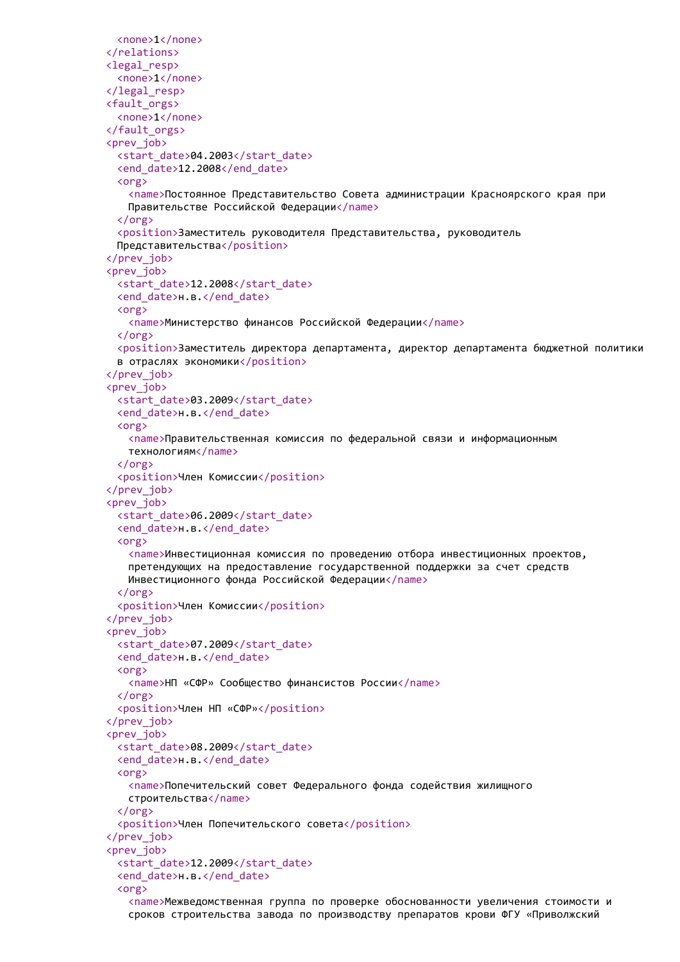```
<none>1</none>
</relations>
<legal_resp>
 <none>1</none>
</legal_resp>
<fault_orgs>
 <none>1</none>
</fault_orgs>
<prev_job>
 <start_date>04.2003</start_date>
 <end_date>12.2008</end_date>
 <org>
   <name>Постоянное Представительство Совета администрации Красноярского края при
   Правительстве Российской Федерации</name>
 </org>
 <position>Заместитель руководителя Представительства, руководитель
 Представительства</position>
</prev_job>
<prev_job>
 <start_date>12.2008</start_date>
 <end date>н.в.</end date>
 <org>
   <name>Министерство финансов Российской Федерации</name>
 </org>
 <position>Заместитель директора департамента, директор департамента бюджетной политики
 в отраслях экономики</position>
</prev_job>
<prev_job>
 <start_date>03.2009</start_date>
 <end_date>н.в.</end_date>
 <org>
   <name>Правительственная комиссия по федеральной связи и информационным
   технологиям</name>
 </org>
 <position>Член Комиссии</position>
</prev_job>
<prev_job>
 <start_date>06.2009</start_date>
 <end date>н.в.</end date>
 <org>
   <name>Инвестиционная комиссия по проведению отбора инвестиционных проектов,
   претендующих на предоставление государственной поддержки за счет средств
   Инвестиционного фонда Российской Федерации</name>
 </org>
 <position>Член Комиссии</position>
</prev_job>
<prev_job>
 <start_date>07.2009</start_date>
 <end date>н.в.</end date>
 <org>
   <name>НП «СФР» Сообщество финансистов России</name>
 \langle/org\rangle<position>Член НП «СФР»</position>
</prev_job>
<prev_iob>
 <start_date>08.2009</start_date>
 <end date>н.в.</end date>
 <org>
   <name>Попечительский совет Федерального фонда содействия жилищного
   строительства</name>
 </org>
 <position>Член Попечительского совета</position>
</prev_job>
<prev_job>
 <start_date>12.2009</start_date>
 <end_date>н.в.</end_date>
 <org>
   <name>Межведомственная группа по проверке обоснованности увеличения стоимости и
   сроков строительства завода по производству препаратов крови ФГУ «Приволжский
```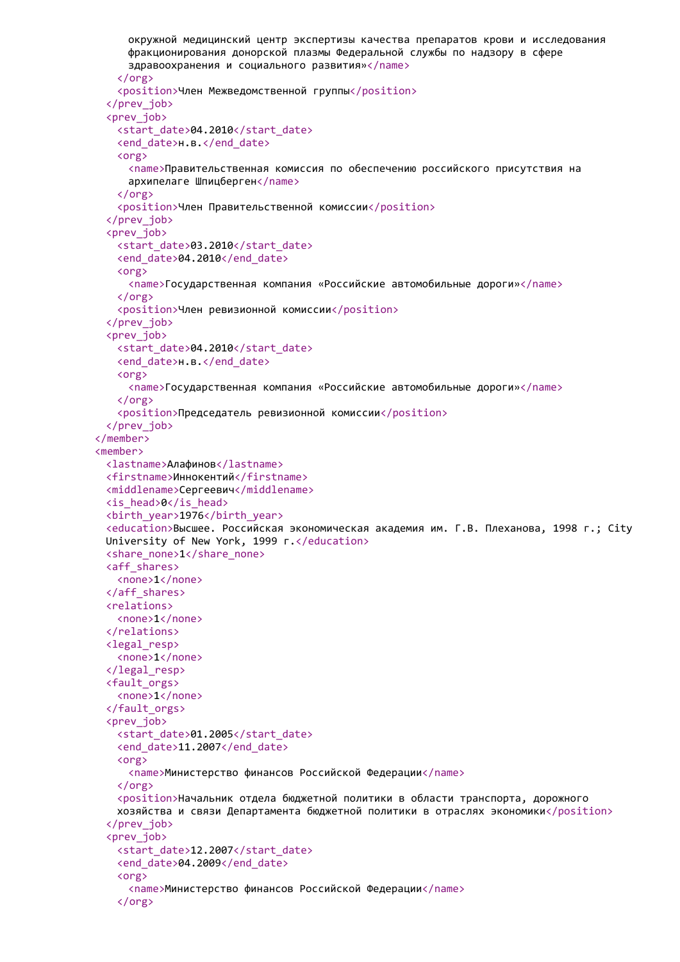```
окружной медицинский центр экспертизы качества препаратов крови и исследования
     фракционирования донорской плазмы Федеральной службы по надзору в сфере
     здравоохранения и социального развития»</name>
   </org>
   <position>Член Межведомственной группы</position>
 </prev_job>
 <prev_job>
   <start_date>04.2010</start_date>
   <end_date>н.в.</end_date>
   <org>
     <name>Правительственная комиссия по обеспечению российского присутствия на
     архипелаге Шпицберген</name>
   </org>
   <position>Член Правительственной комиссии</position>
 </prev_job>
 <prev_job>
   <start_date>03.2010</start_date>
   <end date>04.2010</end date>
   <org>
     <name>Государственная компания «Российские автомобильные дороги»</name>
   </org>
   <position>Член ревизионной комиссии</position>
 </prev_job>
 <prev_job>
   <start_date>04.2010</start_date>
   <end date>н.в.</end date>
   <org>
     <name>Государственная компания «Российские автомобильные дороги»</name>
   </org>
   <position>Председатель ревизионной комиссии</position>
 </prev_job>
</member>
<member>
 <lastname>Алафинов</lastname>
 <firstname>Иннокентий</firstname>
 <middlename>Сергеевич</middlename>
 <is_head>0</is_head>
 <birth_year>1976</birth_year>
 <education>Высшее. Российская экономическая академия им. Г.В. Плеханова, 1998 г.; City
 University of New York, 1999 г.</education>
 <share_none>1</share_none>
 <aff_shares>
   <none>1</none>
 </aff_shares>
 <relations>
   <none>1</none>
 </relations>
 <legal_resp>
   <none>1</none>
 </legal_resp>
 <fault_orgs>
   <none>1</none>
 </fault_orgs>
 <prev_iob>
   <start_date>01.2005</start_date>
   <end date>11.2007</end date>
   <org>
     <name>Министерство финансов Российской Федерации</name>
   \langle/\rangle<position>Начальник отдела бюджетной политики в области транспорта, дорожного
   хозяйства и связи Департамента бюджетной политики в отраслях экономики</position>
 </prev_job>
 <prev_iob>
   <start_date>12.2007</start_date>
   <end_date>04.2009</end_date>
   <org>
     <name>Министерство финансов Российской Федерации</name>
   </org>
```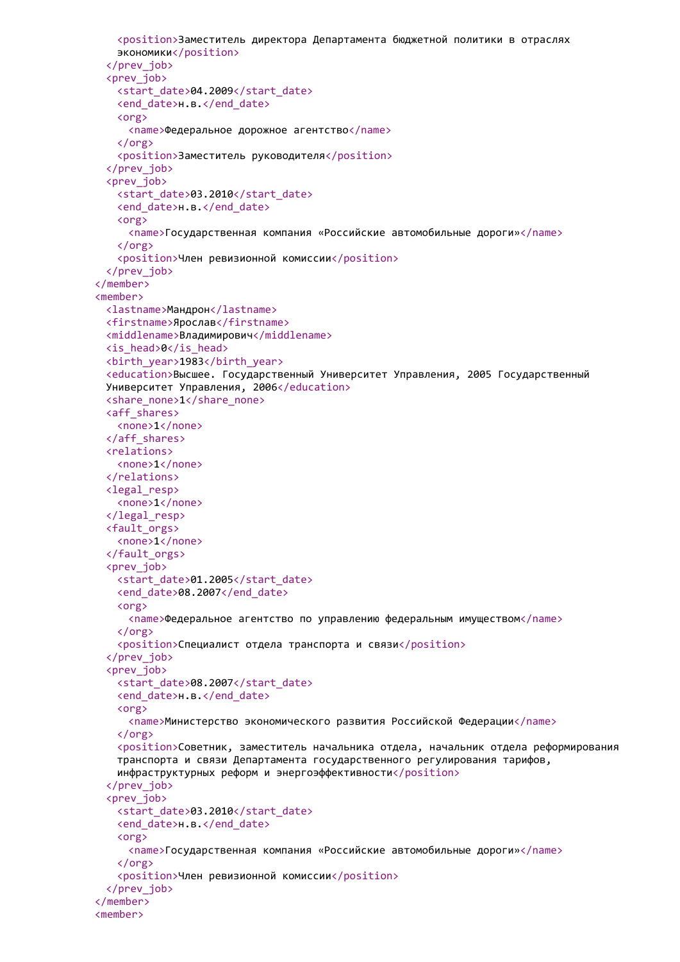```
<position>Заместитель директора Департамента бюджетной политики в отраслях
   экономики</position>
 </prev_job>
 <prev_job>
   <start_date>04.2009</start_date>
   <end_date>н.в.</end_date>
   <org>
     <name>Федеральное дорожное агентство</name>
   </org>
   <position>Заместитель руководителя</position>
 </prev_job>
 <prev_job>
   <start_date>03.2010</start_date>
   <end date>н.в.</end date>
   <org>
     <name>Государственная компания «Российские автомобильные дороги»</name>
   </org>
   <position>Член ревизионной комиссии</position>
 </prev_job>
</member>
<member>
 <lastname>Мандрон</lastname>
 <firstname>Ярослав</firstname>
 <middlename>Владимирович</middlename>
 <is_head>0</is_head>
 <birth_year>1983</birth_year>
 <education>Высшее. Государственный Университет Управления, 2005 Государственный
 Университет Управления, 2006</education>
 <share_none>1</share_none>
 <aff_shares>
   <none>1</none>
 </aff_shares>
 <relations>
   <none>1</none>
 </relations>
 <legal_resp>
   <none>1</none>
 </legal_resp>
 <fault_orgs>
   <none>1</none>
 </fault_orgs>
 <prev_job>
   <start_date>01.2005</start_date>
   <end date>08.2007</end date>
   \langleorg\rangle<name>Федеральное агентство по управлению федеральным имуществом</name>
   \langle/org\rangle<position>Специалист отдела транспорта и связи</position>
 </prev_job>
 <prev_iob>
   <start_date>08.2007</start_date>
   <end date>н.в.</end date>
   <org>
     <name>Министерство экономического развития Российской Федерации</name>
   </org>
   <position>Советник, заместитель начальника отдела, начальник отдела реформирования
   транспорта и связи Департамента государственного регулирования тарифов,
   инфраструктурных реформ и энергоэффективности\langle position\rangle</prev_job>
 <prev_iob>
   <start_date>03.2010</start_date>
   <end date>н.в.</end date>
   <org>
     <name>Государственная компания «Российские автомобильные дороги»</name>
   \langle/org\rangle<position>Член ревизионной комиссии</position>
 </prev_job>
</member>
<member>
```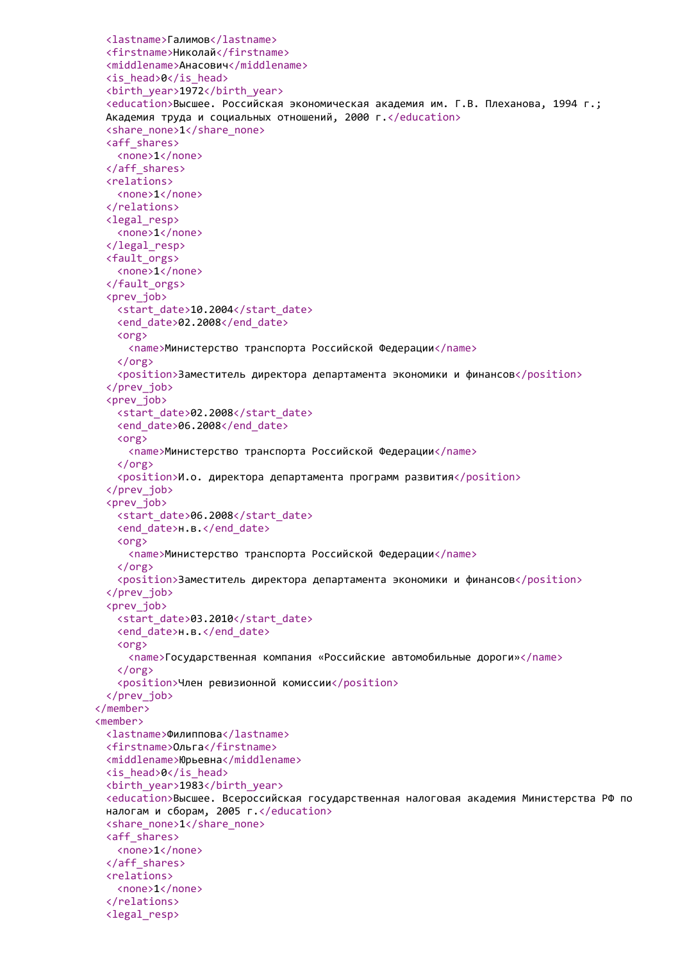```
<lastname>Галимов</lastname>
 <firstname>Николай</firstname>
 <middlename>Анасович</middlename>
 <is_head>0</is_head>
 <birth_year>1972</birth_year>
 <education>Высшее. Российская экономическая академия им. Г.В. Плеханова, 1994 г.;
 Академия труда и социальных отношений, 2000 г.</education>
 <share_none>1</share_none>
 <aff_shares>
   <none>1</none>
 </aff_shares>
 <relations>
   <none>1</none>
 </relations>
 <legal_resp>
   <none>1</none>
 </legal_resp>
 <fault_orgs>
   <none>1</none>
 </fault_orgs>
 <prev_job>
   <start_date>10.2004</start_date>
   <end_date>02.2008</end_date>
   <org>
     <name>Министерство транспорта Российской Федерации</name>
   </org>
   <position>Заместитель директора департамента экономики и финансов</position>
 </prev_job>
 <prev_job>
   <start_date>02.2008</start_date>
   <end_date>06.2008</end_date>
   <org>
     <name>Министерство транспорта Российской Федерации</name>
   </org>
   <position>И.о. директора департамента программ развития</position>
 </prev_job>
 <prev_job>
   <start_date>06.2008</start_date>
   <end date>н.в.</end date>
   <org>
     <name>Министерство транспорта Российской Федерации</name>
   </org>
   <position>Заместитель директора департамента экономики и финансов</position>
 </prev_job>
 <prev_job>
   <start_date>03.2010</start_date>
   <end date>н.в.</end date>
   <org>
     <name>Государственная компания «Российские автомобильные дороги»</name>
   \langle/org\rangle<position>Член ревизионной комиссии</position>
 </prev_job>
</member>
<member>
 <lastname>Филиппова</lastname>
 <firstname>Ольга</firstname>
 <middlename>Юрьевна</middlename>
 <is_head>0</is_head>
 <birth_year>1983</birth_year>
 <education>Высшее. Всероссийская государственная налоговая академия Министерства РФ по
 налогам и сборам, 2005 г.</education>
 <share_none>1</share_none>
 <aff_shares>
   <none>1</none>
 </aff_shares>
 <relations>
   <none>1</none>
 </relations>
 <legal_resp>
```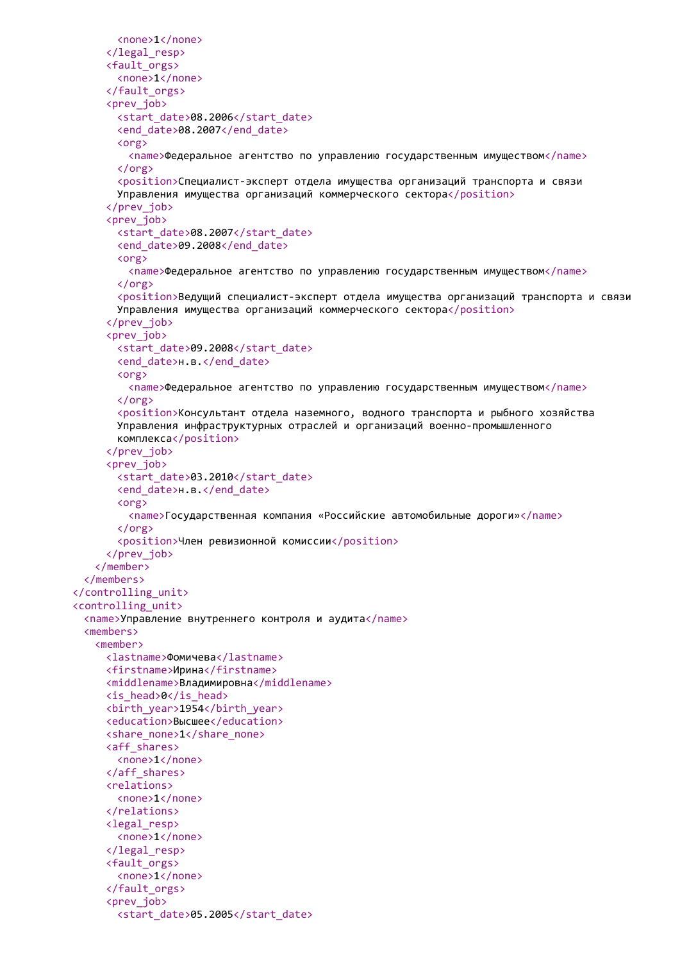```
<none>1</none>
     </legal_resp>
     <fault_orgs>
       <none>1</none>
     </fault_orgs>
     <prev_job>
       <start_date>08.2006</start_date>
       <end_date>08.2007</end_date>
       <org>
         <name>Федеральное агентство по управлению государственным имуществом</name>
       </org>
       <position>Специалист-эксперт отдела имущества организаций транспорта и связи
       Управления имущества организаций коммерческого сектора</position>
     </prev_job>
     <prev_job>
       <start_date>08.2007</start_date>
       <end_date>09.2008</end_date>
       <org>
         <name>Федеральное агентство по управлению государственным имуществом</name>
       </org>
       <position>Ведущий специалист-эксперт отдела имущества организаций транспорта и связи
       Управления имущества организаций коммерческого сектора</position>
     </prev_job>
     <prev_job>
       <start_date>09.2008</start_date>
       <end date>н.в.</end date>
       <org>
         <name>Федеральное агентство по управлению государственным имуществом</name>
       </org>
       <position>Консультант отдела наземного, водного транспорта и рыбного хозяйства
       Управления инфраструктурных отраслей и организаций военно-промышленного
       комплекса</position>
     </prev_job>
     <prev_job>
       <start_date>03.2010</start_date>
       <end_date>н.в.</end_date>
       <org>
         <name>Государственная компания «Российские автомобильные дороги»</name>
       </org>
       <position>Член ревизионной комиссии</position>
     </prev_job>
   </member>
 </members>
</controlling_unit>
<controlling_unit>
 <name>Управление внутреннего контроля и аудита</name>
 <members>
   <member>
     <lastname>Фомичева</lastname>
     <firstname>Ирина</firstname>
     <middlename>Владимировна</middlename>
     <is_head>0</is_head>
     <birth_year>1954</birth_year>
     <education>Высшее</education>
     <share_none>1</share_none>
     <aff_shares>
       <none>1</none>
     </aff_shares>
     <relations>
       <none>1</none>
     </relations>
     <legal_resp>
       <none>1</none>
     </legal_resp>
     <fault_orgs>
       <none>1</none>
     </fault_orgs>
     <prev_job>
       <start_date>05.2005</start_date>
```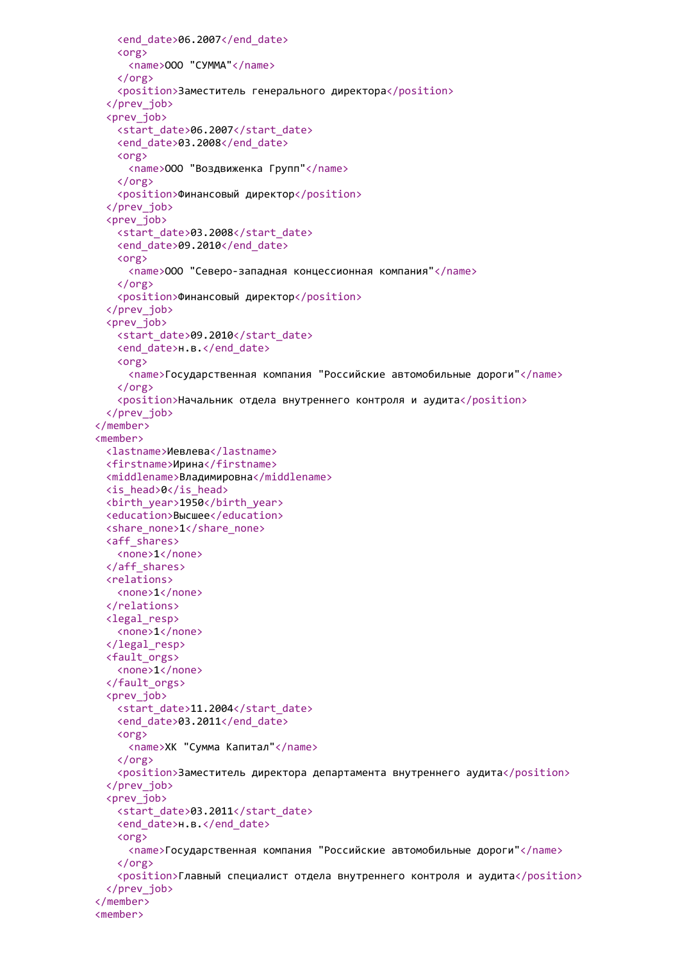```
<end_date>06.2007</end_date>
   <org>
     <name>ООО "СУММА"</name>
   </org>
   <position>Заместитель генерального директора</position>
 </prev_job>
 <prev_job>
   <start_date>06.2007</start_date>
   <end_date>03.2008</end_date>
   <org>
     <name>ООО "Воздвиженка Групп"</name>
   </org>
   <position>Финансовый директор</position>
 </prev_job>
 <prev_job>
   <start_date>03.2008</start_date>
   <end_date>09.2010</end_date>
   <org>
     <name>ООО "Северо-западная концессионная компания"</name>
   </org>
   <position>Финансовый директор</position>
 </prev_job>
 <prev_job>
   <start_date>09.2010</start_date>
   <end_date>н.в.</end_date>
   <org>
     <name>Государственная компания "Российские автомобильные дороги"</name>
   </org>
   <position>Начальник отдела внутреннего контроля и аудита</position>
 </prev_job>
</member>
<member>
 <lastname>Иевлева</lastname>
 <firstname>Ирина</firstname>
 <middlename>Владимировна</middlename>
 <is_head>0</is_head>
 <birth_year>1950</birth_year>
 <education>Высшее</education>
 <share_none>1</share_none>
 <aff_shares>
   <none>1</none>
 </aff_shares>
 <relations>
   <none>1</none>
 </relations>
 <legal_resp>
   <none>1</none>
 </legal_resp>
 <fault_orgs>
   <none>1</none>
 </fault_orgs>
 <prev_iob>
   <start_date>11.2004</start_date>
   <end date>03.2011</end date>
   <org>
     <name>ХК "Сумма Капитал"</name>
   </org>
   <position>Заместитель директора департамента внутреннего аудита</position>
 </prev_job>
 <prev_iob>
   <start_date>03.2011</start_date>
   <end date>н.в.</end date>
   <org>
     <name>Государственная компания "Российские автомобильные дороги"</name>
   </org>
   <position>Главный специалист отдела внутреннего контроля и аудита</position>
 </prev_job>
</member>
<member>
```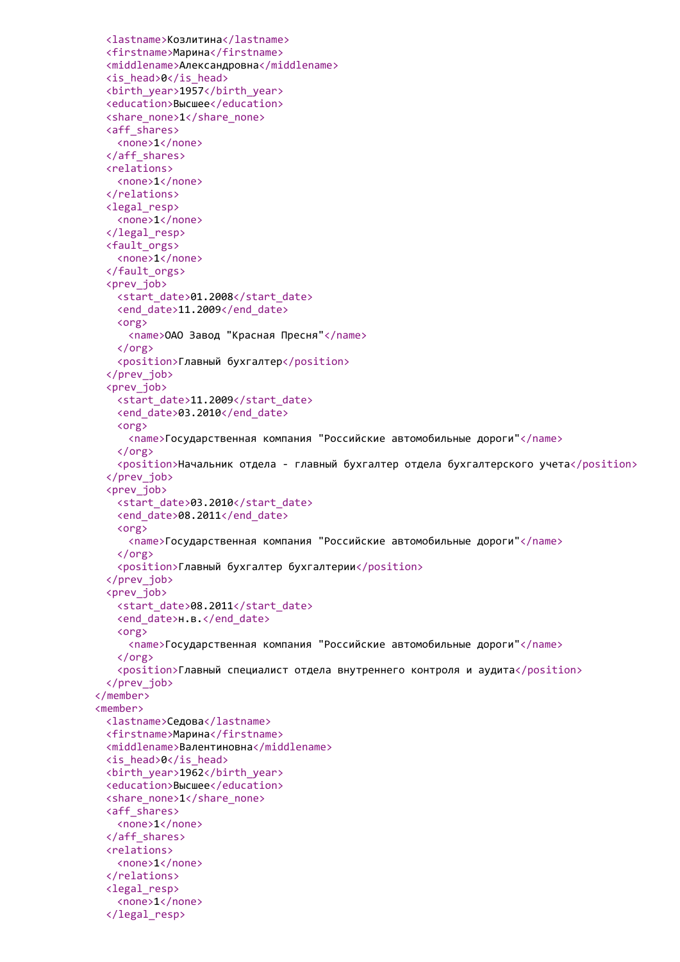```
<lastname>Козлитина</lastname>
 <firstname>Марина</firstname>
 <middlename>Александровна</middlename>
 <is_head>0</is_head>
 <birth_year>1957</birth_year>
 <education>Высшее</education>
 <share_none>1</share_none>
 <aff_shares>
   <none>1</none>
 </aff_shares>
 <relations>
   <none>1</none>
 </relations>
 <legal_resp>
   <none>1</none>
 </legal_resp>
 <fault_orgs>
   <none>1</none>
 </fault_orgs>
 <prev_job>
   <start_date>01.2008</start_date>
   <end date>11.2009</end date>
   <org>
     <name>ОАО Завод "Красная Пресня"</name>
   </org>
   <position>Главный бухгалтер</position>
 </prev_job>
 <prev_job>
   <start_date>11.2009</start_date>
   <end_date>03.2010</end_date>
   <org>
     <name>Государственная компания "Российские автомобильные дороги"</name>
   </org>
   <position>Начальник отдела - главный бухгалтер отдела бухгалтерского учета</position>
 </prev_job>
 <prev_job>
   <start_date>03.2010</start_date>
   <end date>08.2011</end date>
   <org>
     <name>Государственная компания "Российские автомобильные дороги"</name>
   </org>
   <position>Главный бухгалтер бухгалтерии</position>
 </prev_job>
 <prev_job>
   <start_date>08.2011</start_date>
   <end date>н.в.</end date>
   <org>
     <name>Государственная компания "Российские автомобильные дороги"</name>
   \langle/org\rangle<position>Главный специалист отдела внутреннего контроля и аудита</position>
 </prev_job>
</member>
<member>
 <lastname>Седова</lastname>
 <firstname>Марина</firstname>
 <middlename>Валентиновна</middlename>
 <is_head>0</is_head>
 <birth_year>1962</birth_year>
 <education>Высшее</education>
 <share_none>1</share_none>
 <aff_shares>
   <none>1</none>
 </aff_shares>
 <relations>
   <none>1</none>
 </relations>
 <legal_resp>
   <none>1</none>
 </legal_resp>
```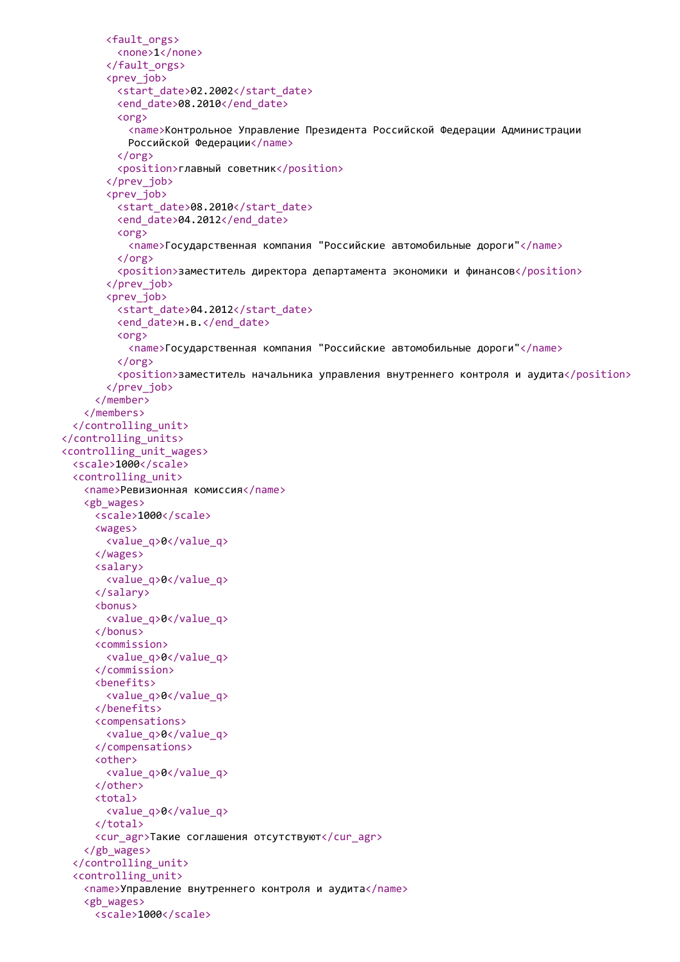```
<fault_orgs>
         <none>1</none>
       </fault_orgs>
       <prev_job>
         <start_date>02.2002</start_date>
         <end date>08.2010</end date>
         <org>
           <name>Контрольное Управление Президента Российской Федерации Администрации
           Российской Федерации</name>
         </org>
         <position>главный советник</position>
       </prev_job>
       <prev_job>
         <start_date>08.2010</start_date>
         <end_date>04.2012</end_date>
         <org>
           <name>Государственная компания "Российские автомобильные дороги"</name>
         </org>
         <position>заместитель директора департамента экономики и финансов</position>
       </prev_job>
       <prev_job>
         <start_date>04.2012</start_date>
         <end date>н.в.</end date>
         <org>
           <name>Государственная компания "Российские автомобильные дороги"</name>
         </org>
         <position>заместитель начальника управления внутреннего контроля и аудита</position>
       </prev_job>
     </member>
   </members>
  </controlling_unit>
</controlling_units>
<controlling_unit_wages>
 <scale>1000</scale>
  <controlling_unit>
   <name>Ревизионная комиссия</name>
   <gb_wages>
     <scale>1000</scale>
     <wages>
       <value_q>0</value_q>
     </wages>
     <salary>
       <value_q>0</value_q>
     </salary>
     <bonus>
       <value_q>0</value_q>
     </bonus>
     <commission>
       <value_q>0</value_q>
     </commission>
     <benefits>
       <value_q>0</value_q>
     </benefits>
     <compensations>
       <value_q>0</value_q>
     </compensations>
     <other>
       <value_q>0</value_q>
     </other>
     <total>
       <value_q>0</value_q>
     </total>
     <cur_agr>Такие соглашения отсутствуют</cur_agr>
   </gb_wages>
  </controlling_unit>
  <controlling_unit>
   <name>Управление внутреннего контроля и аудита</name>
   <gb_wages>
     <scale>1000</scale>
```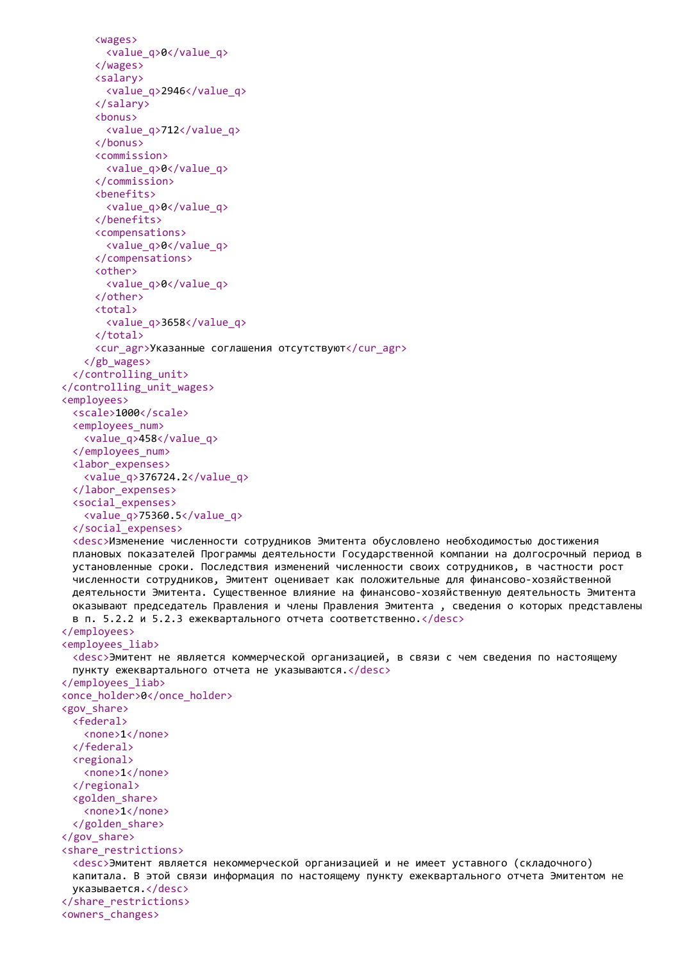```
<wages>
       <value_q>0</value_q>
     </wages>
     <salary>
       <value_q>2946</value_q>
     </salary>
     <bonus>
       <value_q>712</value_q>
     </bonus>
     <commission>
       <value_q>0</value_q>
     </commission>
     <benefits>
       <value_q>0</value_q>
     </benefits>
     <compensations>
       <value_q>0</value_q>
     </compensations>
     <other>
       <value_q>0</value_q>
     </other>
     <total>
       <value_q>3658</value_q>
     </total>
     <cur_agr>Указанные соглашения отсутствуют</cur_agr>
   </gb_wages>
  </controlling_unit>
</controlling_unit_wages>
<employees>
  <scale>1000</scale>
  <employees_num>
   <value_q>458</value_q>
  </employees_num>
  <labor_expenses>
   <value_q>376724.2</value_q>
  </labor_expenses>
  <social_expenses>
   <value_q>75360.5</value_q>
  </social_expenses>
  <desc>Изменение численности сотрудников Эмитента обусловлено необходимостью достижения
 плановых показателей Программы деятельности Государственной компании на долгосрочный период в
 установленные сроки. Последствия изменений численности своих сотрудников, в частности рост
 численности сотрудников, Эмитент оценивает как положительные для финансово-хозяйственной
 деятельности Эмитента. Существенное влияние на финансово-хозяйственную деятельность Эмитента
 оказывают председатель Правления и члены Правления Эмитента , сведения о которых представлены
 в п. 5.2.2 и 5.2.3 ежеквартального отчета соответственно.</desc>
</employees>
<employees_liab>
  <desc>Эмитент не является коммерческой организацией, в связи с чем сведения по настоящему
 пункту ежеквартального отчета не указываются.</desc>
</employees_liab>
<once_holder>0</once_holder>
<gov_share>
 <federal>
   <none>1</none>
  </federal>
  <regional>
   <none>1</none>
  </regional>
  <golden_share>
   <none>1</none>
  </golden_share>
</gov_share>
<share_restrictions>
  <desc>Эмитент является некоммерческой организацией и не имеет уставного (складочного)
 капитала. В этой связи информация по настоящему пункту ежеквартального отчета Эмитентом не
 указывается.</desc>
</share_restrictions>
<owners_changes>
```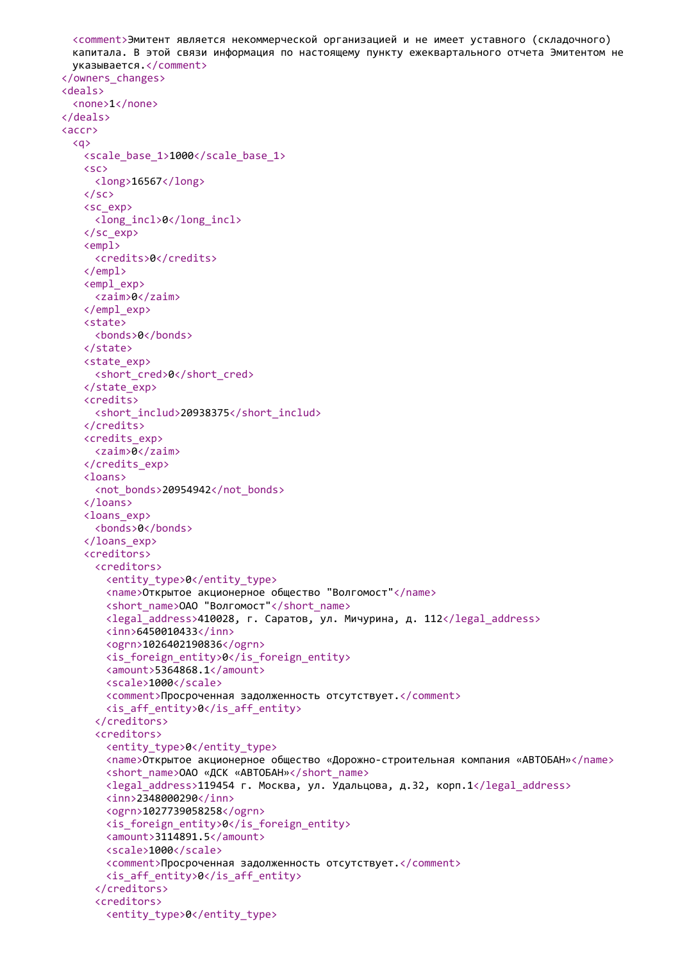```
<comment>Эмитент является некоммерческой организацией и не имеет уставного (складочного)
 капитала. В этой связи информация по настоящему пункту ежеквартального отчета Эмитентом не
 указывается.</comment>
</owners_changes>
<deals>
 <none>1</none>
</deals>
<accr>
 <q>
   <scale_base_1>1000</scale_base_1>
   <sc>
     <long>16567</long>
   \langle/sc\rangle<sc_exp>
     <long_incl>0</long_incl>
   </sc_exp>
   <empl>
     <credits>0</credits>
   </empl>
   <empl_exp>
     <zaim>0</zaim>
   </empl_exp>
   <state>
     <bonds>0</bonds>
   </state>
   <state_exp>
     <short cred>0</short cred>
   </state_exp>
   <credits>
     <short_includ>20938375</short_includ>
   </credits>
   <credits_exp>
     <zaim>0</zaim>
   </credits_exp>
   <loans>
     <not_bonds>20954942</not_bonds>
   </loans>
   <loans_exp>
     <bonds>0</bonds>
   </loans_exp>
   <creditors>
     <creditors>
       <entity_type>0</entity_type>
       <name>Открытое акционерное общество "Волгомост"</name>
       <short name>ОАО "Волгомост"</short name>
       <legal_address>410028, г. Саратов, ул. Мичурина, д. 112</legal_address>
       <inn>6450010433</inn>
       <ogrn>1026402190836</ogrn>
       <is_foreign_entity>0</is_foreign_entity>
       <amount>5364868.1</amount>
       <scale>1000</scale>
       <comment>Просроченная задолженность отсутствует.</comment>
       <is_aff_entity>0</is_aff_entity>
     </creditors>
     <creditors>
       <entity_type>0</entity_type>
       <name>Открытое акционерное общество «Дорожно-строительная компания «АВТОБАН»</name>
       <short_name>ОАО «ДСК «АВТОБАН»</short_name>
       <legal_address>119454 г. Москва, ул. Удальцова, д.32, корп.1</legal_address>
       <inn>2348000290</inn>
       <ogrn>1027739058258</ogrn>
       <is_foreign_entity>0</is_foreign_entity>
       <amount>3114891.5</amount>
       <scale>1000</scale>
       <comment>Просроченная задолженность отсутствует.</comment>
       <is_aff_entity>0</is_aff_entity>
     </creditors>
     <creditors>
       <entity_type>0</entity_type>
```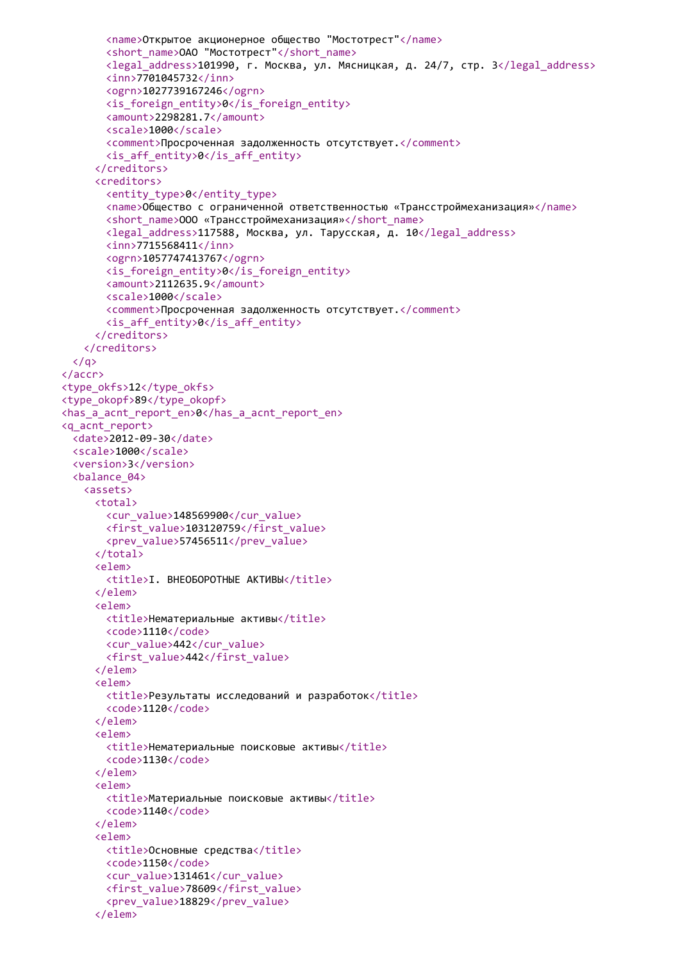```
<name>Открытое акционерное общество "Мостотрест"</name>
       <short_name>ОАО "Мостотрест"</short_name>
       <legal_address>101990, г. Москва, ул. Мясницкая, д. 24/7, стр. 3</legal_address>
       <inn>7701045732</inn>
       <ogrn>1027739167246</ogrn>
       <is_foreign_entity>0</is_foreign_entity>
       <amount>2298281.7</amount>
       <scale>1000</scale>
       <comment>Просроченная задолженность отсутствует.</comment>
       <is_aff_entity>0</is_aff_entity>
     </creditors>
     <creditors>
       <entity_type>0</entity_type>
       <name>Общество с ограниченной ответственностью «Трансстроймеханизация»</name>
       <short_name>ООО «Трансстроймеханизация»</short_name>
       <legal_address>117588, Москва, ул. Тарусская, д. 10</legal_address>
       <inn>7715568411</inn>
       <ogrn>1057747413767</ogrn>
       <is_foreign_entity>0</is_foreign_entity>
       <amount>2112635.9</amount>
       <scale>1000</scale>
       <comment>Просроченная задолженность отсутствует.</comment>
       \langle is aff entity>0\langle is aff entity>
     </creditors>
   </creditors>
  \langle/a>
</accr>
<type_okfs>12</type_okfs>
<type_okopf>89</type_okopf>
<has_a_acnt_report_en>0</has_a_acnt_report_en>
<q_acnt_report>
  <date>2012-09-30</date>
 <scale>1000</scale>
  <version>3</version>
  <balance_04>
   <assets>
     <total>
       <cur_value>148569900</cur_value>
       <first_value>103120759</first_value>
       <prev_value>57456511</prev_value>
     </total>
     <elem>
       <title>I. ВНЕОБОРОТНЫЕ AКТИВЫ</title>
     </elem>
     <elem>
       <title>Нематериальные активы</title>
       <code>1110</code>
       <cur_value>442</cur_value>
       <first_value>442</first_value>
     </elem>
     <elem>
       <title>Результаты исследований и разработок</title>
       <code>1120</code>
     </elem>
     <elem>
       <title>Нематериальные поисковые активы</title>
       <code>1130</code>
     </elem>
     <elem>
       <title>Материальные поисковые активы</title>
       <code>1140</code>
     </elem>
     <elem>
       <title>Основные средства</title>
       <code>1150</code>
       <cur_value>131461</cur_value>
       <first_value>78609</first_value>
       <prev_value>18829</prev_value>
     </elem>
```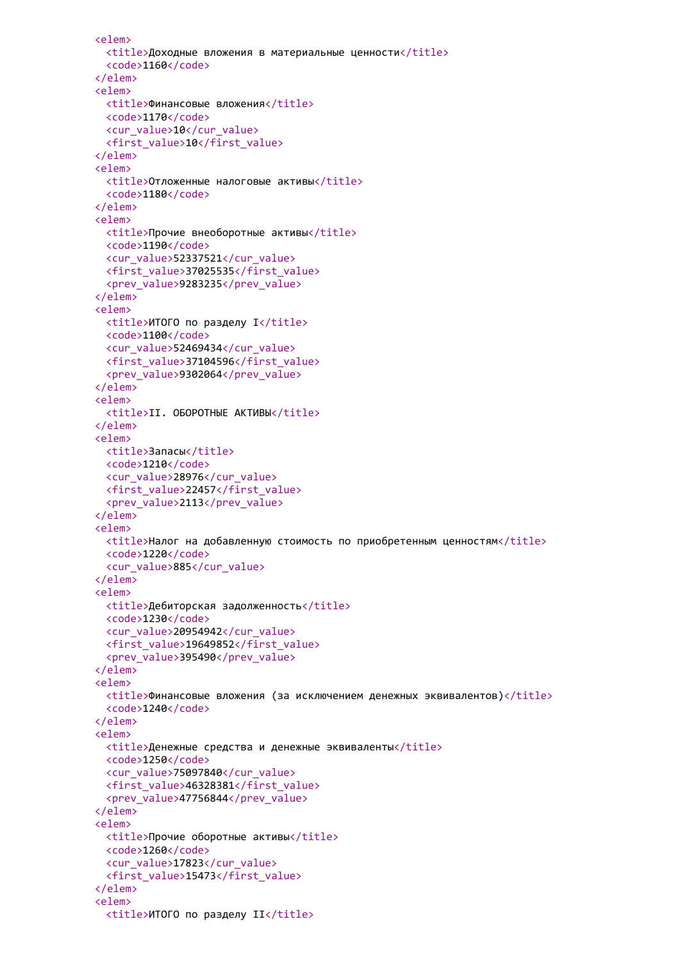```
<elem>
 <title>Доходные вложения в материальные ценности</title>
  <code>1160</code>
</elem>
<elem>
 <title>Финансовые вложения</title>
 <code>1170</code>
 <cur_value>10</cur_value>
 <first_value>10</first_value>
</elem>
<elem>
 <title>Отложенные налоговые активы</title>
  <code>1180</code>
</elem>
<elem>
 <title>Прочие внеоборотные активы</title>
 <code>1190</code>
 <cur_value>52337521</cur_value>
 <first_value>37025535</first_value>
 <prev_value>9283235</prev_value>
</elem>
<elem>
 <title>ИТОГО по разделу I</title>
 <code>1100</code>
 <cur_value>52469434</cur_value>
 <first_value>37104596</first_value>
  <prev_value>9302064</prev_value>
</elem>
<elem>
 <title>II. ОБОРОТНЫЕ АКТИВЫ</title>
</elem>
<elem>
 <title>Запасы</title>
 <code>1210</code>
 <cur_value>28976</cur_value>
 <first_value>22457</first_value>
 <prev_value>2113</prev_value>
</elem>
<elem>
 <title>Налог на добавленную стоимость по приобретенным ценностям</title>
 <code>1220</code>
 <cur_value>885</cur_value>
</elem>
<elem>
 <title>Дебиторская задолженность</title>
 <code>1230</code>
 <cur_value>20954942</cur_value>
 <first_value>19649852</first_value>
 <prev_value>395490</prev_value>
</elem>
<elem>
 <title>Финансовые вложения (за исключением денежных эквивалентов)</title>
 <code>1240</code>
</elem>
<elem>
 <title>Денежные средства и денежные эквиваленты</title>
 <code>1250</code>
 <cur_value>75097840</cur_value>
 <first_value>46328381</first_value>
 <prev_value>47756844</prev_value>
</elem>
<elem>
 <title>Прочие оборотные активы</title>
 <code>1260</code>
 <cur_value>17823</cur_value>
 <first_value>15473</first_value>
</elem>
<elem>
  <title>ИТОГО по разделу II</title>
```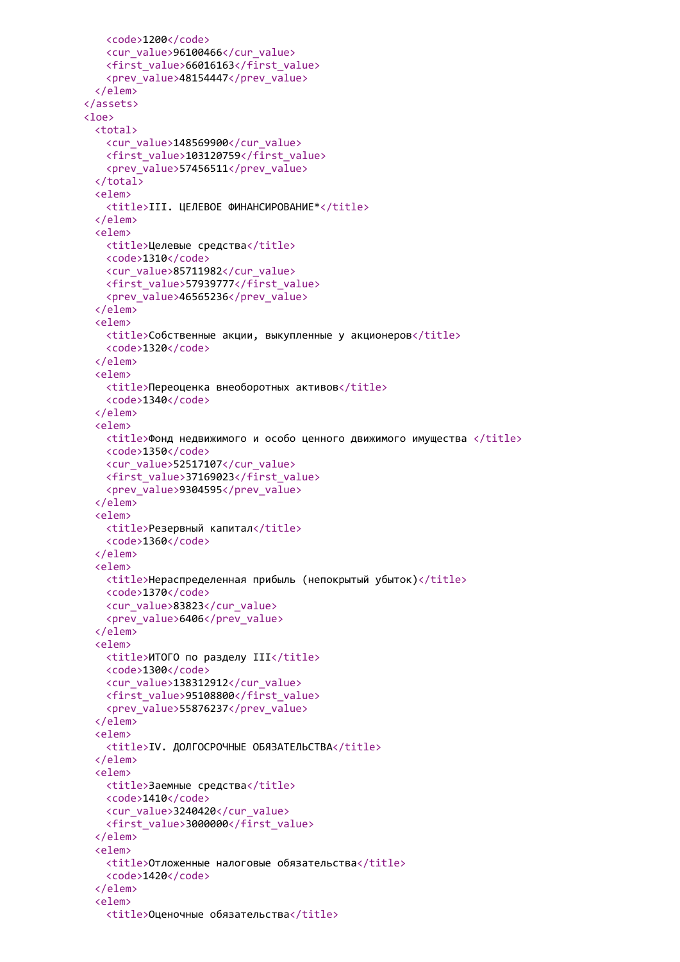```
<code>1200</code>
   <cur_value>96100466</cur_value>
   <first_value>66016163</first_value>
   <prev_value>48154447</prev_value>
 </elem>
</assets>
<loe>
 <total>
   <cur_value>148569900</cur_value>
   <first_value>103120759</first_value>
   <prev_value>57456511</prev_value>
 </total>
 <elem>
   <title>III. ЦЕЛЕВОЕ ФИНАНСИРОВАНИЕ*</title>
 </elem>
 <elem>
   <title>Целевые средства</title>
   <code>1310</code>
   <cur_value>85711982</cur_value>
   <first_value>57939777</first_value>
   <prev_value>46565236</prev_value>
 </elem>
 <elem>
   \langletitle>Собственные акции, выкупленные у акционеров</title>
   <code>1320</code>
 </elem>
 <elem>
   <title>Переоценка внеоборотных активов</title>
   <code>1340</code>
 </elem>
 <elem>
   <title>Фонд недвижимого и особо ценного движимого имущества </title>
   <code>1350</code>
   <cur_value>52517107</cur_value>
   <first_value>37169023</first_value>
   <prev_value>9304595</prev_value>
 </elem>
 <elem>
   <title>Резервный капитал</title>
   <code>1360</code>
 </elem>
 <elem>
   <title>Нераспределенная прибыль (непокрытый убыток)</title>
   <code>1370</code>
   <cur_value>83823</cur_value>
   <prev_value>6406</prev_value>
 </elem>
 <elem>
   <title>ИТОГО по разделу III</title>
   <code>1300</code>
   <cur_value>138312912</cur_value>
   <first_value>95108800</first_value>
   <prev_value>55876237</prev_value>
 </elem>
 <elem>
   <title>IV. ДОЛГОСРОЧНЫЕ ОБЯЗАТЕЛЬСТВА</title>
 </elem>
 <elem>
   <title>Заемные средства</title>
   <code>1410</code>
   <cur_value>3240420</cur_value>
   <first_value>3000000</first_value>
 \langle/elem>
 <elem>
   <title>Отложенные налоговые обязательства</title>
   <code>1420</code>
 </elem>
 <elem>
   <title>Оценочные обязательства</title>
```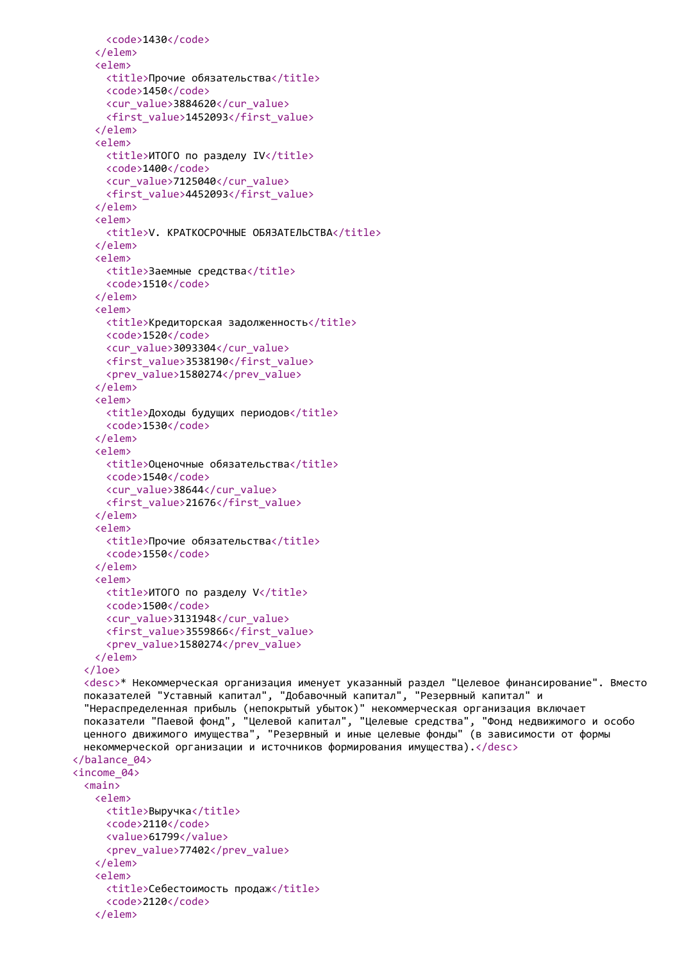```
<code>1430</code>
   </elem>
   <elem>
     <title>Прочие обязательства</title>
     <code>1450</code>
     <cur_value>3884620</cur_value>
     <first_value>1452093</first_value>
   </elem>
   <elem>
     <title>ИТОГО по разделу IV</title>
     <code>1400</code>
     <cur_value>7125040</cur_value>
     <first_value>4452093</first_value>
   </elem>
   <elem>
     <title>V. КРАТКОСРОЧНЫЕ ОБЯЗАТЕЛЬСТВА</title>
   </elem>
   <elem>
     <title>Заемные средства</title>
     <code>1510</code>
   \langle/elem>
   <elem>
     <title>Кредиторская задолженность</title>
     <code>1520</code>
     <cur_value>3093304</cur_value>
     <first_value>3538190</first_value>
     <prev_value>1580274</prev_value>
   </elem>
   <elem>
     <title>Доходы будущих периодов</title>
     <code>1530</code>
   </elem>
   <elem>
     <title>Оценочные обязательства</title>
     <code>1540</code>
     <cur_value>38644</cur_value>
     <first_value>21676</first_value>
   </elem>
   <elem>
     <title>Прочие обязательства</title>
     <code>1550</code>
   </elem>
   <elem>
     <title>ИТОГО по разделу V</title>
     <code>1500</code>
     <cur_value>3131948</cur_value>
     <first_value>3559866</first_value>
     <prev_value>1580274</prev_value>
   </elem>
 </loe>
 <desc>* Некоммерческая организация именует указанный раздел "Целевое финансирование". Вместо
 показателей "Уставный капитал", "Добавочный капитал", "Резервный капитал" и
 "Нераспределенная прибыль (непокрытый убыток)" некоммерческая организация включает
 показатели "Паевой фонд", "Целевой капитал", "Целевые средства", "Фонд недвижимого и особо
 ценного движимого имущества", "Резервный и иные целевые фонды" (в зависимости от формы
 некоммерческой организации и источников формирования имущества).</desc>
</balance_04>
<income_04>
 <main>
   <elem>
     <title>Выручка</title>
     <code>2110</code>
     <value>61799</value>
     <prev_value>77402</prev_value>
   </elem>
   <elem>
     <title>Себестоимость продаж</title>
     <code>2120</code>
   </elem>
```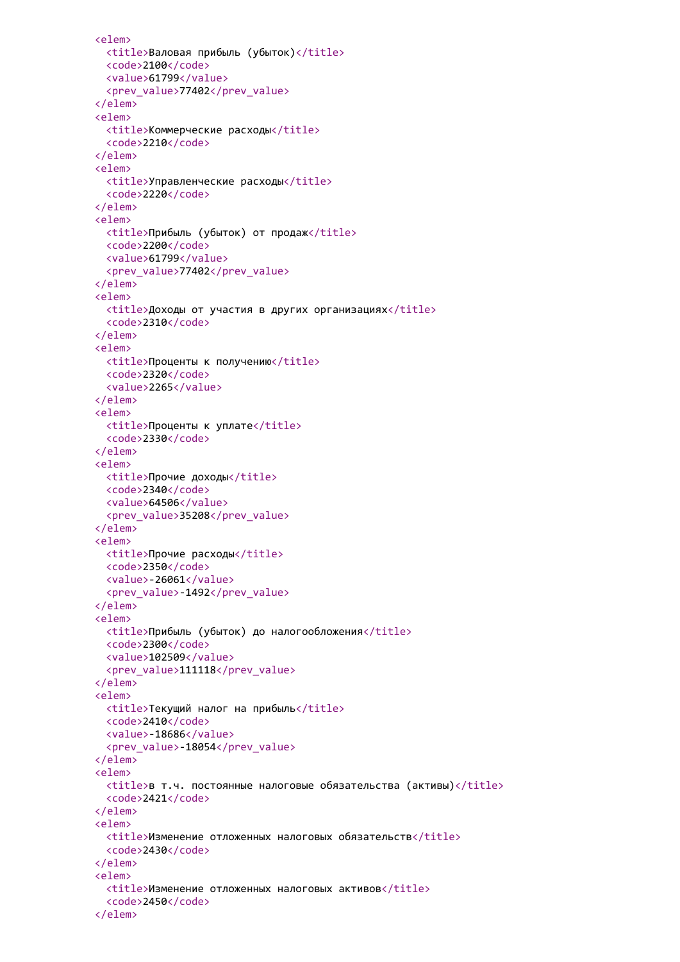```
<elem>
 <title>Валовая прибыль (убыток)</title>
 <code>2100</code>
 <value>61799</value>
  <prev_value>77402</prev_value>
</elem>
<elem>
 <title>Коммерческие расходы</title>
  <code>2210</code>
</elem>
<elem>
 <title>Управленческие расходы</title>
  <code>2220</code>
</elem>
<elem>
 <title>Прибыль (убыток) от продаж</title>
 <code>2200</code>
 <value>61799</value>
  <prev_value>77402</prev_value>
</elem>
<elem>
  <title>Доходы от участия в других организациях</title>
  <code>2310</code>
</elem>
<elem>
 <title>Проценты к получению</title>
 <code>2320</code>
  <value>2265</value>
</elem>
<elem>
 <title>Проценты к уплате</title>
 <code>2330</code>
</elem>
<elem>
 <title>Прочие доходы</title>
 <code>2340</code>
 <value>64506</value>
 <prev_value>35208</prev_value>
</elem>
<elem>
 <title>Прочие расходы</title>
 <code>2350</code>
 <value>-26061</value>
 <prev_value>-1492</prev_value>
</elem>
<elem>
 <title>Прибыль (убыток) до налогообложения</title>
 <code>2300</code>
 <value>102509</value>
 <prev_value>111118</prev_value>
</elem>
<elem>
 <title>Текущий налог на прибыль</title>
 <code>2410</code>
 <value>-18686</value>
 <prev_value>-18054</prev_value>
</elem>
<elem>
 <title>в т.ч. постоянные налоговые обязательства (активы)</title>
 <code>2421</code>
</elem>
<elem>
 <title>Изменение отложенных налоговых обязательств</title>
 <code>2430</code>
</elem>
<elem>
 <title>Изменение отложенных налоговых активов</title>
 <code>2450</code>
</elem>
```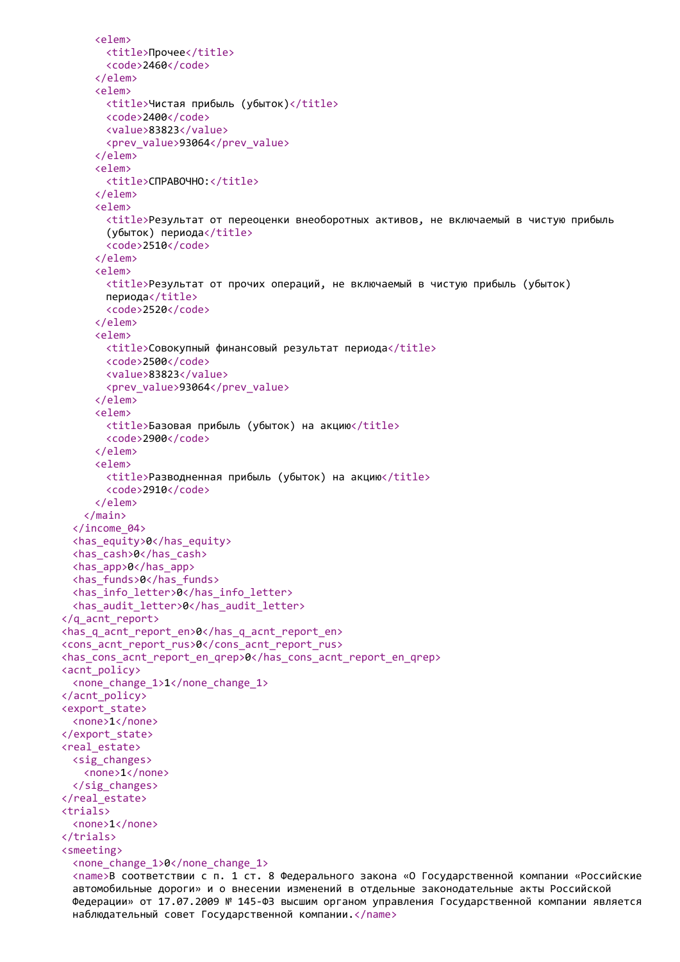```
<elem>
       <title>Прочее</title>
       <code>2460</code>
     </elem>
     <elem>
       <title>Чистая прибыль (убыток)</title>
       <code>2400</code>
       <value>83823</value>
       <prev_value>93064</prev_value>
     </elem>
     <elem>
       <title>СПРАВОЧНО:</title>
     </elem>
     <elem>
       <title>Результат от переоценки внеоборотных активов, не включаемый в чистую прибыль
       (убыток) периода</title>
       <code>2510</code>
     </elem>
     <elem>
       <title>Результат от прочих операций, не включаемый в чистую прибыль (убыток)
       периода</title>
       <code>2520</code>
     </elem>
     <elem>
       <title>Совокупный финансовый результат периода</title>
       <code>2500</code>
       <value>83823</value>
       <prev_value>93064</prev_value>
     </elem>
     <elem>
       <title>Базовая прибыль (убыток) на акцию</title>
       <code>2900</code>
     </elem>
     <elem>
       <title>Разводненная прибыль (убыток) на акцию</title>
       <code>2910</code>
     </elem>
   </main>
  </income_04>
  <has_equity>0</has_equity>
  <has_cash>0</has_cash>
  <has_app>0</has_app>
  <has_funds>0</has_funds>
  <has info letter>0</has info letter>
  <has audit letter>0</has audit letter>
</q_acnt_report>
<has q acnt report en>0</has q acnt report en>
<cons_acnt_report_rus>0</cons_acnt_report_rus>
<has cons acnt report en grep>0</has cons acnt report en grep>
<acnt_policy>
 <none_change_1>1</none_change_1>
</acnt_policy>
<export_state>
 <none>1</none>
</export_state>
<real_estate>
 <sig_changes>
   <none>1</none>
 </sig_changes>
</real_estate>
\epsilontrials\epsilon<none>1</none>
</trials>
<smeeting>
  <none_change_1>0</none_change_1>
  <name>В соответствии с п. 1 ст. 8 Федерального закона «О Государственной компании «Российские
  автомобильные дороги» и о внесении изменений в отдельные законодательные акты Российской
 Федерации» от 17.07.2009 № 145-ФЗ высшим органом управления Государственной компании является
 наблюдательный совет Государственной компании.</name>
```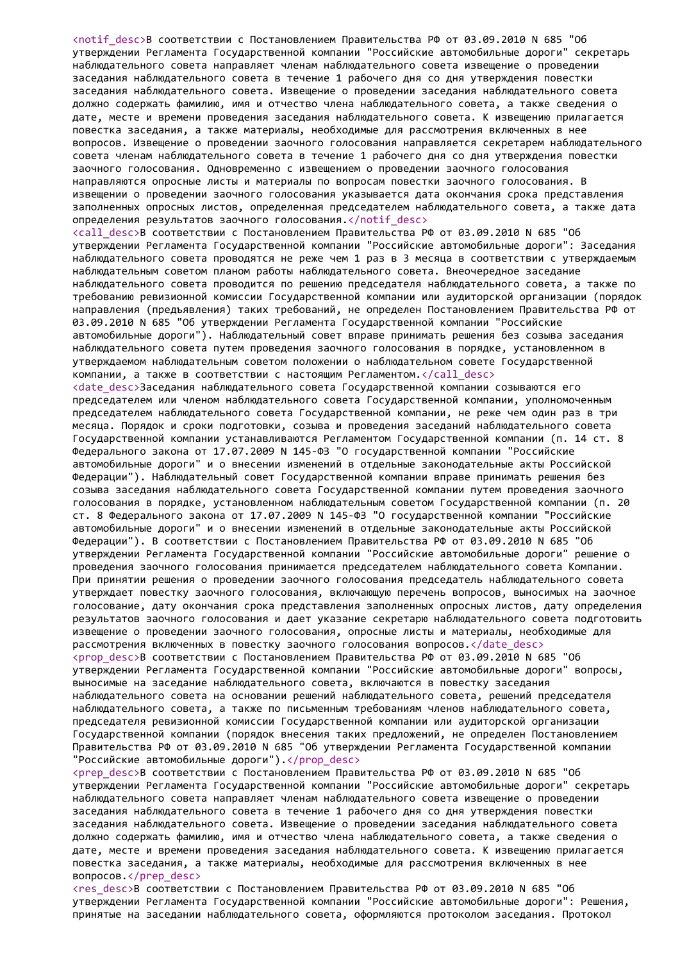<notif\_desc>В соответствии с Постановлением Правительства РФ от 03.09.2010 N 685 "Об утверждении Регламента Государственной компании "Российские автомобильные дороги" секретарь наблюдательного совета направляет членам наблюдательного совета извещение о проведении заседания наблюдательного совета в течение 1 рабочего дня со дня утверждения повестки заседания наблюдательного совета. Извещение о проведении заседания наблюдательного совета должно содержать фамилию, имя и отчество члена наблюдательного совета, а также сведения о дате, месте и времени проведения заседания наблюдательного совета. К извещению прилагается повестка заседания, а также материалы, необходимые для рассмотрения включенных в нее вопросов. Извещение о проведении заочного голосования направляется секретарем наблюдательного совета членам наблюдательного совета в течение 1 рабочего дня со дня утверждения повестки заочного голосования. Одновременно с извещением о проведении заочного голосования направляются опросные листы и материалы по вопросам повестки заочного голосования. В извещении о проведении заочного голосования указывается дата окончания срока представления заполненных опросных листов, определенная председателем наблюдательного совета, а также дата определения результатов заочного голосования.</notif\_desc> <call\_desc>В соответствии с Постановлением Правительства РФ от 03.09.2010 N 685 "Об утверждении Регламента Государственной компании "Российские автомобильные дороги": Заседания наблюдательного совета проводятся не реже чем 1 раз в 3 месяца в соответствии с утверждаемым наблюдательным советом планом работы наблюдательного совета. Внеочередное заседание наблюдательного совета проводится по решению председателя наблюдательного совета, а также по требованию ревизионной комиссии Государственной компании или аудиторской организации (порядок направления (предъявления) таких требований, не определен Постановлением Правительства РФ от 03.09.2010 N 685 "Об утверждении Регламента Государственной компании "Российские автомобильные дороги"). Наблюдательный совет вправе принимать решения без созыва заседания наблюдательного совета путем проведения заочного голосования в порядке, установленном в утверждаемом наблюдательным советом положении о наблюдательном совете Государственной компании, а также в соответствии с настоящим Регламентом.</call\_desc> <date desc>Заседания наблюдательного совета Государственной компании созываются его председателем или членом наблюдательного совета Государственной компании, уполномоченным председателем наблюдательного совета Государственной компании, не реже чем один раз в три месяца. Порядок и сроки подготовки, созыва и проведения заседаний наблюдательного совета Государственной компании устанавливаются Регламентом Государственной компании (п. 14 ст. 8 Федерального закона от 17.07.2009 N 145-ФЗ "О государственной компании "Российские автомобильные дороги" и о внесении изменений в отдельные законодательные акты Российской Федерации"). Наблюдательный совет Государственной компании вправе принимать решения без созыва заседания наблюдательного совета Государственной компании путем проведения заочного голосования в порядке, установленном наблюдательным советом Государственной компании (п. 20 ст. 8 Федерального закона от 17.07.2009 N 145-ФЗ "О государственной компании "Российские автомобильные дороги" и о внесении изменений в отдельные законодательные акты Российской Федерации"). В соответствии с Постановлением Правительства РФ от 03.09.2010 N 685 "Об утверждении Регламента Государственной компании "Российские автомобильные дороги" решение о проведения заочного голосования принимается председателем наблюдательного совета Компании. При принятии решения о проведении заочного голосования председатель наблюдательного совета утверждает повестку заочного голосования, включающую перечень вопросов, выносимых на заочное голосование, дату окончания срока представления заполненных опросных листов, дату определения результатов заочного голосования и дает указание секретарю наблюдательного совета подготовить извещение о проведении заочного голосования, опросные листы и материалы, необходимые для рассмотрения включенных в повестку заочного голосования вопросов.</date\_desc> <prop desc>В соответствии с Постановлением Правительства РФ от 03.09.2010 N 685 "Об утверждении Регламента Государственной компании "Российские автомобильные дороги" вопросы, выносимые на заседание наблюдательного совета, включаются в повестку заседания наблюдательного совета на основании решений наблюдательного совета, решений председателя наблюдательного совета, а также по письменным требованиям членов наблюдательного совета, председателя ревизионной комиссии Государственной компании или аудиторской организации Государственной компании (порядок внесения таких предложений, не определен Постановлением Правительства РФ от 03.09.2010 N 685 "Об утверждении Регламента Государственной компании "Российские автомобильные дороги").</prop\_desc>  $\text{Corep}\$  desc>В соответствии с Постановлением Правительства РФ от 03.09.2010 N 685 "Об утверждении Регламента Государственной компании "Российские автомобильные дороги" секретарь наблюдательного совета направляет членам наблюдательного совета извещение о проведении заседания наблюдательного совета в течение 1 рабочего дня со дня утверждения повестки заседания наблюдательного совета. Извещение о проведении заседания наблюдательного совета должно содержать фамилию, имя и отчество члена наблюдательного совета, а также сведения о дате, месте и времени проведения заседания наблюдательного совета. К извещению прилагается повестка заседания, а также материалы, необходимые для рассмотрения включенных в нее

вопросов.</prep\_desc>

<res\_desc>В соответствии с Постановлением Правительства РФ от 03.09.2010 N 685 "Об утверждении Регламента Государственной компании "Российские автомобильные дороги": Решения, принятые на заседании наблюдательного совета, оформляются протоколом заседания. Протокол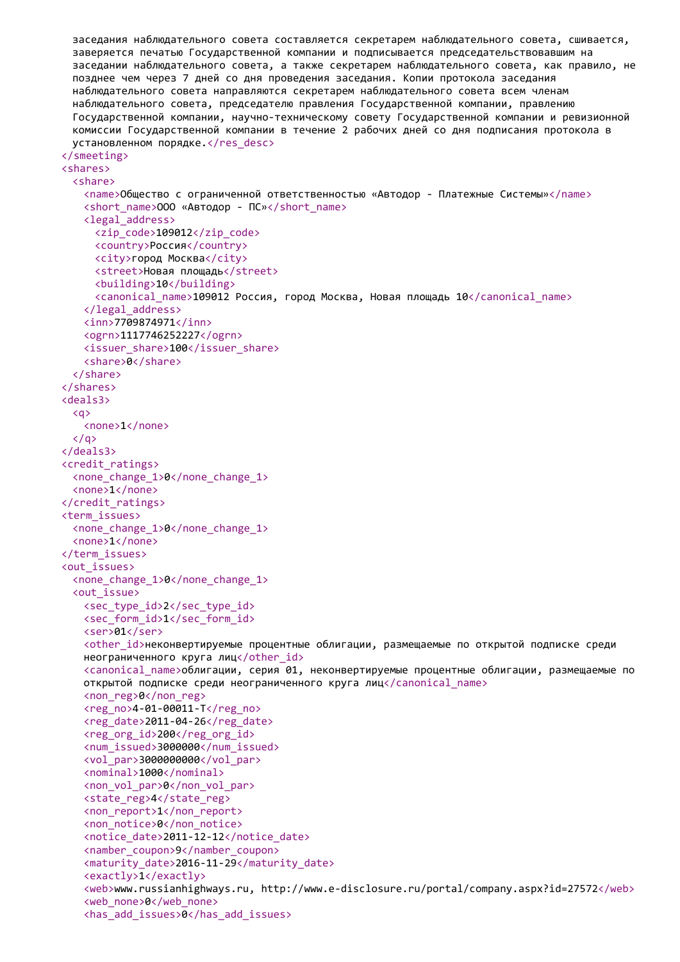заседания наблюдательного совета составляется секретарем наблюдательного совета, сшивается, заверяется печатью Государственной компании и подписывается председательствовавшим на заседании наблюдательного совета, а также секретарем наблюдательного совета, как правило, не позднее чем через 7 дней со дня проведения заседания. Копии протокола заседания наблюдательного совета направляются секретарем наблюдательного совета всем членам наблюдательного совета, председателю правления Государственной компании, правлению Государственной компании, научно-техническому совету Государственной компании и ревизионной комиссии Государственной компании в течение 2 рабочих дней со дня подписания протокола в установленном порядке.</res\_desc> </smeeting> <shares> <share> <name>Общество с ограниченной ответственностью «Автодор - Платежные Системы»</name> <short name>ООО «Автодор - ПС»</short name> <legal\_address> <zip\_code>109012</zip\_code> <country>Россия</country> <city>город Москва</city> <street>Новая площадь</street> <building>10</building> <canonical\_name>109012 Россия, город Москва, Новая площадь 10</canonical\_name> </legal\_address> <inn>7709874971</inn> <ogrn>1117746252227</ogrn> <issuer\_share>100</issuer\_share> <share>0</share> </share> </shares> <deals3>  $\langle a \rangle$ <none>1</none>  $\langle$ /a> </deals3> <credit\_ratings> <none\_change\_1>0</none\_change\_1> <none>1</none> </credit\_ratings> <term\_issues> <none\_change\_1>0</none\_change\_1> <none>1</none> </term\_issues> <out\_issues> <none\_change\_1>0</none\_change\_1> <out\_issue> <sec type id>2</sec type id> <sec form id>1</sec form id> <ser>01</ser> <other id>неконвертируемые процентные облигации, размещаемые по открытой подписке среди неограниченного круга лиц</other id> <canonical\_name>облигации, серия 01, неконвертируемые процентные облигации, размещаемые по открытой подписке среди неограниченного круга лиц</canonical\_name> <non\_reg>0</non\_reg> <reg\_no>4-01-00011-Т</reg\_no> <reg\_date>2011-04-26</reg\_date> <reg\_org\_id>200</reg\_org\_id> <num\_issued>3000000</num\_issued> <vol par>3000000000</vol par> <nominal>1000</nominal> <non\_vol\_par>0</non\_vol\_par> <state\_reg>4</state\_reg> <non\_report>1</non\_report> <non\_notice>0</non\_notice> <notice\_date>2011-12-12</notice\_date> <namber\_coupon>9</namber\_coupon> <maturity\_date>2016-11-29</maturity\_date> <exactly>1</exactly> <web>www.russianhighways.ru, http://www.e-disclosure.ru/portal/company.aspx?id=27572</web> <web\_none>0</web\_none> <has\_add\_issues>0</has\_add\_issues>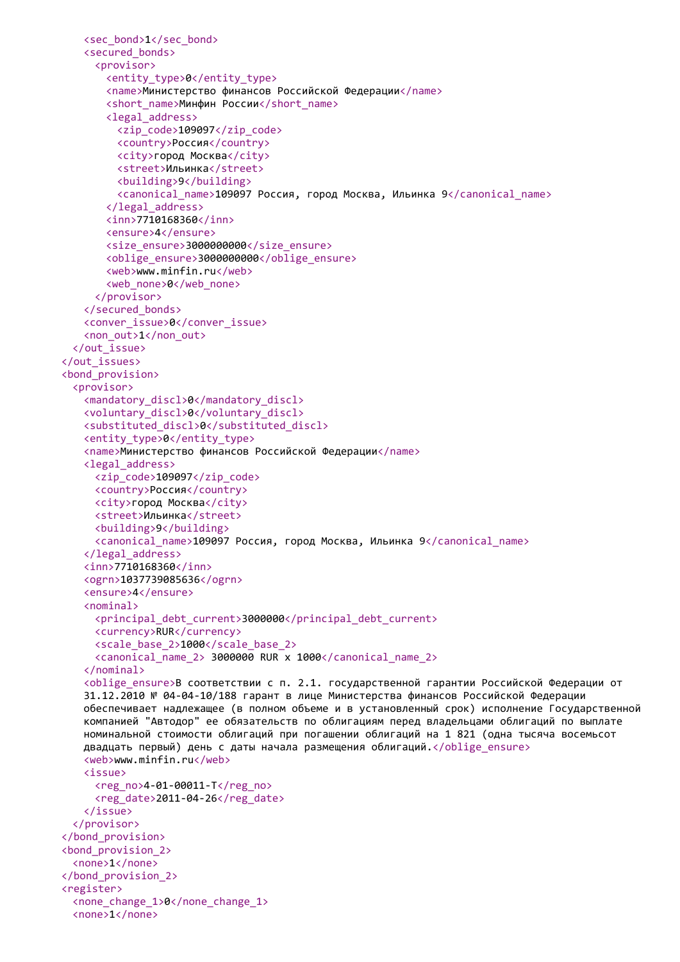```
<sec_bond>1</sec_bond>
   <secured_bonds>
     <provisor>
       <entity_type>0</entity_type>
       <name>Министерство финансов Российской Федерации</name>
       <short_name>Минфин России</short_name>
       <legal_address>
         <zip_code>109097</zip_code>
         <country>Россия</country>
         <city>город Москва</city>
         <street>Ильинка</street>
         <building>9</building>
         <canonical_name>109097 Россия, город Москва, Ильинка 9</canonical_name>
       </legal_address>
       <inn>7710168360</inn>
       <ensure>4</ensure>
       <size_ensure>3000000000</size_ensure>
       <oblige_ensure>3000000000</oblige_ensure>
       <web>www.minfin.ru</web>
       <web_none>0</web_none>
     </provisor>
   </secured_bonds>
   <conver_issue>0</conver_issue>
   <non_out>1</non_out>
  </out_issue>
</out_issues>
<bond_provision>
  <provisor>
   <mandatory_discl>0</mandatory_discl>
   <voluntary_discl>0</voluntary_discl>
   <substituted_discl>0</substituted_discl>
   <entity_type>0</entity_type>
   <name>Министерство финансов Российской Федерации</name>
   <legal_address>
     <zip_code>109097</zip_code>
     <country>Россия</country>
     <city>город Москва</city>
     <street>Ильинка</street>
     <building>9</building>
     <canonical_name>109097 Россия, город Москва, Ильинка 9</canonical_name>
   </legal_address>
   <inn>7710168360</inn>
   <ogrn>1037739085636</ogrn>
   <ensure>4</ensure>
   <nominal>
     <principal_debt_current>3000000</principal_debt_current>
     <currency>RUR</currency>
     <scale_base_2>1000</scale_base_2>
     <canonical_name_2> 3000000 RUR x 1000</canonical_name_2>
   </nominal>
   <oblige_ensure>В соответствии с п. 2.1. государственной гарантии Российской Федерации от
   31.12.2010 № 04-04-10/188 гарант в лице Министерства финансов Российской Федерации
   обеспечивает надлежащее (в полном объеме и в установленный срок) исполнение Государственной
   компанией "Автодор" ее обязательств по облигациям перед владельцами облигаций по выплате
   номинальной стоимости облигаций при погашении облигаций на 1 821 (одна тысяча восемьсот
   двадцать первый) день с даты начала размещения облигаций.</oblige_ensure>
   <web>www.minfin.ru</web>
   <issue>
     <reg_no>4-01-00011-Т</reg_no>
     <reg_date>2011-04-26</reg_date>
   </issue>
  </provisor>
</bond_provision>
<bond_provision_2>
  <none>1</none>
</bond_provision_2>
<register>
  <none_change_1>0</none_change_1>
  <none>1</none>
```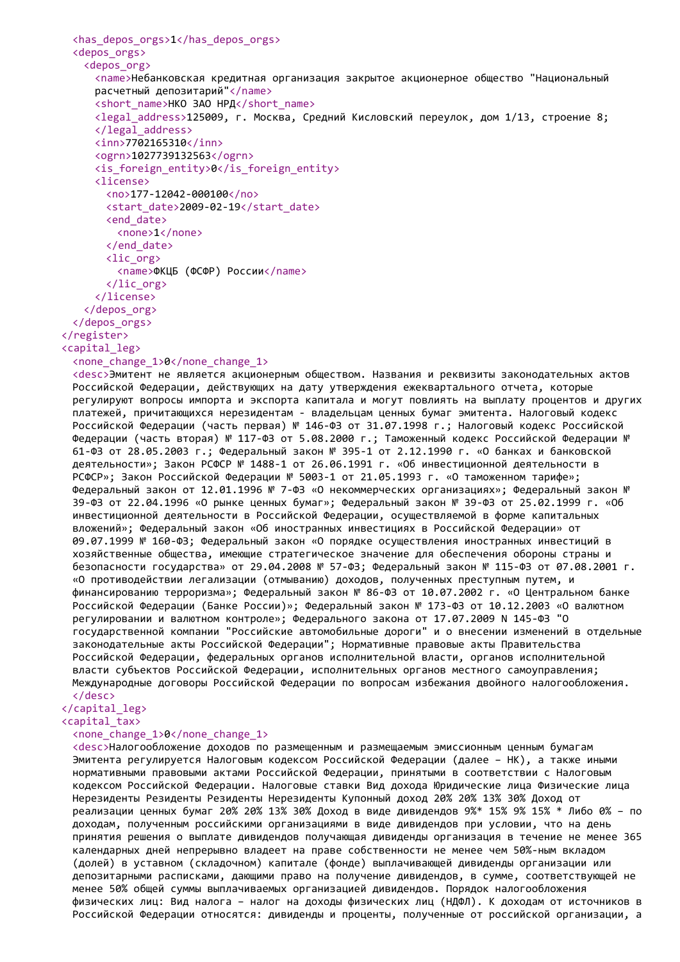```
<has_depos_orgs>1</has_depos_orgs>
 <depos_orgs>
   <depos_org>
     <name>Небанковская кредитная организация закрытое акционерное общество "Национальный
     расчетный депозитарий"</name>
     <short_name>НКО ЗАО НРД</short_name>
     <legal_address>125009, г. Москва, Средний Кисловский переулок, дом 1/13, строение 8;
     </legal_address>
     <inn>7702165310</inn>
     <ogrn>1027739132563</ogrn>
     <is_foreign_entity>0</is_foreign_entity>
     <license>
       <no>177-12042-000100</no>
       <start_date>2009-02-19</start_date>
       <end_date>
         <none>1</none>
       </end_date>
       <lic_org>
         <name>ФКЦБ (ФСФР) России</name>
       \langlelic org>
     </license>
   </depos_org>
 </depos_orgs>
</register>
<capital_leg>
```
<none\_change\_1>0</none\_change\_1>

<desc>Эмитент не является акционерным обществом. Названия и реквизиты законодательных актов Российской Федерации, действующих на дату утверждения ежеквартального отчета, которые регулируют вопросы импорта и экспорта капитала и могут повлиять на выплату процентов и других платежей, причитающихся нерезидентам - владельцам ценных бумаг эмитента. Налоговый кодекс Российской Федерации (часть первая) № 146-ФЗ от 31.07.1998 г.; Налоговый кодекс Российской Федерации (часть вторая) № 117-ФЗ от 5.08.2000 г.; Таможенный кодекс Российской Федерации № 61-ФЗ от 28.05.2003 г.; Федеральный закон № 395-1 от 2.12.1990 г. «О банках и банковской деятельности»; Закон РСФСР № 1488-1 от 26.06.1991 г. «Об инвестиционной деятельности в РСФСР»; Закон Российской Федерации № 5003-1 от 21.05.1993 г. «О таможенном тарифе»; Федеральный закон от 12.01.1996 № 7-ФЗ «О некоммерческих организациях»; Федеральный закон № 39-ФЗ от 22.04.1996 «О рынке ценных бумаг»; Федеральный закон № 39-ФЗ от 25.02.1999 г. «Об инвестиционной деятельности в Российской Федерации, осуществляемой в форме капитальных вложений»; Федеральный закон «Об иностранных инвестициях в Российской Федерации» от 09.07.1999 № 160-ФЗ; Федеральный закон «О порядке осуществления иностранных инвестиций в хозяйственные общества, имеющие стратегическое значение для обеспечения обороны страны и безопасности государства» от 29.04.2008 № 57-ФЗ; Федеральный закон № 115-ФЗ от 07.08.2001 г. «О противодействии легализации (отмыванию) доходов, полученных преступным путем, и финансированию терроризма»; Федеральный закон № 86-ФЗ от 10.07.2002 г. «О Центральном банке Российской Федерации (Банке России)»; Федеральный закон № 173-ФЗ от 10.12.2003 «О валютном регулировании и валютном контроле»; Федерального закона от 17.07.2009 N 145-ФЗ "О государственной компании "Российские автомобильные дороги" и о внесении изменений в отдельные законодательные акты Российской Федерации"; Нормативные правовые акты Правительства Российской Федерации, федеральных органов исполнительной власти, органов исполнительной власти субъектов Российской Федерации, исполнительных органов местного самоуправления; Международные договоры Российской Федерации по вопросам избежания двойного налогообложения. </desc>

## </capital\_leg>

<capital\_tax>

### <none\_change\_1>0</none\_change\_1>

<desc>Налогообложение доходов по размещенным и размещаемым эмиссионным ценным бумагам Эмитента регулируется Налоговым кодексом Российской Федерации (далее – НК), а также иными нормативными правовыми актами Российской Федерации, принятыми в соответствии с Налоговым кодексом Российской Федерации. Налоговые ставки Вид дохода Юридические лица Физические лица Нерезиденты Резиденты Резиденты Нерезиденты Купонный доход 20% 20% 13% 30% Доход от реализации ценных бумаг 20% 20% 13% 30% Доход в виде дивидендов 9%\* 15% 9% 15% \* Либо 0% – по доходам, полученным российскими организациями в виде дивидендов при условии, что на день принятия решения о выплате дивидендов получающая дивиденды организация в течение не менее 365 календарных дней непрерывно владеет на праве собственности не менее чем 50%-ным вкладом (долей) в уставном (складочном) капитале (фонде) выплачивающей дивиденды организации или депозитарными расписками, дающими право на получение дивидендов, в сумме, соответствующей не менее 50% общей суммы выплачиваемых организацией дивидендов. Порядок налогообложения физических лиц: Вид налога – налог на доходы физических лиц (НДФЛ). К доходам от источников в Российской Федерации относятся: дивиденды и проценты, полученные от российской организации, а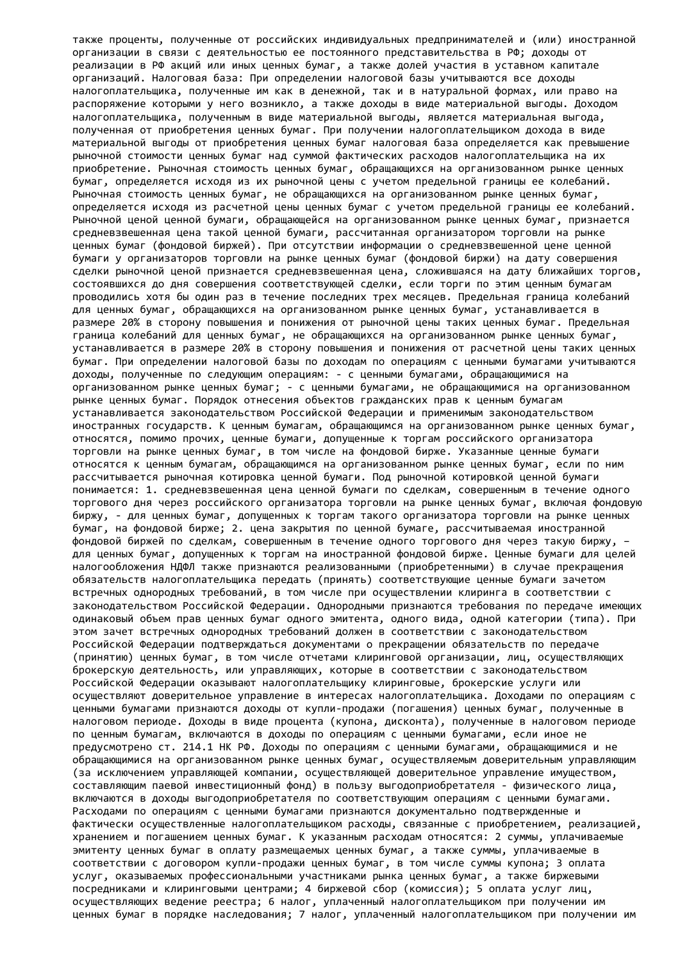также проценты, полученные от российских индивидуальных предпринимателей и (или) иностранной организации в связи с деятельностью ее постоянного представительства в РФ; доходы от реализации в РФ акций или иных ценных бумаг, а также долей участия в уставном капитале организаций. Налоговая база: При определении налоговой базы учитываются все доходы налогоплательщика, полученные им как в денежной, так и в натуральной формах, или право на распоряжение которыми у него возникло, а также доходы в виде материальной выгоды. Доходом налогоплательщика, полученным в виде материальной выгоды, является материальная выгода, полученная от приобретения ценных бумаг. При получении налогоплательщиком дохода в виде материальной выгоды от приобретения ценных бумаг налоговая база определяется как превышение рыночной стоимости ценных бумаг над суммой фактических расходов налогоплательщика на их приобретение. Рыночная стоимость ценных бумаг, обращающихся на организованном рынке ценных бумаг, определяется исходя из их рыночной цены с учетом предельной границы ее колебаний. Рыночная стоимость ценных бумаг, не обращающихся на организованном рынке ценных бумаг, определяется исходя из расчетной цены ценных бумаг с учетом предельной границы ее колебаний. Рыночной ценой ценной бумаги, обращающейся на организованном рынке ценных бумаг, признается средневзвешенная цена такой ценной бумаги, рассчитанная организатором торговли на рынке ценных бумаг (фондовой биржей). При отсутствии информации о средневзвешенной цене ценной бумаги у организаторов торговли на рынке ценных бумаг (фондовой биржи) на дату совершения сделки рыночной ценой признается средневзвешенная цена, сложившаяся на дату ближайших торгов, состоявшихся до дня совершения соответствующей сделки, если торги по этим ценным бумагам проводились хотя бы один раз в течение последних трех месяцев. Предельная граница колебаний для ценных бумаг, обращающихся на организованном рынке ценных бумаг, устанавливается в размере 20% в сторону повышения и понижения от рыночной цены таких ценных бумаг. Предельная граница колебаний для ценных бумаг, не обращающихся на организованном рынке ценных бумаг, устанавливается в размере 20% в сторону повышения и понижения от расчетной цены таких ценных бумаг. При определении налоговой базы по доходам по операциям с ценными бумагами учитываются доходы, полученные по следующим операциям: - с ценными бумагами, обращающимися на организованном рынке ценных бумаг; - с ценными бумагами, не обращающимися на организованном рынке ценных бумаг. Порядок отнесения объектов гражданских прав к ценным бумагам устанавливается законодательством Российской Федерации и применимым законодательством иностранных государств. К ценным бумагам, обращающимся на организованном рынке ценных бумаг, относятся, помимо прочих, ценные бумаги, допущенные к торгам российского организатора торговли на рынке ценных бумаг, в том числе на фондовой бирже. Указанные ценные бумаги относятся к ценным бумагам, обращающимся на организованном рынке ценных бумаг, если по ним рассчитывается рыночная котировка ценной бумаги. Под рыночной котировкой ценной бумаги понимается: 1. средневзвешенная цена ценной бумаги по сделкам, совершенным в течение одного торгового дня через российского организатора торговли на рынке ценных бумаг, включая фондовую биржу, - для ценных бумаг, допущенных к торгам такого организатора торговли на рынке ценных бумаг, на фондовой бирже; 2. цена закрытия по ценной бумаге, рассчитываемая иностранной фондовой биржей по сделкам, совершенным в течение одного торгового дня через такую биржу, – для ценных бумаг, допущенных к торгам на иностранной фондовой бирже. Ценные бумаги для целей налогообложения НДФЛ также признаются реализованными (приобретенными) в случае прекращения обязательств налогоплательщика передать (принять) соответствующие ценные бумаги зачетом встречных однородных требований, в том числе при осуществлении клиринга в соответствии с законодательством Российской Федерации. Однородными признаются требования по передаче имеющих одинаковый объем прав ценных бумаг одного эмитента, одного вида, одной категории (типа). При этом зачет встречных однородных требований должен в соответствии с законодательством Российской Федерации подтверждаться документами о прекращении обязательств по передаче (принятию) ценных бумаг, в том числе отчетами клиринговой организации, лиц, осуществляющих брокерскую деятельность, или управляющих, которые в соответствии с законодательством Российской Федерации оказывают налогоплательщику клиринговые, брокерские услуги или осуществляют доверительное управление в интересах налогоплательщика. Доходами по операциям с ценными бумагами признаются доходы от купли-продажи (погашения) ценных бумаг, полученные в налоговом периоде. Доходы в виде процента (купона, дисконта), полученные в налоговом периоде по ценным бумагам, включаются в доходы по операциям с ценными бумагами, если иное не предусмотрено ст. 214.1 НК РФ. Доходы по операциям с ценными бумагами, обращающимися и не обращающимися на организованном рынке ценных бумаг, осуществляемым доверительным управляющим (за исключением управляющей компании, осуществляющей доверительное управление имуществом, составляющим паевой инвестиционный фонд) в пользу выгодоприобретателя - физического лица, включаются в доходы выгодоприобретателя по соответствующим операциям с ценными бумагами. Расходами по операциям с ценными бумагами признаются документально подтвержденные и фактически осуществленные налогоплательщиком расходы, связанные с приобретением, реализацией, хранением и погашением ценных бумаг. К указанным расходам относятся: 2 суммы, уплачиваемые эмитенту ценных бумаг в оплату размещаемых ценных бумаг, а также суммы, уплачиваемые в соответствии с договором купли-продажи ценных бумаг, в том числе суммы купона; 3 оплата услуг, оказываемых профессиональными участниками рынка ценных бумаг, а также биржевыми посредниками и клиринговыми центрами; 4 биржевой сбор (комиссия); 5 оплата услуг лиц, осуществляющих ведение реестра; 6 налог, уплаченный налогоплательщиком при получении им ценных бумаг в порядке наследования; 7 налог, уплаченный налогоплательщиком при получении им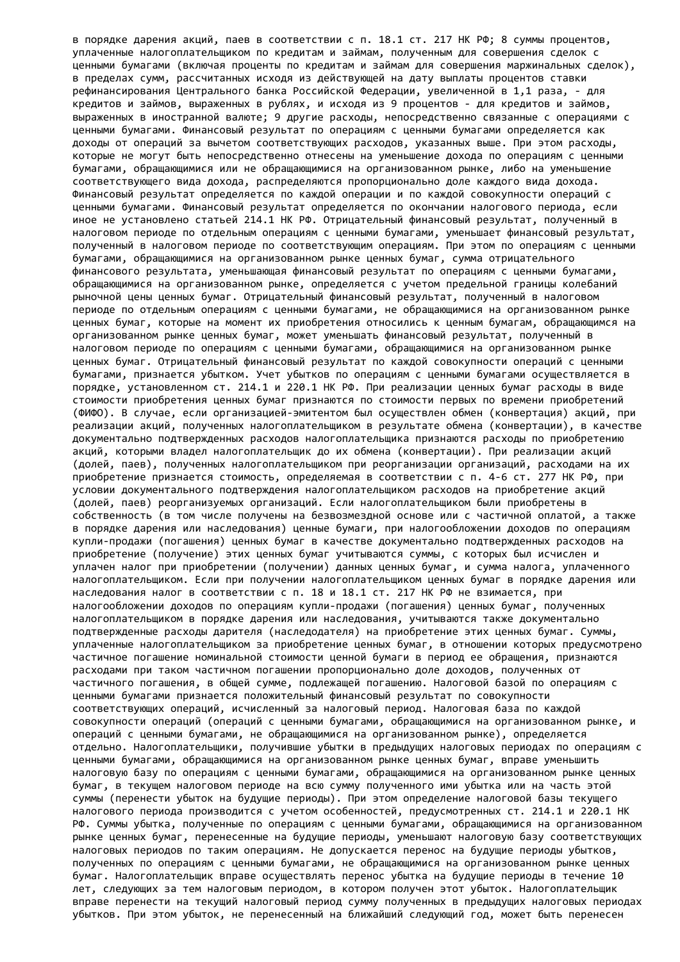в порядке дарения акций, паев в соответствии с п. 18.1 ст. 217 НК РФ; 8 суммы процентов, уплаченные налогоплательщиком по кредитам и займам, полученным для совершения сделок с ценными бумагами (включая проценты по кредитам и займам для совершения маржинальных сделок), в пределах сумм, рассчитанных исходя из действующей на дату выплаты процентов ставки рефинансирования Центрального банка Российской Федерации, увеличенной в 1,1 раза, - для кредитов и займов, выраженных в рублях, и исходя из 9 процентов - для кредитов и займов, выраженных в иностранной валюте; 9 другие расходы, непосредственно связанные с операциями с ценными бумагами. Финансовый результат по операциям с ценными бумагами определяется как доходы от операций за вычетом соответствующих расходов, указанных выше. При этом расходы, которые не могут быть непосредственно отнесены на уменьшение дохода по операциям с ценными бумагами, обращающимися или не обращающимися на организованном рынке, либо на уменьшение соответствующего вида дохода, распределяются пропорционально доле каждого вида дохода. Финансовый результат определяется по каждой операции и по каждой совокупности операций с ценными бумагами. Финансовый результат определяется по окончании налогового периода, если иное не установлено статьей 214.1 НК РФ. Отрицательный финансовый результат, полученный в налоговом периоде по отдельным операциям с ценными бумагами, уменьшает финансовый результат, полученный в налоговом периоде по соответствующим операциям. При этом по операциям с ценными бумагами, обращающимися на организованном рынке ценных бумаг, сумма отрицательного финансового результата, уменьшающая финансовый результат по операциям с ценными бумагами, обращающимися на организованном рынке, определяется с учетом предельной границы колебаний рыночной цены ценных бумаг. Отрицательный финансовый результат, полученный в налоговом периоде по отдельным операциям с ценными бумагами, не обращающимися на организованном рынке ценных бумаг, которые на момент их приобретения относились к ценным бумагам, обращающимся на организованном рынке ценных бумаг, может уменьшать финансовый результат, полученный в налоговом периоде по операциям с ценными бумагами, обращающимися на организованном рынке ценных бумаг. Отрицательный финансовый результат по каждой совокупности операций с ценными бумагами, признается убытком. Учет убытков по операциям с ценными бумагами осуществляется в порядке, установленном ст. 214.1 и 220.1 НК РФ. При реализации ценных бумаг расходы в виде стоимости приобретения ценных бумаг признаются по стоимости первых по времени приобретений (ФИФО). В случае, если организацией-эмитентом был осуществлен обмен (конвертация) акций, при реализации акций, полученных налогоплательщиком в результате обмена (конвертации), в качестве документально подтвержденных расходов налогоплательщика признаются расходы по приобретению акций, которыми владел налогоплательщик до их обмена (конвертации). При реализации акций (долей, паев), полученных налогоплательщиком при реорганизации организаций, расходами на их приобретение признается стоимость, определяемая в соответствии с п. 4-6 ст. 277 НК РФ, при условии документального подтверждения налогоплательщиком расходов на приобретение акций (долей, паев) реорганизуемых организаций. Если налогоплательщиком были приобретены в собственность (в том числе получены на безвозмездной основе или с частичной оплатой, а также в порядке дарения или наследования) ценные бумаги, при налогообложении доходов по операциям купли-продажи (погашения) ценных бумаг в качестве документально подтвержденных расходов на приобретение (получение) этих ценных бумаг учитываются суммы, с которых был исчислен и уплачен налог при приобретении (получении) данных ценных бумаг, и сумма налога, уплаченного налогоплательщиком. Если при получении налогоплательщиком ценных бумаг в порядке дарения или наследования налог в соответствии с п. 18 и 18.1 ст. 217 НК РФ не взимается, при налогообложении доходов по операциям купли-продажи (погашения) ценных бумаг, полученных налогоплательщиком в порядке дарения или наследования, учитываются также документально подтвержденные расходы дарителя (наследодателя) на приобретение этих ценных бумаг. Суммы, уплаченные налогоплательщиком за приобретение ценных бумаг, в отношении которых предусмотрено частичное погашение номинальной стоимости ценной бумаги в период ее обращения, признаются расходами при таком частичном погашении пропорционально доле доходов, полученных от частичного погашения, в общей сумме, подлежащей погашению. Налоговой базой по операциям с ценными бумагами признается положительный финансовый результат по совокупности соответствующих операций, исчисленный за налоговый период. Налоговая база по каждой совокупности операций (операций с ценными бумагами, обращающимися на организованном рынке, и операций с ценными бумагами, не обращающимися на организованном рынке), определяется отдельно. Налогоплательщики, получившие убытки в предыдущих налоговых периодах по операциям с ценными бумагами, обращающимися на организованном рынке ценных бумаг, вправе уменьшить налоговую базу по операциям с ценными бумагами, обращающимися на организованном рынке ценных бумаг, в текущем налоговом периоде на всю сумму полученного ими убытка или на часть этой суммы (перенести убыток на будущие периоды). При этом определение налоговой базы текущего налогового периода производится с учетом особенностей, предусмотренных ст. 214.1 и 220.1 НК РФ. Суммы убытка, полученные по операциям с ценными бумагами, обращающимися на организованном рынке ценных бумаг, перенесенные на будущие периоды, уменьшают налоговую базу соответствующих налоговых периодов по таким операциям. Не допускается перенос на будущие периоды убытков, полученных по операциям с ценными бумагами, не обращающимися на организованном рынке ценных бумаг. Налогоплательщик вправе осуществлять перенос убытка на будущие периоды в течение 10 лет, следующих за тем налоговым периодом, в котором получен этот убыток. Налогоплательщик вправе перенести на текущий налоговый период сумму полученных в предыдущих налоговых периодах убытков. При этом убыток, не перенесенный на ближайший следующий год, может быть перенесен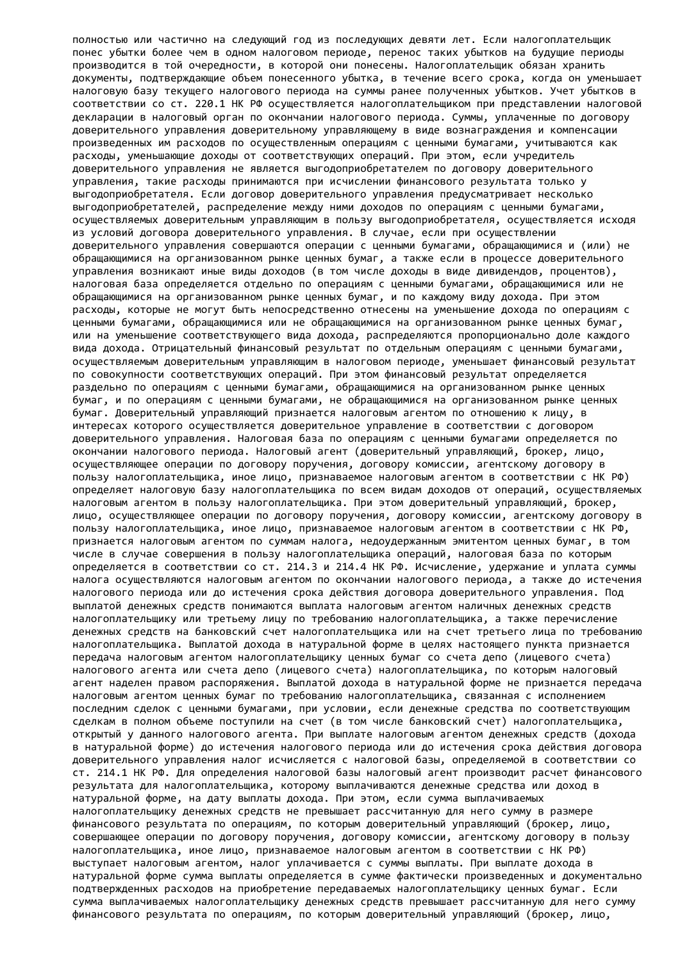полностью или частично на следующий год из последующих девяти лет. Если налогоплательщик понес убытки более чем в одном налоговом периоде, перенос таких убытков на будущие периоды производится в той очередности, в которой они понесены. Налогоплательщик обязан хранить документы, подтверждающие объем понесенного убытка, в течение всего срока, когда он уменьшает налоговую базу текущего налогового периода на суммы ранее полученных убытков. Учет убытков в соответствии со ст. 220.1 НК РФ осуществляется налогоплательщиком при представлении налоговой декларации в налоговый орган по окончании налогового периода. Суммы, уплаченные по договору доверительного управления доверительному управляющему в виде вознаграждения и компенсации произведенных им расходов по осуществленным операциям с ценными бумагами, учитываются как расходы, уменьшающие доходы от соответствующих операций. При этом, если учредитель доверительного управления не является выгодоприобретателем по договору доверительного управления, такие расходы принимаются при исчислении финансового результата только у выгодоприобретателя. Если договор доверительного управления предусматривает несколько выгодоприобретателей, распределение между ними доходов по операциям с ценными бумагами, осуществляемых доверительным управляющим в пользу выгодоприобретателя, осуществляется исходя из условий договора доверительного управления. В случае, если при осуществлении доверительного управления совершаются операции с ценными бумагами, обращающимися и (или) не обращающимися на организованном рынке ценных бумаг, а также если в процессе доверительного управления возникают иные виды доходов (в том числе доходы в виде дивидендов, процентов), налоговая база определяется отдельно по операциям с ценными бумагами, обращающимися или не обращающимися на организованном рынке ценных бумаг, и по каждому виду дохода. При этом расходы, которые не могут быть непосредственно отнесены на уменьшение дохода по операциям с ценными бумагами, обращающимися или не обращающимися на организованном рынке ценных бумаг, или на уменьшение соответствующего вида дохода, распределяются пропорционально доле каждого вида дохода. Отрицательный финансовый результат по отдельным операциям с ценными бумагами, осуществляемым доверительным управляющим в налоговом периоде, уменьшает финансовый результат по совокупности соответствующих операций. При этом финансовый результат определяется раздельно по операциям с ценными бумагами, обращающимися на организованном рынке ценных бумаг, и по операциям с ценными бумагами, не обращающимися на организованном рынке ценных бумаг. Доверительный управляющий признается налоговым агентом по отношению к лицу, в интересах которого осуществляется доверительное управление в соответствии с договором доверительного управления. Налоговая база по операциям с ценными бумагами определяется по окончании налогового периода. Налоговый агент (доверительный управляющий, брокер, лицо, осуществляющее операции по договору поручения, договору комиссии, агентскому договору в пользу налогоплательщика, иное лицо, признаваемое налоговым агентом в соответствии с НК РФ) определяет налоговую базу налогоплательщика по всем видам доходов от операций, осуществляемых налоговым агентом в пользу налогоплательщика. При этом доверительный управляющий, брокер, лицо, осуществляющее операции по договору поручения, договору комиссии, агентскому договору в пользу налогоплательщика, иное лицо, признаваемое налоговым агентом в соответствии с НК РФ, признается налоговым агентом по суммам налога, недоудержанным эмитентом ценных бумаг, в том числе в случае совершения в пользу налогоплательщика операций, налоговая база по которым определяется в соответствии со ст. 214.3 и 214.4 НК РФ. Исчисление, удержание и уплата суммы налога осуществляются налоговым агентом по окончании налогового периода, а также до истечения налогового периода или до истечения срока действия договора доверительного управления. Под выплатой денежных средств понимаются выплата налоговым агентом наличных денежных средств налогоплательщику или третьему лицу по требованию налогоплательщика, а также перечисление денежных средств на банковский счет налогоплательщика или на счет третьего лица по требованию налогоплательщика. Выплатой дохода в натуральной форме в целях настоящего пункта признается передача налоговым агентом налогоплательщику ценных бумаг со счета депо (лицевого счета) налогового агента или счета депо (лицевого счета) налогоплательщика, по которым налоговый агент наделен правом распоряжения. Выплатой дохода в натуральной форме не признается передача налоговым агентом ценных бумаг по требованию налогоплательщика, связанная с исполнением последним сделок с ценными бумагами, при условии, если денежные средства по соответствующим сделкам в полном объеме поступили на счет (в том числе банковский счет) налогоплательщика, открытый у данного налогового агента. При выплате налоговым агентом денежных средств (дохода в натуральной форме) до истечения налогового периода или до истечения срока действия договора доверительного управления налог исчисляется с налоговой базы, определяемой в соответствии со ст. 214.1 НК РФ. Для определения налоговой базы налоговый агент производит расчет финансового результата для налогоплательщика, которому выплачиваются денежные средства или доход в натуральной форме, на дату выплаты дохода. При этом, если сумма выплачиваемых налогоплательщику денежных средств не превышает рассчитанную для него сумму в размере финансового результата по операциям, по которым доверительный управляющий (брокер, лицо, совершающее операции по договору поручения, договору комиссии, агентскому договору в пользу налогоплательщика, иное лицо, признаваемое налоговым агентом в соответствии с НК РФ) выступает налоговым агентом, налог уплачивается с суммы выплаты. При выплате дохода в натуральной форме сумма выплаты определяется в сумме фактически произведенных и документально подтвержденных расходов на приобретение передаваемых налогоплательщику ценных бумаг. Если сумма выплачиваемых налогоплательщику денежных средств превышает рассчитанную для него сумму финансового результата по операциям, по которым доверительный управляющий (брокер, лицо,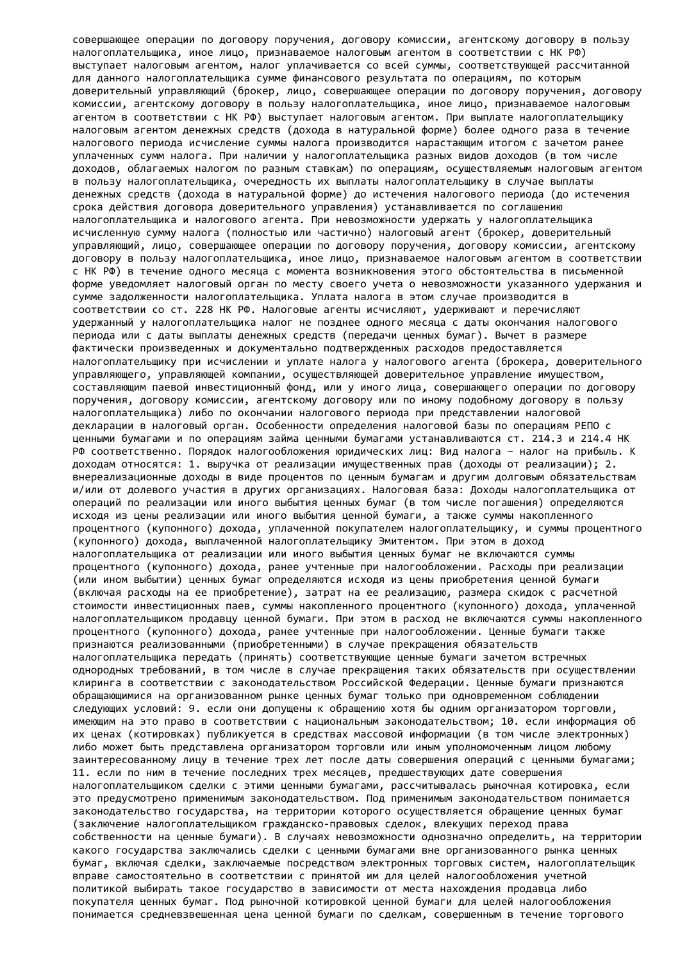совершающее операции по договору поручения, договору комиссии, агентскому договору в пользу налогоплательщика, иное лицо, признаваемое налоговым агентом в соответствии с НК РФ) выступает налоговым агентом, налог уплачивается со всей суммы, соответствующей рассчитанной для данного налогоплательщика сумме финансового результата по операциям, по которым доверительный управляющий (брокер, лицо, совершающее операции по договору поручения, договору комиссии, агентскому договору в пользу налогоплательщика, иное лицо, признаваемое налоговым агентом в соответствии с НК РФ) выступает налоговым агентом. При выплате налогоплательщику налоговым агентом денежных средств (дохода в натуральной форме) более одного раза в течение налогового периода исчисление суммы налога производится нарастающим итогом с зачетом ранее уплаченных сумм налога. При наличии у налогоплательщика разных видов доходов (в том числе доходов, облагаемых налогом по разным ставкам) по операциям, осуществляемым налоговым агентом в пользу налогоплательщика, очередность их выплаты налогоплательщику в случае выплаты денежных средств (дохода в натуральной форме) до истечения налогового периода (до истечения срока действия договора доверительного управления) устанавливается по соглашению налогоплательщика и налогового агента. При невозможности удержать у налогоплательщика исчисленную сумму налога (полностью или частично) налоговый агент (брокер, доверительный управляющий, лицо, совершающее операции по договору поручения, договору комиссии, агентскому договору в пользу налогоплательщика, иное лицо, признаваемое налоговым агентом в соответствии с НК РФ) в течение одного месяца с момента возникновения этого обстоятельства в письменной форме уведомляет налоговый орган по месту своего учета о невозможности указанного удержания и сумме задолженности налогоплательщика. Уплата налога в этом случае производится в соответствии со ст. 228 НК РФ. Налоговые агенты исчисляют, удерживают и перечисляют удержанный у налогоплательщика налог не позднее одного месяца с даты окончания налогового периода или с даты выплаты денежных средств (передачи ценных бумаг). Вычет в размере фактически произведенных и документально подтвержденных расходов предоставляется налогоплательщику при исчислении и уплате налога у налогового агента (брокера, доверительного управляющего, управляющей компании, осуществляющей доверительное управление имуществом, составляющим паевой инвестиционный фонд, или у иного лица, совершающего операции по договору поручения, договору комиссии, агентскому договору или по иному подобному договору в пользу налогоплательщика) либо по окончании налогового периода при представлении налоговой декларации в налоговый орган. Особенности определения налоговой базы по операциям РЕПО с ценными бумагами и по операциям займа ценными бумагами устанавливаются ст. 214.3 и 214.4 НК РФ соответственно. Порядок налогообложения юридических лиц: Вид налога – налог на прибыль. К доходам относятся: 1. выручка от реализации имущественных прав (доходы от реализации); 2. внереализационные доходы в виде процентов по ценным бумагам и другим долговым обязательствам и/или от долевого участия в других организациях. Налоговая база: Доходы налогоплательщика от операций по реализации или иного выбытия ценных бумаг (в том числе погашения) определяются исходя из цены реализации или иного выбытия ценной бумаги, а также суммы накопленного процентного (купонного) дохода, уплаченной покупателем налогоплательщику, и суммы процентного (купонного) дохода, выплаченной налогоплательщику Эмитентом. При этом в доход налогоплательщика от реализации или иного выбытия ценных бумаг не включаются суммы процентного (купонного) дохода, ранее учтенные при налогообложении. Расходы при реализации (или ином выбытии) ценных бумаг определяются исходя из цены приобретения ценной бумаги (включая расходы на ее приобретение), затрат на ее реализацию, размера скидок с расчетной стоимости инвестиционных паев, суммы накопленного процентного (купонного) дохода, уплаченной налогоплательщиком продавцу ценной бумаги. При этом в расход не включаются суммы накопленного процентного (купонного) дохода, ранее учтенные при налогообложении. Ценные бумаги также признаются реализованными (приобретенными) в случае прекращения обязательств налогоплательщика передать (принять) соответствующие ценные бумаги зачетом встречных однородных требований, в том числе в случае прекращения таких обязательств при осуществлении клиринга в соответствии с законодательством Российской Федерации. Ценные бумаги признаются обращающимися на организованном рынке ценных бумаг только при одновременном соблюдении следующих условий: 9. если они допущены к обращению хотя бы одним организатором торговли, имеющим на это право в соответствии с национальным законодательством; 10. если информация об их ценах (котировках) публикуется в средствах массовой информации (в том числе электронных) либо может быть представлена организатором торговли или иным уполномоченным лицом любому заинтересованному лицу в течение трех лет после даты совершения операций с ценными бумагами; 11. если по ним в течение последних трех месяцев, предшествующих дате совершения налогоплательщиком сделки с этими ценными бумагами, рассчитывалась рыночная котировка, если это предусмотрено применимым законодательством. Под применимым законодательством понимается законодательство государства, на территории которого осуществляется обращение ценных бумаг (заключение налогоплательщиком гражданско-правовых сделок, влекущих переход права собственности на ценные бумаги). В случаях невозможности однозначно определить, на территории какого государства заключались сделки с ценными бумагами вне организованного рынка ценных бумаг, включая сделки, заключаемые посредством электронных торговых систем, налогоплательщик вправе самостоятельно в соответствии с принятой им для целей налогообложения учетной политикой выбирать такое государство в зависимости от места нахождения продавца либо покупателя ценных бумаг. Под рыночной котировкой ценной бумаги для целей налогообложения понимается средневзвешенная цена ценной бумаги по сделкам, совершенным в течение торгового